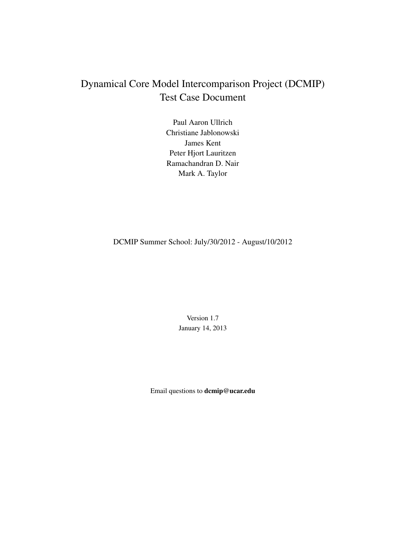# Dynamical Core Model Intercomparison Project (DCMIP) Test Case Document

Paul Aaron Ullrich Christiane Jablonowski James Kent Peter Hjort Lauritzen Ramachandran D. Nair Mark A. Taylor

DCMIP Summer School: July/30/2012 - August/10/2012

Version 1.7 January 14, 2013

Email questions to dcmip@ucar.edu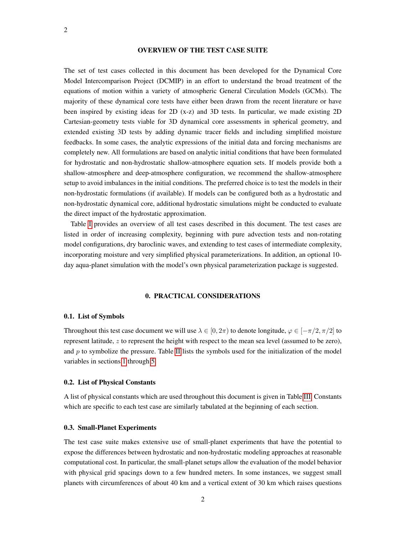# OVERVIEW OF THE TEST CASE SUITE

The set of test cases collected in this document has been developed for the Dynamical Core Model Intercomparison Project (DCMIP) in an effort to understand the broad treatment of the equations of motion within a variety of atmospheric General Circulation Models (GCMs). The majority of these dynamical core tests have either been drawn from the recent literature or have been inspired by existing ideas for 2D (x-z) and 3D tests. In particular, we made existing 2D Cartesian-geometry tests viable for 3D dynamical core assessments in spherical geometry, and extended existing 3D tests by adding dynamic tracer fields and including simplified moisture feedbacks. In some cases, the analytic expressions of the initial data and forcing mechanisms are completely new. All formulations are based on analytic initial conditions that have been formulated for hydrostatic and non-hydrostatic shallow-atmosphere equation sets. If models provide both a shallow-atmosphere and deep-atmosphere configuration, we recommend the shallow-atmosphere setup to avoid imbalances in the initial conditions. The preferred choice is to test the models in their non-hydrostatic formulations (if available). If models can be configured both as a hydrostatic and non-hydrostatic dynamical core, additional hydrostatic simulations might be conducted to evaluate the direct impact of the hydrostatic approximation.

Table [I](#page-2-0) provides an overview of all test cases described in this document. The test cases are listed in order of increasing complexity, beginning with pure advection tests and non-rotating model configurations, dry baroclinic waves, and extending to test cases of intermediate complexity, incorporating moisture and very simplified physical parameterizations. In addition, an optional 10 day aqua-planet simulation with the model's own physical parameterization package is suggested.

# 0. PRACTICAL CONSIDERATIONS

#### 0.1. List of Symbols

Throughout this test case document we will use  $\lambda \in [0, 2\pi)$  to denote longitude,  $\varphi \in [-\pi/2, \pi/2]$  to represent latitude, z to represent the height with respect to the mean sea level (assumed to be zero), and  $p$  to symbolize the pressure. Table [II](#page-3-0) lists the symbols used for the initialization of the model variables in sections [1](#page-13-0) through [5.](#page-47-0)

#### 0.2. List of Physical Constants

A list of physical constants which are used throughout this document is given in Table [III.](#page-3-1) Constants which are specific to each test case are similarly tabulated at the beginning of each section.

#### 0.3. Small-Planet Experiments

The test case suite makes extensive use of small-planet experiments that have the potential to expose the differences between hydrostatic and non-hydrostatic modeling approaches at reasonable computational cost. In particular, the small-planet setups allow the evaluation of the model behavior with physical grid spacings down to a few hundred meters. In some instances, we suggest small planets with circumferences of about 40 km and a vertical extent of 30 km which raises questions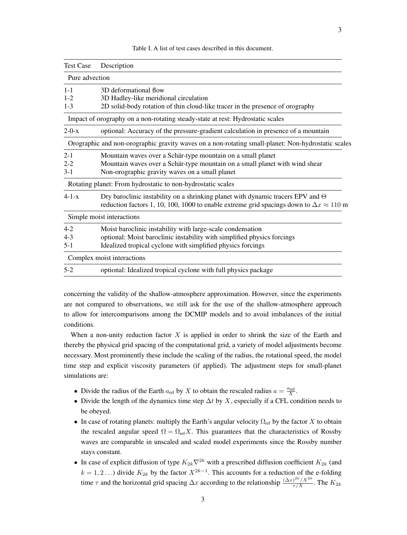<span id="page-2-0"></span>

| <b>Test Case</b> | Description                                                                                                                                                                                   |  |  |  |
|------------------|-----------------------------------------------------------------------------------------------------------------------------------------------------------------------------------------------|--|--|--|
| Pure advection   |                                                                                                                                                                                               |  |  |  |
| $1 - 1$          | 3D deformational flow                                                                                                                                                                         |  |  |  |
| $1 - 2$          | 3D Hadley-like meridional circulation                                                                                                                                                         |  |  |  |
| $1 - 3$          | 2D solid-body rotation of thin cloud-like tracer in the presence of orography                                                                                                                 |  |  |  |
|                  | Impact of orography on a non-rotating steady-state at rest: Hydrostatic scales                                                                                                                |  |  |  |
| $2 - 0 - x$      | optional: Accuracy of the pressure-gradient calculation in presence of a mountain                                                                                                             |  |  |  |
|                  | Orographic and non-orographic gravity waves on a non-rotating small-planet: Non-hydrostatic scales                                                                                            |  |  |  |
| $2 - 1$          | Mountain waves over a Schär-type mountain on a small planet                                                                                                                                   |  |  |  |
| $2 - 2$          | Mountain waves over a Schär-type mountain on a small planet with wind shear                                                                                                                   |  |  |  |
| $3-1$            | Non-orographic gravity waves on a small planet                                                                                                                                                |  |  |  |
|                  | Rotating planet: From hydrostatic to non-hydrostatic scales                                                                                                                                   |  |  |  |
| $4 - 1 - x$      | Dry baroclinic instability on a shrinking planet with dynamic tracers EPV and $\Theta$<br>reduction factors 1, 10, 100, 1000 to enable extreme grid spacings down to $\Delta x \approx 110$ m |  |  |  |
|                  | Simple moist interactions                                                                                                                                                                     |  |  |  |
| $4 - 2$          | Moist baroclinic instability with large-scale condensation                                                                                                                                    |  |  |  |
| $4 - 3$          | optional: Moist baroclinic instability with simplified physics forcings                                                                                                                       |  |  |  |
| $5-1$            | Idealized tropical cyclone with simplified physics forcings                                                                                                                                   |  |  |  |
|                  | Complex moist interactions                                                                                                                                                                    |  |  |  |
| $5-2$            | optional: Idealized tropical cyclone with full physics package                                                                                                                                |  |  |  |

Table I. A list of test cases described in this document.

concerning the validity of the shallow-atmosphere approximation. However, since the experiments are not compared to observations, we still ask for the use of the shallow-atmosphere approach to allow for intercomparisons among the DCMIP models and to avoid imbalances of the initial conditions.

When a non-unity reduction factor  $X$  is applied in order to shrink the size of the Earth and thereby the physical grid spacing of the computational grid, a variety of model adjustments become necessary. Most prominently these include the scaling of the radius, the rotational speed, the model time step and explicit viscosity parameters (if applied). The adjustment steps for small-planet simulations are:

- Divide the radius of the Earth  $a_{ref}$  by X to obtain the rescaled radius  $a = \frac{a_{ref}}{X}$ .
- Divide the length of the dynamics time step  $\Delta t$  by X, especially if a CFL condition needs to be obeyed.
- In case of rotating planets: multiply the Earth's angular velocity  $\Omega_{ref}$  by the factor X to obtain the rescaled angular speed  $\Omega = \Omega_{ref} X$ . This guarantees that the characteristics of Rossby waves are comparable in unscaled and scaled model experiments since the Rossby number stays constant.
- In case of explicit diffusion of type  $K_{2k} \nabla^{2k}$  with a prescribed diffusion coefficient  $K_{2k}$  (and  $k = 1, 2...$ ) divide  $K_{2k}$  by the factor  $X^{2k-1}$ . This accounts for a reduction of the e-folding time  $\tau$  and the horizontal grid spacing  $\Delta x$  according to the relationship  $\frac{(\Delta x)^{2k}/X^{2k}}{\tau/X}$ . The  $K_{2k}$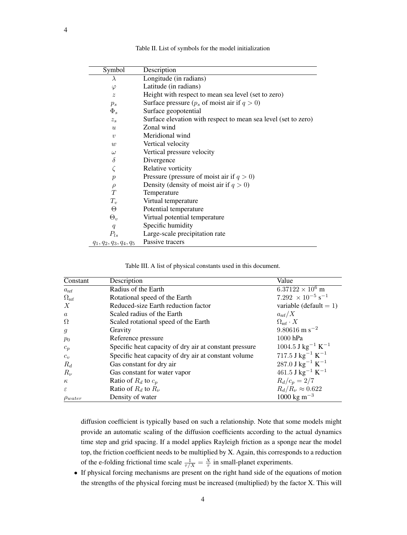<span id="page-3-0"></span>

| Symbol                    | Description                                                                      |  |  |
|---------------------------|----------------------------------------------------------------------------------|--|--|
| $\lambda$                 | Longitude (in radians)                                                           |  |  |
| $\varphi$                 | Latitude (in radians)                                                            |  |  |
| $\tilde{z}$               | Height with respect to mean sea level (set to zero)                              |  |  |
| $p_s$                     | Surface pressure $(p_s \text{ of } \text{moist } \text{air } \text{ if } q > 0)$ |  |  |
| $\Phi_s$                  | Surface geopotential                                                             |  |  |
| $z_{s}$                   | Surface elevation with respect to mean sea level (set to zero)                   |  |  |
| $\mathfrak{u}$            | Zonal wind                                                                       |  |  |
| $\boldsymbol{v}$          | Meridional wind                                                                  |  |  |
| w                         | Vertical velocity                                                                |  |  |
| $\omega$                  | Vertical pressure velocity                                                       |  |  |
| $\delta$                  | Divergence                                                                       |  |  |
| $\zeta$                   | Relative vorticity                                                               |  |  |
| $\boldsymbol{p}$          | Pressure (pressure of moist air if $q > 0$ )                                     |  |  |
| $\rho$                    | Density (density of moist air if $q > 0$ )                                       |  |  |
| T                         | Temperature                                                                      |  |  |
| $T_v$                     | Virtual temperature                                                              |  |  |
| Θ                         | Potential temperature                                                            |  |  |
| $\Theta_{v}$              | Virtual potential temperature                                                    |  |  |
| q                         | Specific humidity                                                                |  |  |
| $P_{ls}$                  | Large-scale precipitation rate                                                   |  |  |
| $q_1, q_2, q_3, q_4, q_5$ | Passive tracers                                                                  |  |  |

Table II. List of symbols for the model initialization

<span id="page-3-1"></span>

| Constant           | Description                                            | Value                                           |
|--------------------|--------------------------------------------------------|-------------------------------------------------|
| $a_{\text{ref}}$   | Radius of the Earth                                    | $6.37122 \times 10^6$ m                         |
| $\Omega_{\rm ref}$ | Rotational speed of the Earth                          | 7.292 $\times$ 10 <sup>-5</sup> s <sup>-1</sup> |
| $\boldsymbol{X}$   | Reduced-size Earth reduction factor                    | variable (default $= 1$ )                       |
| $\alpha$           | Scaled radius of the Earth                             | $a_{\text{ref}}/X$                              |
| Ω                  | Scaled rotational speed of the Earth                   | $\Omega_{\rm ref} \cdot X$                      |
| $\mathfrak{g}$     | Gravity                                                | $9.80616$ m s <sup>-2</sup>                     |
| $p_0$              | Reference pressure                                     | 1000 hPa                                        |
| $c_p$              | Specific heat capacity of dry air at constant pressure | $1004.5$ J kg <sup>-1</sup> K <sup>-1</sup>     |
| $c_v$              | Specific heat capacity of dry air at constant volume   | $717.5~\mathrm{J~kg}^{-1}~\mathrm{K}^{-1}$      |
| $R_d$              | Gas constant for dry air                               | $287.0$ J kg <sup>-1</sup> K <sup>-1</sup>      |
| $R_{\nu}$          | Gas constant for water vapor                           | $461.5$ J kg <sup>-1</sup> K <sup>-1</sup>      |
| $\kappa$           | Ratio of $R_d$ to $c_p$                                | $R_d/c_p = 2/7$                                 |
| $\varepsilon$      | Ratio of $R_d$ to $R_\nu$                              | $R_d/R_\nu \approx 0.622$                       |
| $\rho_{water}$     | Density of water                                       | $1000 \text{ kg m}^{-3}$                        |

diffusion coefficient is typically based on such a relationship. Note that some models might provide an automatic scaling of the diffusion coefficients according to the actual dynamics time step and grid spacing. If a model applies Rayleigh friction as a sponge near the model top, the friction coefficient needs to be multiplied by X. Again, this corresponds to a reduction of the e-folding frictional time scale  $\frac{1}{\tau/X} = \frac{X}{\tau}$  in small-planet experiments.

• If physical forcing mechanisms are present on the right hand side of the equations of motion the strengths of the physical forcing must be increased (multiplied) by the factor X. This will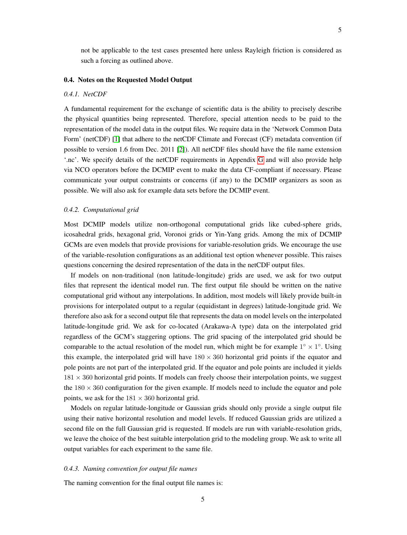not be applicable to the test cases presented here unless Rayleigh friction is considered as such a forcing as outlined above.

# 0.4. Notes on the Requested Model Output

#### *0.4.1. NetCDF*

A fundamental requirement for the exchange of scientific data is the ability to precisely describe the physical quantities being represented. Therefore, special attention needs to be paid to the representation of the model data in the output files. We require data in the 'Network Common Data Form' (netCDF) [\[1\]](#page-53-0) that adhere to the netCDF Climate and Forecast (CF) metadata convention (if possible to version 1.6 from Dec. 2011 [\[2\]](#page-53-1)). All netCDF files should have the file name extension '.nc'. We specify details of the netCDF requirements in Appendix [G](#page-70-0) and will also provide help via NCO operators before the DCMIP event to make the data CF-compliant if necessary. Please communicate your output constraints or concerns (if any) to the DCMIP organizers as soon as possible. We will also ask for example data sets before the DCMIP event.

# *0.4.2. Computational grid*

Most DCMIP models utilize non-orthogonal computational grids like cubed-sphere grids, icosahedral grids, hexagonal grid, Voronoi grids or Yin-Yang grids. Among the mix of DCMIP GCMs are even models that provide provisions for variable-resolution grids. We encourage the use of the variable-resolution configurations as an additional test option whenever possible. This raises questions concerning the desired representation of the data in the netCDF output files.

If models on non-traditional (non latitude-longitude) grids are used, we ask for two output files that represent the identical model run. The first output file should be written on the native computational grid without any interpolations. In addition, most models will likely provide built-in provisions for interpolated output to a regular (equidistant in degrees) latitude-longitude grid. We therefore also ask for a second output file that represents the data on model levels on the interpolated latitude-longitude grid. We ask for co-located (Arakawa-A type) data on the interpolated grid regardless of the GCM's staggering options. The grid spacing of the interpolated grid should be comparable to the actual resolution of the model run, which might be for example  $1^{\circ} \times 1^{\circ}$ . Using this example, the interpolated grid will have  $180 \times 360$  horizontal grid points if the equator and pole points are not part of the interpolated grid. If the equator and pole points are included it yields  $181 \times 360$  horizontal grid points. If models can freely choose their interpolation points, we suggest the  $180 \times 360$  configuration for the given example. If models need to include the equator and pole points, we ask for the  $181 \times 360$  horizontal grid.

Models on regular latitude-longitude or Gaussian grids should only provide a single output file using their native horizontal resolution and model levels. If reduced Gaussian grids are utilized a second file on the full Gaussian grid is requested. If models are run with variable-resolution grids, we leave the choice of the best suitable interpolation grid to the modeling group. We ask to write all output variables for each experiment to the same file.

#### *0.4.3. Naming convention for output file names*

The naming convention for the final output file names is: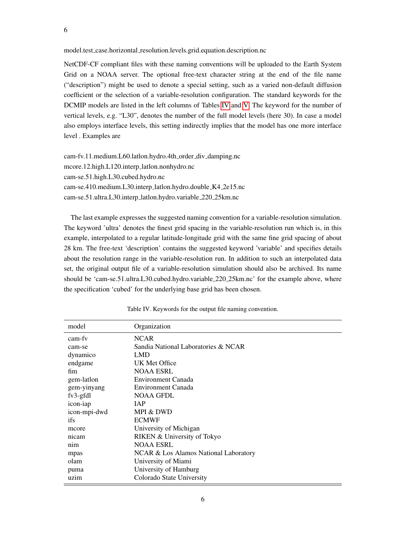model.test case.horizontal resolution.levels.grid.equation.description.nc

NetCDF-CF compliant files with these naming conventions will be uploaded to the Earth System Grid on a NOAA server. The optional free-text character string at the end of the file name ("description") might be used to denote a special setting, such as a varied non-default diffusion coefficient or the selection of a variable-resolution configuration. The standard keywords for the DCMIP models are listed in the left columns of Tables [IV](#page-5-0) and [V.](#page-6-0) The keyword for the number of vertical levels, e.g. "L30", denotes the number of the full model levels (here 30). In case a model also employs interface levels, this setting indirectly implies that the model has one more interface level . Examples are

cam-fv.11.medium.L60.latlon.hydro.4th\_order\_div\_damping.nc mcore.12.high.L120.interp latlon.nonhydro.nc cam-se.51.high.L30.cubed.hydro.nc cam-se.410.medium.L30.interp latlon.hydro.double K4 2e15.nc cam-se.51.ultra.L30.interp latlon.hydro.variable 220 25km.nc

The last example expresses the suggested naming convention for a variable-resolution simulation. The keyword 'ultra' denotes the finest grid spacing in the variable-resolution run which is, in this example, interpolated to a regular latitude-longitude grid with the same fine grid spacing of about 28 km. The free-text 'description' contains the suggested keyword 'variable' and specifies details about the resolution range in the variable-resolution run. In addition to such an interpolated data set, the original output file of a variable-resolution simulation should also be archived. Its name should be 'cam-se.51.ultra.L30.cubed.hydro.variable 220 25km.nc' for the example above, where the specification 'cubed' for the underlying base grid has been chosen.

<span id="page-5-0"></span>

| <b>NCAR</b><br>cam-fy<br>Sandia National Laboratories & NCAR<br>cam-se<br>dynamico<br>LMD<br>UK Met Office |
|------------------------------------------------------------------------------------------------------------|
|                                                                                                            |
|                                                                                                            |
|                                                                                                            |
| endgame                                                                                                    |
| <b>NOAA ESRL</b><br>fim                                                                                    |
| Environment Canada<br>gem-lation                                                                           |
| Environment Canada<br>gem-yinyang                                                                          |
| $fv3$ -gfdl<br>NOAA GFDL                                                                                   |
| icon-iap<br><b>IAP</b>                                                                                     |
| icon-mpi-dwd<br>MPI & DWD                                                                                  |
| <b>ECMWF</b><br>ifs                                                                                        |
| University of Michigan<br>mcore                                                                            |
| RIKEN & University of Tokyo<br>nicam                                                                       |
| <b>NOAA ESRL</b><br>nim                                                                                    |
| NCAR & Los Alamos National Laboratory<br>mpas                                                              |
| olam<br>University of Miami                                                                                |
| University of Hamburg<br>puma                                                                              |
| Colorado State University<br>uzim                                                                          |

Table IV. Keywords for the output file naming convention.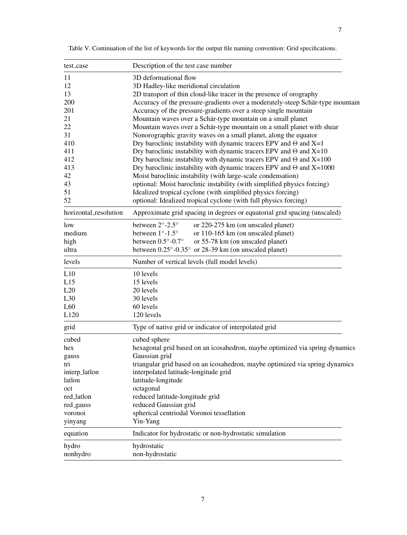| test_case             | Description of the test case number                                            |  |  |  |
|-----------------------|--------------------------------------------------------------------------------|--|--|--|
| 11                    | 3D deformational flow                                                          |  |  |  |
| 12                    | 3D Hadley-like meridional circulation                                          |  |  |  |
| 13                    | 2D transport of thin cloud-like tracer in the presence of orography            |  |  |  |
| 200                   | Accuracy of the pressure-gradients over a moderately-steep Schär-type mountain |  |  |  |
| 201                   | Accuracy of the pressure-gradients over a steep single mountain                |  |  |  |
| 21                    | Mountain waves over a Schär-type mountain on a small planet                    |  |  |  |
| 22                    | Mountain waves over a Schär-type mountain on a small planet with shear         |  |  |  |
| 31                    | Nonorographic gravity waves on a small planet, along the equator               |  |  |  |
| 410                   | Dry baroclinic instability with dynamic tracers EPV and $\Theta$ and X=1       |  |  |  |
| 411                   | Dry baroclinic instability with dynamic tracers EPV and $\Theta$ and X=10      |  |  |  |
| 412                   | Dry baroclinic instability with dynamic tracers EPV and $\Theta$ and X=100     |  |  |  |
| 413                   | Dry baroclinic instability with dynamic tracers EPV and $\Theta$ and X=1000    |  |  |  |
| 42                    | Moist baroclinic instability (with large-scale condensation)                   |  |  |  |
| 43                    | optional: Moist baroclinic instability (with simplified physics forcing)       |  |  |  |
| 51                    | Idealized tropical cyclone (with simplified physics forcing)                   |  |  |  |
| 52                    | optional: Idealized tropical cyclone (with full physics forcing)               |  |  |  |
| horizontal_resolution | Approximate grid spacing in degrees or equatorial grid spacing (unscaled)      |  |  |  |
| low                   | between 2°-2.5°<br>or 220-275 km (on unscaled planet)                          |  |  |  |
| medium                | between $1^\circ$ -1.5 $^\circ$<br>or 110-165 km (on unscaled planet)          |  |  |  |
| high                  | between $0.5^{\circ}$ -0.7°<br>or 55-78 km (on unscaled planet)                |  |  |  |
| ultra                 | between $0.25^{\circ}$ -0.35° or 28-39 km (on unscaled planet)                 |  |  |  |
| levels                | Number of vertical levels (full model levels)                                  |  |  |  |
| L10                   | 10 levels                                                                      |  |  |  |
| L15                   | 15 levels                                                                      |  |  |  |
| L20                   | 20 levels                                                                      |  |  |  |
| L30                   | 30 levels                                                                      |  |  |  |
| L <sub>60</sub>       | 60 levels                                                                      |  |  |  |
| L120                  | 120 levels                                                                     |  |  |  |
| grid                  | Type of native grid or indicator of interpolated grid                          |  |  |  |
| cubed                 | cubed sphere                                                                   |  |  |  |
| hex                   | hexagonal grid based on an icosahedron, maybe optimized via spring dynamics    |  |  |  |
| gauss                 | Gaussian grid                                                                  |  |  |  |
| trı                   | triangular grid based on an icosahedron, maybe optimized via spring dynamics   |  |  |  |
| interp_latlon         | interpolated latitude-longitude grid                                           |  |  |  |
| latlon                | latitude-longitude                                                             |  |  |  |
| oct                   | octagonal                                                                      |  |  |  |
| red_latlon            | reduced latitude-longitude grid                                                |  |  |  |
| red_gauss             | reduced Gaussian grid                                                          |  |  |  |
| voronoi               | spherical centriodal Voronoi tessellation                                      |  |  |  |
| yinyang               | Yin-Yang                                                                       |  |  |  |
| equation              | Indicator for hydrostatic or non-hydrostatic simulation                        |  |  |  |
| hydro                 | hydrostatic                                                                    |  |  |  |
| nonhydro              | non-hydrostatic                                                                |  |  |  |

<span id="page-6-0"></span>Table V. Continuation of the list of keywords for the output file naming convention: Grid specifications.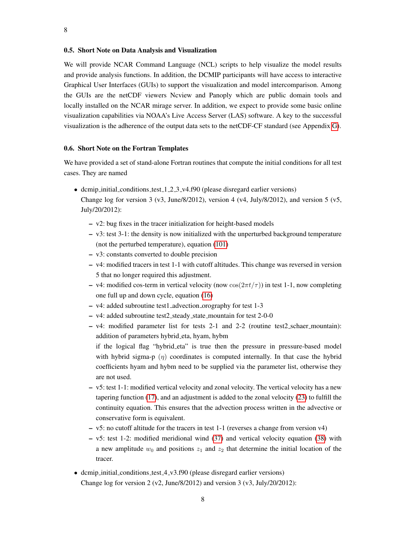## 0.5. Short Note on Data Analysis and Visualization

We will provide NCAR Command Language (NCL) scripts to help visualize the model results and provide analysis functions. In addition, the DCMIP participants will have access to interactive Graphical User Interfaces (GUIs) to support the visualization and model intercomparison. Among the GUIs are the netCDF viewers Ncview and Panoply which are public domain tools and locally installed on the NCAR mirage server. In addition, we expect to provide some basic online visualization capabilities via NOAA's Live Access Server (LAS) software. A key to the successful visualization is the adherence of the output data sets to the netCDF-CF standard (see Appendix [G\)](#page-70-0).

# 0.6. Short Note on the Fortran Templates

We have provided a set of stand-alone Fortran routines that compute the initial conditions for all test cases. They are named

- dcmip initial conditions test 1 2 3 v4.f90 (please disregard earlier versions) Change log for version 3 (v3, June/8/2012), version 4 (v4, July/8/2012), and version 5 (v5, July/20/2012):
	- v2: bug fixes in the tracer initialization for height-based models
	- $-$  v3: test 3-1: the density is now initialized with the unperturbed background temperature (not the perturbed temperature), equation [\(101\)](#page-34-0)
	- v3: constants converted to double precision
	- v4: modified tracers in test 1-1 with cutoff altitudes. This change was reversed in version 5 that no longer required this adjustment.
	- v4: modified cos-term in vertical velocity (now  $cos(2\pi t/\tau)$ ) in test 1-1, now completing one full up and down cycle, equation [\(16\)](#page-15-0)
	- v4: added subroutine test1 advection orography for test 1-3
	- v4: added subroutine test2 steady state mountain for test 2-0-0
	- v4: modified parameter list for tests 2-1 and 2-2 (routine test2 schaer mountain): addition of parameters hybrid eta, hyam, hybm

if the logical flag "hybrid eta" is true then the pressure in pressure-based model with hybrid sigma-p  $(\eta)$  coordinates is computed internally. In that case the hybrid coefficients hyam and hybm need to be supplied via the parameter list, otherwise they are not used.

- v5: test 1-1: modified vertical velocity and zonal velocity. The vertical velocity has a new tapering function [\(17\)](#page-15-1), and an adjustment is added to the zonal velocity [\(23\)](#page-16-0) to fulfill the continuity equation. This ensures that the advection process written in the advective or conservative form is equivalent.
- v5: no cutoff altitude for the tracers in test 1-1 (reverses a change from version v4)
- v5: test 1-2: modified meridional wind [\(37\)](#page-18-0) and vertical velocity equation [\(38\)](#page-18-0) with a new amplitude  $w_0$  and positions  $z_1$  and  $z_2$  that determine the initial location of the tracer.
- dcmip\_initial\_conditions\_test\_4\_v3.f90 (please disregard earlier versions) Change log for version 2 (v2, June/8/2012) and version 3 (v3, July/20/2012):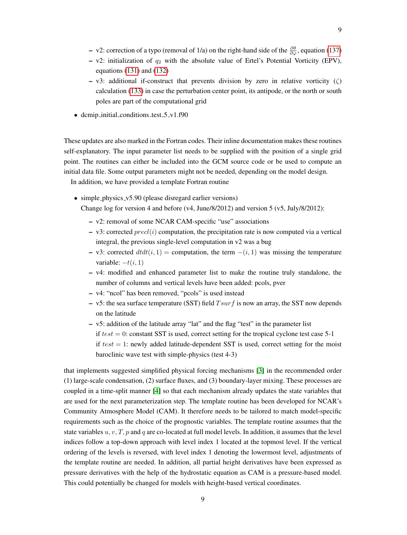- v2: correction of a typo (removal of 1/a) on the right-hand side of the  $\frac{\partial \theta}{\partial \varphi}$ , equation [\(137\)](#page-41-0)
- v2: initialization of  $q_2$  with the absolute value of Ertel's Potential Vorticity (EPV), equations [\(131\)](#page-40-0) and [\(132\)](#page-40-1)
- $-$  v3: additional if-construct that prevents division by zero in relative vorticity ( $\zeta$ ) calculation [\(133\)](#page-40-2) in case the perturbation center point, its antipode, or the north or south poles are part of the computational grid
- dcmip\_initial\_conditions\_test\_5\_v1.f90

These updates are also marked in the Fortran codes. Their inline documentation makes these routines self-explanatory. The input parameter list needs to be supplied with the position of a single grid point. The routines can either be included into the GCM source code or be used to compute an initial data file. Some output parameters might not be needed, depending on the model design.

In addition, we have provided a template Fortran routine

- simple\_physics\_v5.90 (please disregard earlier versions) Change log for version 4 and before (v4, June/8/2012) and version 5 (v5, July/8/2012):
	- v2: removal of some NCAR CAM-specific "use" associations
	- v3: corrected  $pred(i)$  computation, the precipitation rate is now computed via a vertical integral, the previous single-level computation in v2 was a bug
	- v3: corrected  $dt dt(i, 1)$  = computation, the term  $-(i, 1)$  was missing the temperature variable:  $-t(i, 1)$
	- $\nu$ 4: modified and enhanced parameter list to make the routine truly standalone, the number of columns and vertical levels have been added: pcols, pver
	- v4: "ncol" has been removed, "pcols" is used instead
	- v5: the sea surface temperature (SST) field  $T \cdot \text{sur } f$  is now an array, the SST now depends on the latitude
	- v5: addition of the latitude array "lat" and the flag "test" in the parameter list if  $test = 0$ : constant SST is used, correct setting for the tropical cyclone test case 5-1 if  $test = 1$ : newly added latitude-dependent SST is used, correct setting for the moist baroclinic wave test with simple-physics (test 4-3)

that implements suggested simplified physical forcing mechanisms [\[3\]](#page-53-2) in the recommended order (1) large-scale condensation, (2) surface fluxes, and (3) boundary-layer mixing. These processes are coupled in a time-split manner [\[4\]](#page-53-3) so that each mechanism already updates the state variables that are used for the next parameterization step. The template routine has been developed for NCAR's Community Atmosphere Model (CAM). It therefore needs to be tailored to match model-specific requirements such as the choice of the prognostic variables. The template routine assumes that the state variables  $u, v, T, p$  and q are co-located at full model levels. In addition, it assumes that the level indices follow a top-down approach with level index 1 located at the topmost level. If the vertical ordering of the levels is reversed, with level index 1 denoting the lowermost level, adjustments of the template routine are needed. In addition, all partial height derivatives have been expressed as pressure derivatives with the help of the hydrostatic equation as CAM is a pressure-based model. This could potentially be changed for models with height-based vertical coordinates.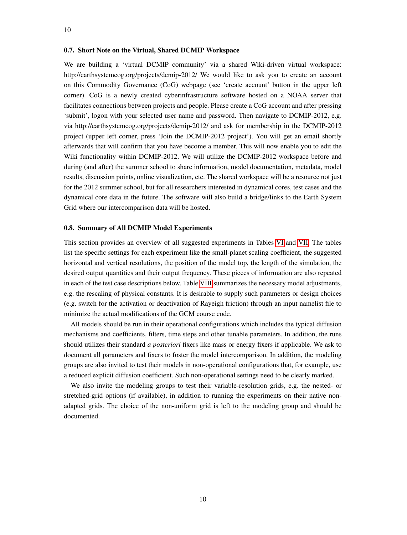# 0.7. Short Note on the Virtual, Shared DCMIP Workspace

We are building a 'virtual DCMIP community' via a shared Wiki-driven virtual workspace: http://earthsystemcog.org/projects/dcmip-2012/ We would like to ask you to create an account on this Commodity Governance (CoG) webpage (see 'create account' button in the upper left corner). CoG is a newly created cyberinfrastructure software hosted on a NOAA server that facilitates connections between projects and people. Please create a CoG account and after pressing 'submit', logon with your selected user name and password. Then navigate to DCMIP-2012, e.g. via http://earthsystemcog.org/projects/dcmip-2012/ and ask for membership in the DCMIP-2012 project (upper left corner, press 'Join the DCMIP-2012 project'). You will get an email shortly afterwards that will confirm that you have become a member. This will now enable you to edit the Wiki functionality within DCMIP-2012. We will utilize the DCMIP-2012 workspace before and during (and after) the summer school to share information, model documentation, metadata, model results, discussion points, online visualization, etc. The shared workspace will be a resource not just for the 2012 summer school, but for all researchers interested in dynamical cores, test cases and the dynamical core data in the future. The software will also build a bridge/links to the Earth System Grid where our intercomparison data will be hosted.

#### 0.8. Summary of All DCMIP Model Experiments

This section provides an overview of all suggested experiments in Tables [VI](#page-10-0) and [VII.](#page-11-0) The tables list the specific settings for each experiment like the small-planet scaling coefficient, the suggested horizontal and vertical resolutions, the position of the model top, the length of the simulation, the desired output quantities and their output frequency. These pieces of information are also repeated in each of the test case descriptions below. Table [VIII](#page-12-0) summarizes the necessary model adjustments, e.g. the rescaling of physical constants. It is desirable to supply such parameters or design choices (e.g. switch for the activation or deactivation of Rayeigh friction) through an input namelist file to minimize the actual modifications of the GCM course code.

All models should be run in their operational configurations which includes the typical diffusion mechanisms and coefficients, filters, time steps and other tunable parameters. In addition, the runs should utilizes their standard *a posteriori* fixers like mass or energy fixers if applicable. We ask to document all parameters and fixers to foster the model intercomparison. In addition, the modeling groups are also invited to test their models in non-operational configurations that, for example, use a reduced explicit diffusion coefficient. Such non-operational settings need to be clearly marked.

We also invite the modeling groups to test their variable-resolution grids, e.g. the nested- or stretched-grid options (if available), in addition to running the experiments on their native nonadapted grids. The choice of the non-uniform grid is left to the modeling group and should be documented.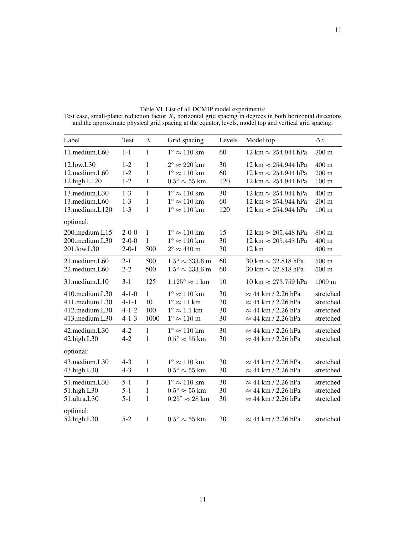| Label          | <b>Test</b> | $\boldsymbol{X}$ | Grid spacing                     | Levels | Model top                                   | $\Delta z$       |
|----------------|-------------|------------------|----------------------------------|--------|---------------------------------------------|------------------|
| 11.medium.L60  | $1 - 1$     | $\mathbf{1}$     | $1^\circ \approx 110 \text{ km}$ | 60     | $12 \text{ km} \approx 254.944 \text{ hPa}$ | $200 \text{ m}$  |
| 12.low.L30     | $1-2$       | $\mathbf{1}$     | $2^{\circ} \approx 220$ km       | 30     | $12 \text{ km} \approx 254.944 \text{ hPa}$ | 400 m            |
| 12.medium.L60  | $1 - 2$     | 1                | $1^{\circ} \approx 110$ km       | 60     | $12 \text{ km} \approx 254.944 \text{ hPa}$ | $200 \text{ m}$  |
| 12.high.L120   | $1 - 2$     | $\mathbf{1}$     | $0.5^{\circ} \approx 55$ km      | 120    | $12 \text{ km} \approx 254.944 \text{ hPa}$ | $100 \text{ m}$  |
| 13. medium.L30 | $1 - 3$     | $\mathbf{1}$     | $1^{\circ} \approx 110$ km       | 30     | $12 \text{ km} \approx 254.944 \text{ hPa}$ | 400 m            |
| 13.medium.L60  | $1 - 3$     | $\mathbf{1}$     | $1^\circ \approx 110$ km         | 60     | $12 \text{ km} \approx 254.944 \text{ hPa}$ | $200 \text{ m}$  |
| 13.medium.L120 | $1 - 3$     | $\mathbf{1}$     | $1^{\circ} \approx 110$ km       | 120    | $12 \text{ km} \approx 254.944 \text{ hPa}$ | $100 \text{ m}$  |
| optional:      |             |                  |                                  |        |                                             |                  |
| 200.medium.L15 | $2 - 0 - 0$ | $\mathbf{1}$     | $1^\circ \approx 110 \text{ km}$ | 15     | $12 \text{ km} \approx 205.448 \text{ hPa}$ | 800 m            |
| 200.medium.L30 | $2 - 0 - 0$ | $\mathbf{1}$     | $1^\circ \approx 110$ km         | 30     | $12 \text{ km} \approx 205.448 \text{ hPa}$ | 400 m            |
| 201.low.L30    | $2 - 0 - 1$ | 500              | $2^{\circ} \approx 440$ m        | 30     | $12 \text{ km}$                             | 400 m            |
| 21.medium.L60  | $2 - 1$     | 500              | $1.5^{\circ} \approx 333.6$ m    | 60     | 30 km $\approx$ 32.818 hPa                  | $500 \text{ m}$  |
| 22.medium.L60  | $2 - 2$     | 500              | $1.5^{\circ} \approx 333.6$ m    | 60     | 30 km $\approx$ 32.818 hPa                  | $500\ {\rm m}$   |
| 31.medium.L10  | $3 - 1$     | 125              | $1.125^{\circ} \approx 1$ km     | 10     | 10 km $\approx$ 273.759 hPa                 | $1000 \text{ m}$ |
| 410.medium.L30 | $4 - 1 - 0$ | $\mathbf{1}$     | $1^{\circ} \approx 110$ km       | 30     | $\approx$ 44 km / 2.26 hPa                  | stretched        |
| 411.medium.L30 | $4 - 1 - 1$ | 10               | $1^{\circ} \approx 11$ km        | 30     | $\approx$ 44 km / 2.26 hPa                  | stretched        |
| 412.medium.L30 | $4 - 1 - 2$ | 100              | $1^{\circ} \approx 1.1$ km       | 30     | $\approx$ 44 km / 2.26 hPa                  | stretched        |
| 413.medium.L30 | $4 - 1 - 3$ | 1000             | $1^{\circ}\approx110$ m          | 30     | $\approx$ 44 km / 2.26 hPa                  | stretched        |
| 42.medium.L30  | $4 - 2$     | $\mathbf{1}$     | $1^\circ \approx 110 \text{ km}$ | 30     | $\approx$ 44 km / 2.26 hPa                  | stretched        |
| 42.high.L30    | $4 - 2$     | $\mathbf{1}$     | $0.5^{\circ} \approx 55$ km      | 30     | $\approx$ 44 km / 2.26 hPa                  | stretched        |
| optional:      |             |                  |                                  |        |                                             |                  |
| 43.medium.L30  | $4 - 3$     | $\mathbf{1}$     | $1^\circ \approx 110$ km         | 30     | $\approx$ 44 km / 2.26 hPa                  | stretched        |
| 43.high.L30    | $4 - 3$     | $\mathbf{1}$     | $0.5^{\circ} \approx 55$ km      | 30     | $\approx$ 44 km / 2.26 hPa                  | stretched        |
| 51.medium.L30  | $5 - 1$     | $\mathbf{1}$     | $1^{\circ} \approx 110$ km       | 30     | $\approx$ 44 km / 2.26 hPa                  | stretched        |
| 51.high.L30    | $5 - 1$     | 1                | $0.5^{\circ} \approx 55$ km      | 30     | $\approx$ 44 km / 2.26 hPa                  | stretched        |
| 51.ultra.L30   | $5 - 1$     | 1                | $0.25^{\circ} \approx 28$ km     | 30     | $\approx$ 44 km / 2.26 hPa                  | stretched        |
| optional:      |             |                  |                                  |        |                                             |                  |
| 52.high.L30    | $5 - 2$     | 1                | $0.5^{\circ} \approx 55$ km      | 30     | $\approx$ 44 km / 2.26 hPa                  | stretched        |

<span id="page-10-0"></span>Table VI. List of all DCMIP model experiments: Test case, small-planet reduction factor X, horizontal grid spacing in degrees in both horizontal directions and the approximate physical grid spacing at the equator, levels, model top and vertical grid spacing.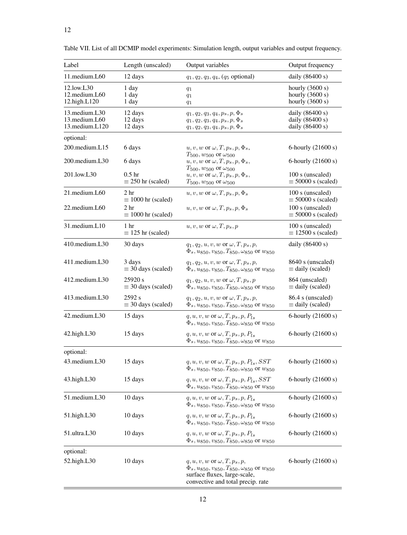| Label                                                         | Length (unscaled)                             | Output variables                                                                                                                                                                         | Output frequency                                            |
|---------------------------------------------------------------|-----------------------------------------------|------------------------------------------------------------------------------------------------------------------------------------------------------------------------------------------|-------------------------------------------------------------|
| 11.medium.L60                                                 | 12 days                                       | $q_1, q_2, q_3, q_4, (q_5 \text{ optional})$                                                                                                                                             | daily $(86400 s)$                                           |
| 12.low.L30<br>12.medium.L60<br>12.high.L120                   | 1 day<br>1 day<br>1 day                       | $q_1$<br>$q_1$<br>$q_1$                                                                                                                                                                  | hourly $(3600 s)$<br>hourly $(3600 s)$<br>hourly $(3600 s)$ |
| 13. medium.L <sub>30</sub><br>13.medium.L60<br>13.medium.L120 | 12 days<br>12 days<br>12 days                 | $q_1, q_2, q_3, q_4, p_s, p, \Phi_s$<br>$q_1,q_2,q_3,q_4,p_s,p,\Phi_s$<br>$q_1, q_2, q_3, q_4, p_s, p, \Phi_s$                                                                           | daily $(86400 s)$<br>daily $(86400 s)$<br>daily (86400 s)   |
| optional:                                                     |                                               |                                                                                                                                                                                          |                                                             |
| 200.medium.L15                                                | 6 days                                        | $u, v, w$ or $\omega, T, p_s, p, \Phi_s$ ,                                                                                                                                               | 6-hourly (21600 s)                                          |
| 200.medium.L30                                                | 6 days                                        | $T_{500}$ , $w_{500}$ or $\omega_{500}$<br>$u, v, w$ or $\omega, T, p_s, p, \Phi_s,$                                                                                                     | 6-hourly (21600 s)                                          |
| 201.low.L30                                                   | 0.5 <sub>hr</sub><br>$\equiv$ 250 hr (scaled) | $T_{500}$ , $w_{500}$ or $\omega_{500}$<br>$u, v, w$ or $\omega, T, p_s, p, \Phi_s$ ,<br>$T_{500}$ , $w_{500}$ or $\omega_{500}$                                                         | 100 s (unscaled)<br>$\equiv$ 50000 s (scaled)               |
| 21.medium.L60                                                 | 2 <sub>hr</sub><br>$\equiv$ 1000 hr (scaled)  | $u, v, w$ or $\omega, T, p_s, p, \Phi_s$                                                                                                                                                 | 100 s (unscaled)<br>$\equiv$ 50000 s (scaled)               |
| 22.medium.L60                                                 | 2 <sub>hr</sub><br>$\equiv$ 1000 hr (scaled)  | $u, v, w$ or $\omega, T, p_s, p, \Phi_s$                                                                                                                                                 | 100 s (unscaled)<br>$\equiv$ 50000 s (scaled)               |
| 31.medium.L10                                                 | 1 hr<br>$\equiv$ 125 hr (scaled)              | $u, v, w$ or $\omega, T, p_s, p$                                                                                                                                                         | 100 s (unscaled)<br>$\equiv$ 12500 s (scaled)               |
| 410.medium.L30                                                | 30 days                                       | $q_1, q_2, u, v, w$ or $\omega, T, p_s, p$ ,<br>$\Phi_s, u_{850}, v_{850}, T_{850}, \omega_{850}$ or $w_{850}$                                                                           | daily $(86400 s)$                                           |
| 411.medium.L30                                                | 3 days<br>$\equiv$ 30 days (scaled)           | $q_1, q_2, u, v, w$ or $\omega, T, p_s, p$ ,<br>$\Phi_s$ , $u_{850}$ , $v_{850}$ , $T_{850}$ , $\omega_{850}$ or $w_{850}$                                                               | 8640 s (unscaled)<br>$\equiv$ daily (scaled)                |
| 412.medium.L30                                                | 25920 s<br>$\equiv$ 30 days (scaled)          | $q_1, q_2, u, v, w$ or $\omega, T, p_s, p$<br>$\Phi_s$ , $u_{850}$ , $v_{850}$ , $T_{850}$ , $\omega_{850}$ or $w_{850}$                                                                 | 864 (unscaled)<br>$\equiv$ daily (scaled)                   |
| 413.medium.L30                                                | 2592 s<br>$\equiv$ 30 days (scaled)           | $q_1, q_2, u, v, w$ or $\omega, T, p_s, p$ ,<br>$\Phi_s$ , $u_{850}$ , $v_{850}$ , $T_{850}$ , $\omega_{850}$ or $w_{850}$                                                               | 86.4 s (unscaled)<br>$\equiv$ daily (scaled)                |
| 42.medium.L30                                                 | 15 days                                       | $q, u, v, w$ or $\omega, T, p_s, p, P_{ls}$<br>$\Phi_s$ , $u_{850}$ , $v_{850}$ , $T_{850}$ , $\omega_{850}$ or $w_{850}$                                                                | 6-hourly (21600 s)                                          |
| 42.high.L30                                                   | 15 days                                       | $q, u, v, w$ or $\omega, T, p_s, p, P_{ls}$<br>$\Phi_s$ , $u_{850}$ , $v_{850}$ , $T_{850}$ , $\omega_{850}$ or $w_{850}$                                                                | 6-hourly (21600 s)                                          |
| optional:                                                     |                                               |                                                                                                                                                                                          |                                                             |
| 43. medium. L30                                               | 15 days                                       | $q, u, v, w$ or $\omega, T, p_s, p, P_{ls}, SST$<br>$\Phi_s$ , $u_{850}$ , $v_{850}$ , $T_{850}$ , $\omega_{850}$ or $w_{850}$                                                           | 6-hourly (21600 s)                                          |
| 43.high.L30                                                   | 15 days                                       | $q, u, v, w$ or $\omega, T, p_s, p, P_{ls}, SST$<br>$\Phi_s$ , $u_{850}$ , $v_{850}$ , $T_{850}$ , $\omega_{850}$ or $w_{850}$                                                           | 6-hourly (21600 s)                                          |
| 51.medium.L30                                                 | 10 days                                       | $q, u, v, w$ or $\omega, T, p_s, p, P_{ls}$<br>$\Phi_s$ , $u_{850}$ , $v_{850}$ , $T_{850}$ , $\omega_{850}$ or $w_{850}$                                                                | 6-hourly (21600 s)                                          |
| 51.high.L30                                                   | 10 days                                       | $q, u, v, w$ or $\omega, T, p_s, p, P_{ls}$<br>$\Phi_s$ , $u$ 850, $v$ 850, $T$ 850, $\omega$ 850 or $w$ 850                                                                             | 6-hourly (21600 s)                                          |
| 51.ultra.L30                                                  | 10 days                                       | $q, u, v, w$ or $\omega, T, p_s, p, P_{ls}$<br>$\Phi_s$ , $u_{850}$ , $v_{850}$ , $T_{850}$ , $\omega_{850}$ or $w_{850}$                                                                | 6-hourly (21600 s)                                          |
| optional:                                                     |                                               |                                                                                                                                                                                          |                                                             |
| 52.high.L30                                                   | 10 days                                       | $q, u, v, w$ or $\omega, T, p_s, p$ ,<br>$\Phi_s$ , $u_{850}$ , $v_{850}$ , $T_{850}$ , $\omega_{850}$ or $w_{850}$<br>surface fluxes, large-scale,<br>convective and total precip. rate | 6-hourly (21600 s)                                          |

<span id="page-11-0"></span>Table VII. List of all DCMIP model experiments: Simulation length, output variables and output frequency.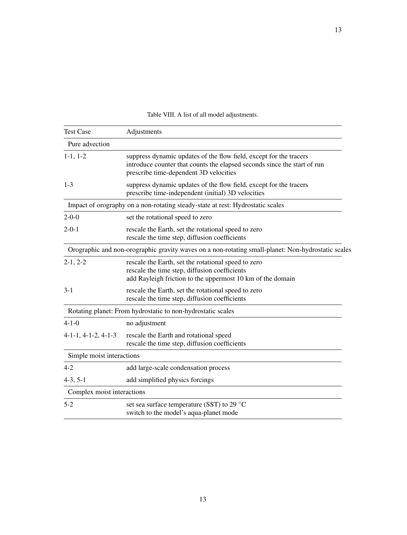<span id="page-12-0"></span>

| <b>Test Case</b>           | Adjustments                                                                                                                                                                              |  |  |
|----------------------------|------------------------------------------------------------------------------------------------------------------------------------------------------------------------------------------|--|--|
| Pure advection             |                                                                                                                                                                                          |  |  |
| $1-1, 1-2$                 | suppress dynamic updates of the flow field, except for the tracers<br>introduce counter that counts the elapsed seconds since the start of run<br>prescribe time-dependent 3D velocities |  |  |
| $1 - 3$                    | suppress dynamic updates of the flow field, except for the tracers<br>prescribe time-independent (initial) 3D velocities                                                                 |  |  |
|                            | Impact of orography on a non-rotating steady-state at rest: Hydrostatic scales                                                                                                           |  |  |
| $2 - 0 - 0$                | set the rotational speed to zero                                                                                                                                                         |  |  |
| $2 - 0 - 1$                | rescale the Earth, set the rotational speed to zero<br>rescale the time step, diffusion coefficients                                                                                     |  |  |
|                            | Orographic and non-orographic gravity waves on a non-rotating small-planet: Non-hydrostatic scales                                                                                       |  |  |
| $2-1, 2-2$                 | rescale the Earth, set the rotational speed to zero<br>rescale the time step, diffusion coefficients<br>add Rayleigh friction to the uppermost 10 km of the domain                       |  |  |
| $3-1$                      | rescale the Earth, set the rotational speed to zero<br>rescale the time step, diffusion coefficients                                                                                     |  |  |
|                            | Rotating planet: From hydrostatic to non-hydrostatic scales                                                                                                                              |  |  |
| $4 - 1 - 0$                | no adjustment                                                                                                                                                                            |  |  |
| $4-1-1, 4-1-2, 4-1-3$      | rescale the Earth and rotational speed<br>rescale the time step, diffusion coefficients                                                                                                  |  |  |
| Simple moist interactions  |                                                                                                                                                                                          |  |  |
| $4 - 2$                    | add large-scale condensation process                                                                                                                                                     |  |  |
| $4-3, 5-1$                 | add simplified physics forcings                                                                                                                                                          |  |  |
| Complex moist interactions |                                                                                                                                                                                          |  |  |
| $5-2$                      | set sea surface temperature (SST) to 29 °C<br>switch to the model's aqua-planet mode                                                                                                     |  |  |

Table VIII. A list of all model adjustments.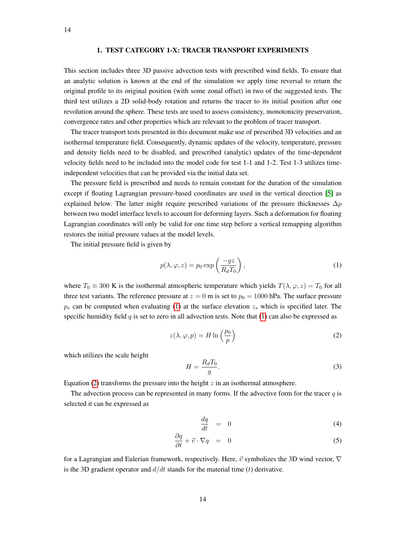# 1. TEST CATEGORY 1-X: TRACER TRANSPORT EXPERIMENTS

<span id="page-13-0"></span>This section includes three 3D passive advection tests with prescribed wind fields. To ensure that an analytic solution is known at the end of the simulation we apply time reversal to return the original profile to its original position (with some zonal offset) in two of the suggested tests. The third test utilizes a 2D solid-body rotation and returns the tracer to its initial position after one revolution around the sphere. These tests are used to assess consistency, monotonicity preservation, convergence rates and other properties which are relevant to the problem of tracer transport.

The tracer transport tests presented in this document make use of prescribed 3D velocities and an isothermal temperature field. Consequently, dynamic updates of the velocity, temperature, pressure and density fields need to be disabled, and prescribed (analytic) updates of the time-dependent velocity fields need to be included into the model code for test 1-1 and 1-2. Test 1-3 utilizes timeindependent velocities that can be provided via the initial data set.

The pressure field is prescribed and needs to remain constant for the duration of the simulation except if floating Lagrangian pressure-based coordinates are used in the vertical direction [\[5\]](#page-53-4) as explained below. The latter might require prescribed variations of the pressure thicknesses  $\Delta p$ between two model interface levels to account for deforming layers. Such a deformation for floating Lagrangian coordinates will only be valid for one time step before a vertical remapping algorithm restores the initial pressure values at the model levels.

The initial pressure field is given by

<span id="page-13-1"></span>
$$
p(\lambda, \varphi, z) = p_0 \exp\left(\frac{-gz}{R_d T_0}\right),\tag{1}
$$

where  $T_0 \equiv 300$  K is the isothermal atmospheric temperature which yields  $T(\lambda, \varphi, z) = T_0$  for all three test variants. The reference pressure at  $z = 0$  m is set to  $p_0 = 1000$  hPa. The surface pressure  $p_s$  can be computed when evaluating [\(1\)](#page-13-1) at the surface elevation  $z_s$  which is specified later. The specific humidity field  $q$  is set to zero in all advection tests. Note that [\(1\)](#page-13-1) can also be expressed as

<span id="page-13-2"></span>
$$
z(\lambda, \varphi, p) = H \ln \left( \frac{p_0}{p} \right) \tag{2}
$$

which utilizes the scale height

$$
H = \frac{R_d T_0}{g}.\tag{3}
$$

Equation [\(2\)](#page-13-2) transforms the pressure into the height  $z$  in an isothermal atmosphere.

The advection process can be represented in many forms. If the advective form for the tracer  $q$  is selected it can be expressed as

<span id="page-13-3"></span>
$$
\frac{dq}{dt} = 0 \tag{4}
$$

$$
\frac{\partial q}{\partial t} + \vec{v} \cdot \nabla q = 0 \tag{5}
$$

for a Lagrangian and Eulerian framework, respectively. Here,  $\vec{v}$  symbolizes the 3D wind vector,  $\nabla$ is the 3D gradient operator and  $d/dt$  stands for the material time (t) derivative.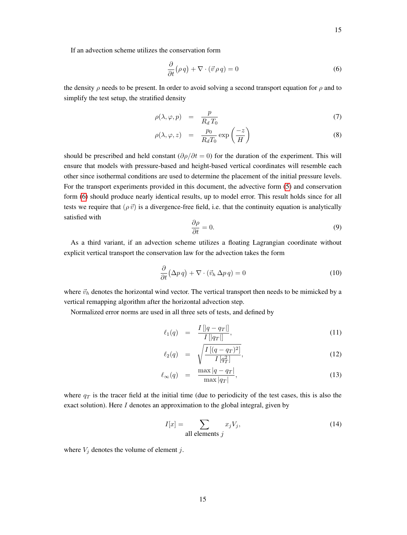If an advection scheme utilizes the conservation form

<span id="page-14-0"></span>
$$
\frac{\partial}{\partial t}(\rho q) + \nabla \cdot (\vec{v} \rho q) = 0 \tag{6}
$$

the density  $\rho$  needs to be present. In order to avoid solving a second transport equation for  $\rho$  and to simplify the test setup, the stratified density

$$
\rho(\lambda, \varphi, p) = \frac{p}{R_d T_0} \tag{7}
$$

<span id="page-14-1"></span>
$$
\rho(\lambda, \varphi, z) = \frac{p_0}{R_d T_0} \exp\left(\frac{-z}{H}\right) \tag{8}
$$

should be prescribed and held constant ( $\partial \rho / \partial t = 0$ ) for the duration of the experiment. This will ensure that models with pressure-based and height-based vertical coordinates will resemble each other since isothermal conditions are used to determine the placement of the initial pressure levels. For the transport experiments provided in this document, the advective form [\(5\)](#page-13-3) and conservation form [\(6\)](#page-14-0) should produce nearly identical results, up to model error. This result holds since for all tests we require that  $(\rho \vec{v})$  is a divergence-free field, i.e. that the continuity equation is analytically satisfied with

$$
\frac{\partial \rho}{\partial t} = 0. \tag{9}
$$

As a third variant, if an advection scheme utilizes a floating Lagrangian coordinate without explicit vertical transport the conservation law for the advection takes the form

$$
\frac{\partial}{\partial t} (\Delta p \, q) + \nabla \cdot (\vec{v}_h \, \Delta p \, q) = 0 \tag{10}
$$

where  $\vec{v}_h$  denotes the horizontal wind vector. The vertical transport then needs to be mimicked by a vertical remapping algorithm after the horizontal advection step.

Normalized error norms are used in all three sets of tests, and defined by

$$
\ell_1(q) = \frac{I[|q - q_T|]}{I[|q_T|]}, \tag{11}
$$

$$
\ell_2(q) = \sqrt{\frac{I\left[ (q - q_T)^2 \right]}{I\left[ q_T^2 \right]}},\tag{12}
$$

$$
\ell_{\infty}(q) = \frac{\max|q - q_T|}{\max|q_T|},\tag{13}
$$

where  $q_T$  is the tracer field at the initial time (due to periodicity of the test cases, this is also the exact solution). Here I denotes an approximation to the global integral, given by

$$
I[x] = \sum_{\text{all elements } j} x_j V_j,
$$
 (14)

where  $V_j$  denotes the volume of element j.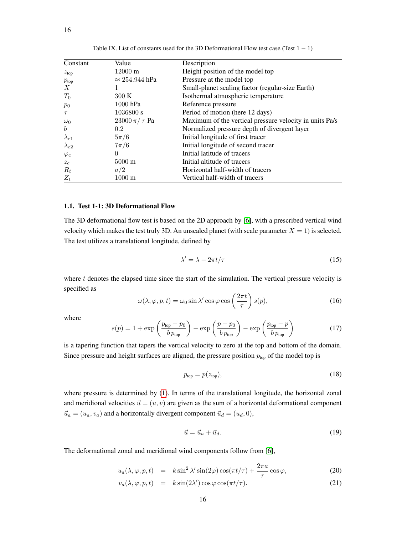| Constant         | Value                 | Description                                             |
|------------------|-----------------------|---------------------------------------------------------|
| z <sub>top</sub> | $12000 \text{ m}$     | Height position of the model top                        |
| $p_{\rm top}$    | $\approx 254.944$ hPa | Pressure at the model top                               |
| X                | Ι.                    | Small-planet scaling factor (regular-size Earth)        |
| $T_0$            | 300K                  | Isothermal atmospheric temperature                      |
| $p_0$            | $1000$ hPa            | Reference pressure                                      |
| $\tau$           | 1036800 s             | Period of motion (here 12 days)                         |
| $\omega_0$       | $23000 \pi / \tau$ Pa | Maximum of the vertical pressure velocity in units Pa/s |
| $\boldsymbol{b}$ | 0.2                   | Normalized pressure depth of divergent layer            |
| $\lambda_{c1}$   | $5\pi/6$              | Initial longitude of first tracer                       |
| $\lambda_{c2}$   | $7\pi/6$              | Initial longitude of second tracer                      |
| $\varphi_c$      | $\Omega$              | Initial latitude of tracers                             |
| $z_c$            | $5000 \text{ m}$      | Initial altitude of tracers                             |
| $R_t$            | a/2                   | Horizontal half-width of tracers                        |
| $Z_t$            | $1000 \text{ m}$      | Vertical half-width of tracers                          |

Table IX. List of constants used for the 3D Deformational Flow test case (Test  $1 - 1$ )

# 1.1. Test 1-1: 3D Deformational Flow

The 3D deformational flow test is based on the 2D approach by [\[6\]](#page-53-5), with a prescribed vertical wind velocity which makes the test truly 3D. An unscaled planet (with scale parameter  $X = 1$ ) is selected. The test utilizes a translational longitude, defined by

$$
\lambda' = \lambda - 2\pi t/\tau \tag{15}
$$

where t denotes the elapsed time since the start of the simulation. The vertical pressure velocity is specified as

<span id="page-15-0"></span>
$$
\omega(\lambda, \varphi, p, t) = \omega_0 \sin \lambda' \cos \varphi \cos \left(\frac{2\pi t}{\tau}\right) s(p),\tag{16}
$$

where

<span id="page-15-1"></span>
$$
s(p) = 1 + \exp\left(\frac{p_{\text{top}} - p_0}{b p_{\text{top}}}\right) - \exp\left(\frac{p - p_0}{b p_{\text{top}}}\right) - \exp\left(\frac{p_{\text{top}} - p}{b p_{\text{top}}}\right) \tag{17}
$$

is a tapering function that tapers the vertical velocity to zero at the top and bottom of the domain. Since pressure and height surfaces are aligned, the pressure position  $p_{top}$  of the model top is

$$
p_{\text{top}} = p(z_{\text{top}}),\tag{18}
$$

where pressure is determined by [\(1\)](#page-13-1). In terms of the translational longitude, the horizontal zonal and meridional velocities  $\vec{u} = (u, v)$  are given as the sum of a horizontal deformational component  $\vec{u}_a = (u_a, v_a)$  and a horizontally divergent component  $\vec{u}_d = (u_d, 0)$ ,

$$
\vec{u} = \vec{u}_a + \vec{u}_d. \tag{19}
$$

The deformational zonal and meridional wind components follow from [\[6\]](#page-53-5),

$$
u_a(\lambda, \varphi, p, t) = k \sin^2 \lambda' \sin(2\varphi) \cos(\pi t/\tau) + \frac{2\pi a}{\tau} \cos \varphi,
$$
 (20)

$$
v_a(\lambda, \varphi, p, t) = k \sin(2\lambda') \cos \varphi \cos(\pi t/\tau). \tag{21}
$$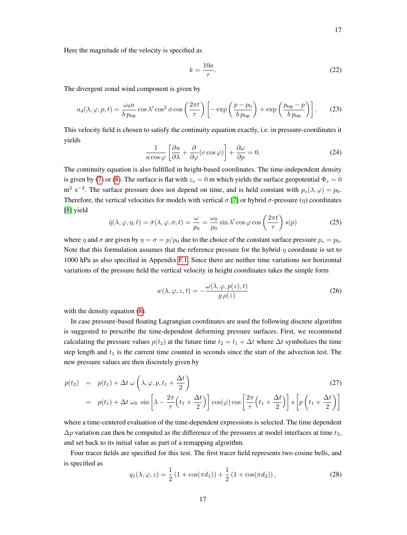Here the magnitude of the velocity is specified as

$$
k = \frac{10a}{\tau}.\tag{22}
$$

The divergent zonal wind component is given by

<span id="page-16-0"></span>
$$
u_d(\lambda, \varphi, p, t) = \frac{\omega_0 a}{b p_{\text{top}}} \cos \lambda' \cos^2 \phi \cos \left(\frac{2\pi t}{\tau}\right) \left[ -\exp\left(\frac{p - p_0}{b p_{\text{top}}}\right) + \exp\left(\frac{p_{\text{top}} - p}{b p_{\text{top}}}\right) \right].
$$
 (23)

This velocity field is chosen to satisfy the continuity equation exactly, i.e. in pressure-coordinates it yields

<span id="page-16-1"></span>
$$
\frac{1}{a\cos\varphi} \left[ \frac{\partial u}{\partial \lambda} + \frac{\partial}{\partial \varphi} (v\cos\varphi) \right] + \frac{\partial \omega}{\partial p} = 0.
$$
 (24)

The continuity equation is also fulfilled in height-based coordinates. The time-independent density is given by [\(7\)](#page-14-1) or [\(8\)](#page-14-1). The surface is flat with  $z_s = 0$  m which yields the surface geopotential  $\Phi_s = 0$ m<sup>2</sup> s<sup>-2</sup>. The surface pressure does not depend on time, and is held constant with  $p_s(\lambda, \varphi) = p_0$ . Therefore, the vertical velocities for models with vertical  $\sigma$  [\[7\]](#page-53-6) or hybrid  $\sigma$ -pressure ( $\eta$ ) coordinates [\[8\]](#page-53-7) yield

$$
\dot{\eta}(\lambda,\varphi,\eta,t) = \dot{\sigma}(\lambda,\varphi,\sigma,t) = \frac{\omega}{p_0} = \frac{\omega_0}{p_0} \sin \lambda' \cos \varphi \cos \left(\frac{2\pi t}{\tau}\right) s(p) \tag{25}
$$

where  $\eta$  and  $\sigma$  are given by  $\eta = \sigma = p/p_0$  due to the choice of the constant surface pressure  $p_s = p_0$ . Note that this formulation assumes that the reference pressure for the hybrid  $\eta$  coordinate is set to 1000 hPa as also specified in Appendix [F.1.](#page-63-0) Since there are neither time variations nor horizontal variations of the pressure field the vertical velocity in height coordinates takes the simple form

<span id="page-16-2"></span>
$$
w(\lambda, \varphi, z, t) = -\frac{\omega(\lambda, \varphi, p(z), t)}{g \rho(z)}
$$
(26)

with the density equation  $(8)$ .

In case pressure-based floating Lagrangian coordinates are used the following discrete algorithm is suggested to prescribe the time-dependent deforming pressure surfaces. First, we recommend calculating the pressure values  $p(t_2)$  at the future time  $t_2 = t_1 + \Delta t$  where  $\Delta t$  symbolizes the time step length and  $t_1$  is the current time counted in seconds since the start of the advection test. The new pressure values are then discretely given by

<span id="page-16-3"></span>
$$
p(t_2) = p(t_1) + \Delta t \omega \left( \lambda, \varphi, p, t_1 + \frac{\Delta t}{2} \right)
$$
\n
$$
(27)
$$
\n
$$
(1) \Delta t \omega \left[ \lambda \frac{2\pi}{\lambda}, \frac{\Delta t}{2} \right]
$$
\n
$$
(27)
$$

$$
= p(t_1) + \Delta t \omega_0 \sin \left[ \lambda - \frac{2\pi}{\tau} \left( t_1 + \frac{\Delta t}{2} \right) \right] \cos(\varphi) \cos \left[ \frac{2\pi}{\tau} \left( t_1 + \frac{\Delta t}{2} \right) \right] s \left[ p \left( t_1 + \frac{\Delta t}{2} \right) \right]
$$

where a time-centered evaluation of the time-dependent expressions is selected. The time dependent  $\Delta p$  variation can then be computed as the difference of the pressures at model interfaces at time  $t_2$ , and set back to its initial value as part of a remapping algorithm.

Four tracer fields are specified for this test. The first tracer field represents two cosine bells, and is specified as

$$
q_1(\lambda, \varphi, z) = \frac{1}{2} \left( 1 + \cos(\pi d_1) \right) + \frac{1}{2} \left( 1 + \cos(\pi d_2) \right),\tag{28}
$$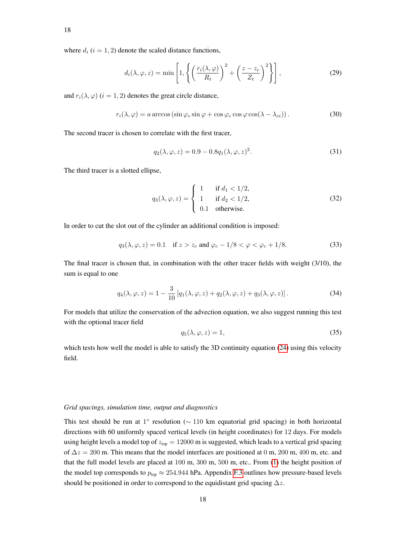where  $d_i$  ( $i = 1, 2$ ) denote the scaled distance functions,

$$
d_i(\lambda, \varphi, z) = \min\left[1, \left\{ \left(\frac{r_i(\lambda, \varphi)}{R_t}\right)^2 + \left(\frac{z - z_c}{Z_t}\right)^2 \right\} \right],\tag{29}
$$

and  $r_i(\lambda, \varphi)$  ( $i = 1, 2$ ) denotes the great circle distance,

$$
r_i(\lambda, \varphi) = a \arccos \left( \sin \varphi_c \sin \varphi + \cos \varphi_c \cos \varphi \cos(\lambda - \lambda_{ci}) \right). \tag{30}
$$

The second tracer is chosen to correlate with the first tracer,

$$
q_2(\lambda, \varphi, z) = 0.9 - 0.8q_1(\lambda, \varphi, z)^2.
$$
 (31)

The third tracer is a slotted ellipse,

$$
q_3(\lambda, \varphi, z) = \begin{cases} 1 & \text{if } d_1 < 1/2, \\ 1 & \text{if } d_2 < 1/2, \\ 0.1 & \text{otherwise.} \end{cases}
$$
 (32)

In order to cut the slot out of the cylinder an additional condition is imposed:

$$
q_3(\lambda, \varphi, z) = 0.1 \quad \text{if } z > z_c \text{ and } \varphi_c - 1/8 < \varphi < \varphi_c + 1/8. \tag{33}
$$

The final tracer is chosen that, in combination with the other tracer fields with weight (3/10), the sum is equal to one

$$
q_4(\lambda, \varphi, z) = 1 - \frac{3}{10} \left[ q_1(\lambda, \varphi, z) + q_2(\lambda, \varphi, z) + q_3(\lambda, \varphi, z) \right].
$$
 (34)

For models that utilize the conservation of the advection equation, we also suggest running this test with the optional tracer field

$$
q_5(\lambda, \varphi, z) = 1,\tag{35}
$$

which tests how well the model is able to satisfy the 3D continuity equation [\(24\)](#page-16-1) using this velocity field.

#### *Grid spacings, simulation time, output and diagnostics*

This test should be run at 1° resolution ( $\sim$  110 km equatorial grid spacing) in both horizontal directions with 60 uniformly spaced vertical levels (in height coordinates) for 12 days. For models using height levels a model top of  $z_{\text{top}} = 12000$  m is suggested, which leads to a vertical grid spacing of  $\Delta z = 200$  m. This means that the model interfaces are positioned at 0 m, 200 m, 400 m, etc. and that the full model levels are placed at 100 m, 300 m, 500 m, etc.. From [\(1\)](#page-13-1) the height position of the model top corresponds to  $p_{top} \approx 254.944$  hPa. Appendix [F.3](#page-65-0) outlines how pressure-based levels should be positioned in order to correspond to the equidistant grid spacing  $\Delta z$ .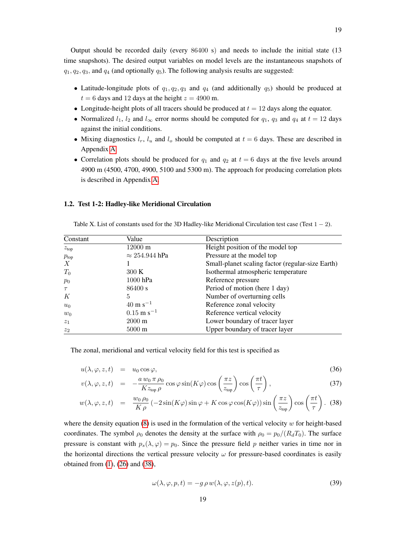Output should be recorded daily (every 86400 s) and needs to include the initial state (13 time snapshots). The desired output variables on model levels are the instantaneous snapshots of  $q_1, q_2, q_3$ , and  $q_4$  (and optionally  $q_5$ ). The following analysis results are suggested:

- Latitude-longitude plots of  $q_1, q_2, q_3$  and  $q_4$  (and additionally  $q_5$ ) should be produced at  $t = 6$  days and 12 days at the height  $z = 4900$  m.
- Longitude-height plots of all tracers should be produced at  $t = 12$  days along the equator.
- Normalized  $l_1$ ,  $l_2$  and  $l_{\infty}$  error norms should be computed for  $q_1$ ,  $q_3$  and  $q_4$  at  $t = 12$  days against the initial conditions.
- Mixing diagnostics  $l_r$ ,  $l_u$  and  $l_o$  should be computed at  $t = 6$  days. These are described in Appendix [A.](#page-54-0)
- Correlation plots should be produced for  $q_1$  and  $q_2$  at  $t = 6$  days at the five levels around 4900 m (4500, 4700, 4900, 5100 and 5300 m). The approach for producing correlation plots is described in Appendix [A.](#page-54-0)

# 1.2. Test 1-2: Hadley-like Meridional Circulation

Table X. List of constants used for the 3D Hadley-like Meridional Circulation test case (Test  $1 - 2$ ).

| Constant         | Value                   | Description                                      |
|------------------|-------------------------|--------------------------------------------------|
| z <sub>top</sub> | $12000 \text{ m}$       | Height position of the model top                 |
| $p_{\rm top}$    | $\approx 254.944$ hPa   | Pressure at the model top                        |
| X                |                         | Small-planet scaling factor (regular-size Earth) |
| $T_0$            | 300K                    | Isothermal atmospheric temperature               |
| $p_0$            | 1000 hPa                | Reference pressure                               |
| $\tau$           | 86400 s                 | Period of motion (here 1 day)                    |
| K                | 5                       | Number of overturning cells                      |
| $u_0$            | $40 \text{ m s}^{-1}$   | Reference zonal velocity                         |
| $w_0$            | $0.15 \text{ m s}^{-1}$ | Reference vertical velocity                      |
| $z_1$            | $2000 \text{ m}$        | Lower boundary of tracer layer                   |
| z <sub>2</sub>   | $5000 \text{ m}$        | Upper boundary of tracer layer                   |

The zonal, meridional and vertical velocity field for this test is specified as

<span id="page-18-0"></span>
$$
u(\lambda, \varphi, z, t) = u_0 \cos \varphi, \tag{36}
$$

$$
v(\lambda, \varphi, z, t) = -\frac{a w_0 \pi \rho_0}{K z_{\text{top}} \rho} \cos \varphi \sin(K \varphi) \cos\left(\frac{\pi z}{z_{\text{top}}}\right) \cos\left(\frac{\pi t}{\tau}\right), \tag{37}
$$

$$
w(\lambda, \varphi, z, t) = \frac{w_0 \rho_0}{K \rho} \left( -2 \sin(K \varphi) \sin \varphi + K \cos \varphi \cos(K \varphi) \right) \sin \left( \frac{\pi z}{z_{\text{top}}} \right) \cos \left( \frac{\pi t}{\tau} \right). (38)
$$

where the density equation [\(8\)](#page-14-1) is used in the formulation of the vertical velocity  $w$  for height-based coordinates. The symbol  $\rho_0$  denotes the density at the surface with  $\rho_0 = p_0/(R_dT_0)$ . The surface pressure is constant with  $p_s(\lambda, \varphi) = p_0$ . Since the pressure field p neither varies in time nor in the horizontal directions the vertical pressure velocity  $\omega$  for pressure-based coordinates is easily obtained from [\(1\)](#page-13-1), [\(26\)](#page-16-2) and [\(38\)](#page-18-0),

<span id="page-18-1"></span>
$$
\omega(\lambda, \varphi, p, t) = -g \, \rho \, w(\lambda, \varphi, z(p), t). \tag{39}
$$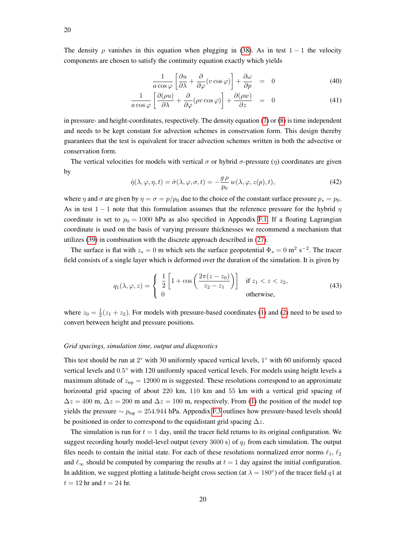The density  $\rho$  vanishes in this equation when plugging in [\(38\)](#page-18-0). As in test 1 − 1 the velocity components are chosen to satisfy the continuity equation exactly which yields

$$
\frac{1}{a\cos\varphi} \left[ \frac{\partial u}{\partial \lambda} + \frac{\partial}{\partial \varphi} (v\cos\varphi) \right] + \frac{\partial \omega}{\partial p} = 0 \tag{40}
$$

$$
\frac{1}{a\cos\varphi} \left[ \frac{\partial(\rho u)}{\partial \lambda} + \frac{\partial}{\partial \varphi} (\rho v \cos\varphi) \right] + \frac{\partial(\rho w)}{\partial z} = 0 \tag{41}
$$

in pressure- and height-coordinates, respectively. The density equation [\(7\)](#page-14-1) or [\(8\)](#page-14-1) is time independent and needs to be kept constant for advection schemes in conservation form. This design thereby guarantees that the test is equivalent for tracer advection schemes written in both the advective or conservation form.

The vertical velocities for models with vertical  $\sigma$  or hybrid  $\sigma$ -pressure (η) coordinates are given by

$$
\dot{\eta}(\lambda,\varphi,\eta,t) = \dot{\sigma}(\lambda,\varphi,\sigma,t) = -\frac{g\,\rho}{p_0}\,w(\lambda,\varphi,z(p),t),\tag{42}
$$

where  $\eta$  and  $\sigma$  are given by  $\eta = \sigma = p/p_0$  due to the choice of the constant surface pressure  $p_s = p_0$ . As in test 1 − 1 note that this formulation assumes that the reference pressure for the hybrid  $\eta$ coordinate is set to  $p_0 = 1000$  hPa as also specified in Appendix [F.1.](#page-63-0) If a floating Lagrangian coordinate is used on the basis of varying pressure thicknesses we recommend a mechanism that utilizes [\(39\)](#page-18-1) in combination with the discrete approach described in [\(27\)](#page-16-3).

The surface is flat with  $z_s = 0$  m which sets the surface geopotential  $\Phi_s = 0$  m<sup>2</sup> s<sup>-2</sup>. The tracer field consists of a single layer which is deformed over the duration of the simulation. It is given by

$$
q_1(\lambda, \varphi, z) = \begin{cases} \frac{1}{2} \left[ 1 + \cos \left( \frac{2\pi (z - z_0)}{z_2 - z_1} \right) \right] & \text{if } z_1 < z < z_2, \\ 0 & \text{otherwise,} \end{cases}
$$
(43)

where  $z_0 = \frac{1}{2}(z_1 + z_2)$ . For models with pressure-based coordinates [\(1\)](#page-13-1) and [\(2\)](#page-13-2) need to be used to convert between height and pressure positions.

# *Grid spacings, simulation time, output and diagnostics*

This test should be run at  $2^{\circ}$  with 30 uniformly spaced vertical levels,  $1^{\circ}$  with 60 uniformly spaced vertical levels and  $0.5^{\circ}$  with 120 uniformly spaced vertical levels. For models using height levels a maximum altitude of  $z<sub>top</sub> = 12000$  m is suggested. These resolutions correspond to an approximate horizontal grid spacing of about 220 km, 110 km and 55 km with a vertical grid spacing of  $\Delta z = 400$  m,  $\Delta z = 200$  m and  $\Delta z = 100$  m, respectively. From [\(1\)](#page-13-1) the position of the model top yields the pressure  $∼ p_{\text{top}} = 254.944$  hPa. Appendix [F.3](#page-65-0) outlines how pressure-based levels should be positioned in order to correspond to the equidistant grid spacing  $\Delta z$ .

The simulation is run for  $t = 1$  day, until the tracer field returns to its original configuration. We suggest recording hourly model-level output (every 3600 s) of  $q_1$  from each simulation. The output files needs to contain the initial state. For each of these resolutions normalized error norms  $\ell_1$ ,  $\ell_2$ and  $\ell_{\infty}$  should be computed by comparing the results at  $t = 1$  day against the initial configuration. In addition, we suggest plotting a latitude-height cross section (at  $\lambda = 180^{\circ}$ ) of the tracer field  $q1$  at  $t = 12$  hr and  $t = 24$  hr.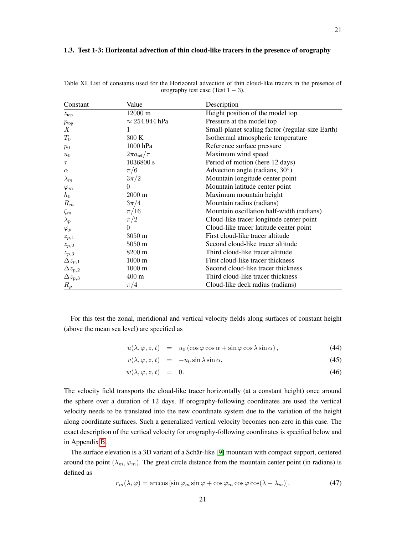# 1.3. Test 1-3: Horizontal advection of thin cloud-like tracers in the presence of orography

| Constant         | Value                      | Description                                      |
|------------------|----------------------------|--------------------------------------------------|
| z <sub>top</sub> | $12000 \text{ m}$          | Height position of the model top                 |
| $p_{\text{top}}$ | $\approx 254.944$ hPa      | Pressure at the model top                        |
| X                |                            | Small-planet scaling factor (regular-size Earth) |
| $T_0$            | 300 K                      | Isothermal atmospheric temperature               |
| $p_0$            | 1000 hPa                   | Reference surface pressure                       |
| $u_0$            | $2\pi a_{\text{ref}}/\tau$ | Maximum wind speed                               |
| $\tau$           | 1036800 s                  | Period of motion (here 12 days)                  |
| $\alpha$         | $\pi/6$                    | Advection angle (radians, $30^{\circ}$ )         |
| $\lambda_m$      | $3\pi/2$                   | Mountain longitude center point                  |
| $\varphi_m$      | $\Omega$                   | Mountain latitude center point                   |
| $h_0$            | $2000 \text{ m}$           | Maximum mountain height                          |
| $R_m$            | $3\pi/4$                   | Mountain radius (radians)                        |
| $\zeta_m$        | $\pi/16$                   | Mountain oscillation half-width (radians)        |
| $\lambda_p$      | $\pi/2$                    | Cloud-like tracer longitude center point         |
| $\varphi_p$      | $\Omega$                   | Cloud-like tracer latitude center point          |
| $z_{p,1}$        | $3050 \text{ m}$           | First cloud-like tracer altitude                 |
| $z_{p,2}$        | $5050 \text{ m}$           | Second cloud-like tracer altitude                |
| $z_{p,3}$        | 8200 m                     | Third cloud-like tracer altitude                 |
| $\Delta z_{p,1}$ | $1000 \text{ m}$           | First cloud-like tracer thickness                |
| $\Delta z_{p,2}$ | $1000 \text{ m}$           | Second cloud-like tracer thickness               |
| $\Delta z_{p,3}$ | $400 \text{ m}$            | Third cloud-like tracer thickness                |
| $R_p$            | $\pi/4$                    | Cloud-like deck radius (radians)                 |

Table XI. List of constants used for the Horizontal advection of thin cloud-like tracers in the presence of orography test case (Test  $1 - 3$ ).

For this test the zonal, meridional and vertical velocity fields along surfaces of constant height (above the mean sea level) are specified as

<span id="page-20-0"></span>
$$
u(\lambda, \varphi, z, t) = u_0 (\cos \varphi \cos \alpha + \sin \varphi \cos \lambda \sin \alpha), \qquad (44)
$$

$$
v(\lambda, \varphi, z, t) = -u_0 \sin \lambda \sin \alpha, \tag{45}
$$

$$
w(\lambda, \varphi, z, t) = 0. \tag{46}
$$

The velocity field transports the cloud-like tracer horizontally (at a constant height) once around the sphere over a duration of 12 days. If orography-following coordinates are used the vertical velocity needs to be translated into the new coordinate system due to the variation of the height along coordinate surfaces. Such a generalized vertical velocity becomes non-zero in this case. The exact description of the vertical velocity for orography-following coordinates is specified below and in Appendix [B.](#page-56-0)

The surface elevation is a 3D variant of a Schär-like [\[9\]](#page-53-8) mountain with compact support, centered around the point  $(\lambda_m, \varphi_m)$ . The great circle distance from the mountain center point (in radians) is defined as

$$
r_m(\lambda, \varphi) = \arccos\left[\sin\varphi_m \sin\varphi + \cos\varphi_m \cos\varphi \cos(\lambda - \lambda_m)\right].\tag{47}
$$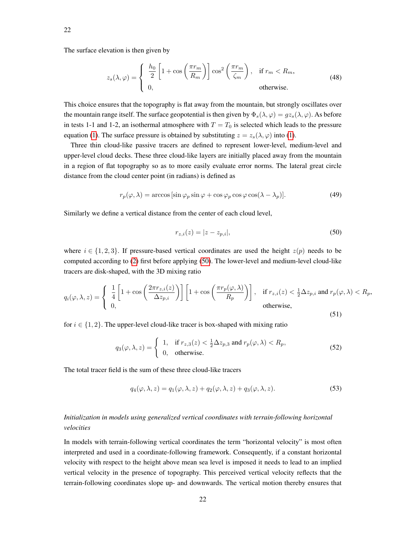The surface elevation is then given by

<span id="page-21-1"></span>
$$
z_s(\lambda, \varphi) = \begin{cases} \frac{h_0}{2} \left[ 1 + \cos\left(\frac{\pi r_m}{R_m}\right) \right] \cos^2\left(\frac{\pi r_m}{\zeta_m}\right), & \text{if } r_m < R_m, \\ 0, & \text{otherwise.} \end{cases} \tag{48}
$$

This choice ensures that the topography is flat away from the mountain, but strongly oscillates over the mountain range itself. The surface geopotential is then given by  $\Phi_s(\lambda, \varphi) = gz_s(\lambda, \varphi)$ . As before in tests 1-1 and 1-2, an isothermal atmosphere with  $T = T_0$  is selected which leads to the pressure equation [\(1\)](#page-13-1). The surface pressure is obtained by substituting  $z = z_s(\lambda, \varphi)$  into (1).

Three thin cloud-like passive tracers are defined to represent lower-level, medium-level and upper-level cloud decks. These three cloud-like layers are initially placed away from the mountain in a region of flat topography so as to more easily evaluate error norms. The lateral great circle distance from the cloud center point (in radians) is defined as

$$
r_p(\varphi, \lambda) = \arccos\left[\sin\varphi_p \sin\varphi + \cos\varphi_p \cos\varphi \cos(\lambda - \lambda_p)\right].\tag{49}
$$

Similarly we define a vertical distance from the center of each cloud level,

<span id="page-21-0"></span>
$$
r_{z,i}(z) = |z - z_{p,i}|,\t\t(50)
$$

where  $i \in \{1, 2, 3\}$ . If pressure-based vertical coordinates are used the height  $z(p)$  needs to be computed according to [\(2\)](#page-13-2) first before applying [\(50\)](#page-21-0). The lower-level and medium-level cloud-like tracers are disk-shaped, with the 3D mixing ratio

$$
q_i(\varphi, \lambda, z) = \begin{cases} \frac{1}{4} \left[ 1 + \cos \left( \frac{2\pi r_{z,i}(z)}{\Delta z_{p,i}} \right) \right] \left[ 1 + \cos \left( \frac{\pi r_p(\varphi, \lambda)}{R_p} \right) \right], & \text{if } r_{z,i}(z) < \frac{1}{2} \Delta z_{p,i} \text{ and } r_p(\varphi, \lambda) < R_p, \\ 0, & \text{otherwise,} \end{cases}
$$
(51)

for  $i \in \{1, 2\}$ . The upper-level cloud-like tracer is box-shaped with mixing ratio

$$
q_3(\varphi, \lambda, z) = \begin{cases} 1, & \text{if } r_{z,3}(z) < \frac{1}{2}\Delta z_{p,3} \text{ and } r_p(\varphi, \lambda) < R_p, \\ 0, & \text{otherwise.} \end{cases} \tag{52}
$$

The total tracer field is the sum of these three cloud-like tracers

$$
q_4(\varphi, \lambda, z) = q_1(\varphi, \lambda, z) + q_2(\varphi, \lambda, z) + q_3(\varphi, \lambda, z). \tag{53}
$$

# *Initialization in models using generalized vertical coordinates with terrain-following horizontal velocities*

In models with terrain-following vertical coordinates the term "horizontal velocity" is most often interpreted and used in a coordinate-following framework. Consequently, if a constant horizontal velocity with respect to the height above mean sea level is imposed it needs to lead to an implied vertical velocity in the presence of topography. This perceived vertical velocity reflects that the terrain-following coordinates slope up- and downwards. The vertical motion thereby ensures that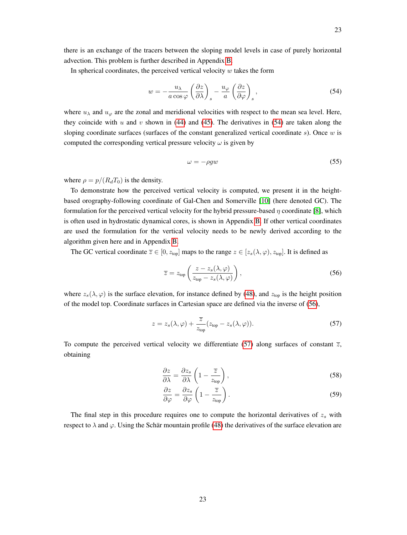there is an exchange of the tracers between the sloping model levels in case of purely horizontal advection. This problem is further described in Appendix [B.](#page-56-0)

In spherical coordinates, the perceived vertical velocity  $w$  takes the form

<span id="page-22-0"></span>
$$
w = -\frac{u_{\lambda}}{a\cos\varphi} \left(\frac{\partial z}{\partial \lambda}\right)_{s} - \frac{u_{\varphi}}{a} \left(\frac{\partial z}{\partial \varphi}\right)_{s},
$$
\n(54)

where  $u_{\lambda}$  and  $u_{\varphi}$  are the zonal and meridional velocities with respect to the mean sea level. Here, they coincide with  $u$  and  $v$  shown in [\(44\)](#page-20-0) and [\(45\)](#page-20-0). The derivatives in [\(54\)](#page-22-0) are taken along the sloping coordinate surfaces (surfaces of the constant generalized vertical coordinate  $s$ ). Once  $w$  is computed the corresponding vertical pressure velocity  $\omega$  is given by

$$
\omega = -\rho g w \tag{55}
$$

where  $\rho = p/(R_dT_0)$  is the density.

To demonstrate how the perceived vertical velocity is computed, we present it in the heightbased orography-following coordinate of Gal-Chen and Somerville [\[10\]](#page-53-9) (here denoted GC). The formulation for the perceived vertical velocity for the hybrid pressure-based  $\eta$  coordinate [\[8\]](#page-53-7), which is often used in hydrostatic dynamical cores, is shown in Appendix [B.](#page-56-0) If other vertical coordinates are used the formulation for the vertical velocity needs to be newly derived according to the algorithm given here and in Appendix [B.](#page-56-0)

The GC vertical coordinate  $\overline{z} \in [0, z_{top}]$  maps to the range  $z \in [z_s(\lambda, \varphi), z_{top}]$ . It is defined as

<span id="page-22-1"></span>
$$
\overline{z} = z_{\text{top}} \left( \frac{z - z_s(\lambda, \varphi)}{z_{\text{top}} - z_s(\lambda, \varphi)} \right),\tag{56}
$$

where  $z_s(\lambda, \varphi)$  is the surface elevation, for instance defined by [\(48\)](#page-21-1), and  $z_{top}$  is the height position of the model top. Coordinate surfaces in Cartesian space are defined via the inverse of [\(56\)](#page-22-1),

<span id="page-22-2"></span>
$$
z = z_s(\lambda, \varphi) + \frac{\overline{z}}{z_{\text{top}}} (z_{\text{top}} - z_s(\lambda, \varphi)).
$$
\n(57)

To compute the perceived vertical velocity we differentiate [\(57\)](#page-22-2) along surfaces of constant  $\overline{z}$ , obtaining

$$
\frac{\partial z}{\partial \lambda} = \frac{\partial z_s}{\partial \lambda} \left( 1 - \frac{\overline{z}}{z_{\text{top}}} \right),\tag{58}
$$

$$
\frac{\partial z}{\partial \varphi} = \frac{\partial z_s}{\partial \varphi} \left( 1 - \frac{\overline{z}}{z_{\text{top}}} \right). \tag{59}
$$

The final step in this procedure requires one to compute the horizontal derivatives of  $z_s$  with respect to  $\lambda$  and  $\varphi$ . Using the Schär mountain profile [\(48\)](#page-21-1) the derivatives of the surface elevation are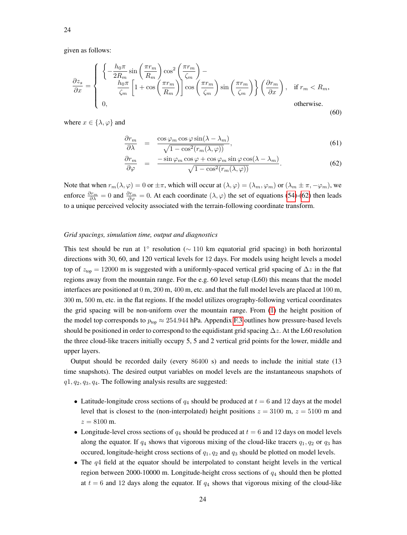given as follows:

$$
\frac{\partial z_s}{\partial x} = \begin{cases}\n\left\{ -\frac{h_0 \pi}{2R_m} \sin\left(\frac{\pi r_m}{R_m}\right) \cos^2\left(\frac{\pi r_m}{\zeta_m}\right) - \frac{h_0 \pi}{\zeta_m} \left[1 + \cos\left(\frac{\pi r_m}{R_m}\right)\right] \cos\left(\frac{\pi r_m}{\zeta_m}\right) \sin\left(\frac{\pi r_m}{\zeta_m}\right)\right\} \left(\frac{\partial r_m}{\partial x}\right), & \text{if } r_m < R_m, \\
0, & \text{otherwise.}\n\end{cases}
$$
\n(60)

where  $x \in \{\lambda, \varphi\}$  and

$$
\frac{\partial r_m}{\partial \lambda} = \frac{\cos \varphi_m \cos \varphi \sin(\lambda - \lambda_m)}{\sqrt{1 - \cos^2(r_m(\lambda, \varphi))}},
$$
(61)

<span id="page-23-0"></span>
$$
\frac{\partial r_m}{\partial \varphi} = \frac{-\sin \varphi_m \cos \varphi + \cos \varphi_m \sin \varphi \cos(\lambda - \lambda_m)}{\sqrt{1 - \cos^2(r_m(\lambda, \varphi))}}.
$$
(62)

Note that when  $r_m(\lambda, \varphi) = 0$  or  $\pm \pi$ , which will occur at  $(\lambda, \varphi) = (\lambda_m, \varphi_m)$  or  $(\lambda_m \pm \pi, -\varphi_m)$ , we enforce  $\frac{\partial r_m}{\partial \lambda} = 0$  and  $\frac{\partial r_m}{\partial \varphi} = 0$ . At each coordinate  $(\lambda, \varphi)$  the set of equations [\(54\)](#page-22-0)-[\(62\)](#page-23-0) then leads to a unique perceived velocity associated with the terrain-following coordinate transform.

# *Grid spacings, simulation time, output and diagnostics*

This test should be run at 1° resolution ( $\sim$  110 km equatorial grid spacing) in both horizontal directions with 30, 60, and 120 vertical levels for 12 days. For models using height levels a model top of  $z_{top} = 12000$  m is suggested with a uniformly-spaced vertical grid spacing of  $\Delta z$  in the flat regions away from the mountain range. For the e.g. 60 level setup (L60) this means that the model interfaces are positioned at 0 m, 200 m, 400 m, etc. and that the full model levels are placed at 100 m, 300 m, 500 m, etc. in the flat regions. If the model utilizes orography-following vertical coordinates the grid spacing will be non-uniform over the mountain range. From [\(1\)](#page-13-1) the height position of the model top corresponds to  $p_{\text{top}} \approx 254.944$  hPa. Appendix [F.3](#page-65-0) outlines how pressure-based levels should be positioned in order to correspond to the equidistant grid spacing  $\Delta z$ . At the L60 resolution the three cloud-like tracers initially occupy 5, 5 and 2 vertical grid points for the lower, middle and upper layers.

Output should be recorded daily (every 86400 s) and needs to include the initial state (13 time snapshots). The desired output variables on model levels are the instantaneous snapshots of  $q_1, q_2, q_3, q_4$ . The following analysis results are suggested:

- Latitude-longitude cross sections of  $q_4$  should be produced at  $t = 6$  and 12 days at the model level that is closest to the (non-interpolated) height positions  $z = 3100$  m,  $z = 5100$  m and  $z = 8100 \text{ m}.$
- Longitude-level cross sections of  $q_4$  should be produced at  $t = 6$  and 12 days on model levels along the equator. If  $q_4$  shows that vigorous mixing of the cloud-like tracers  $q_1, q_2$  or  $q_3$  has occured, longitude-height cross sections of  $q_1, q_2$  and  $q_3$  should be plotted on model levels.
- The  $q4$  field at the equator should be interpolated to constant height levels in the vertical region between 2000-10000 m. Longitude-height cross sections of  $q_4$  should then be plotted at  $t = 6$  and 12 days along the equator. If  $q_4$  shows that vigorous mixing of the cloud-like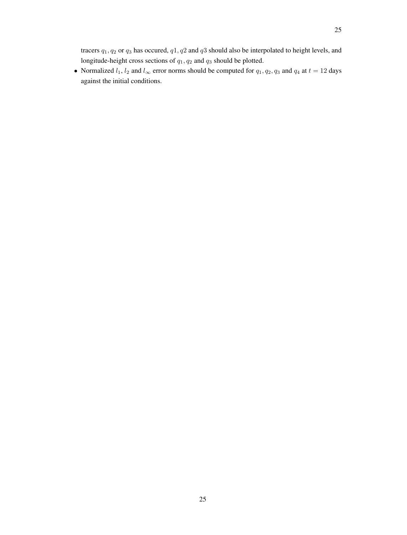tracers  $q_1, q_2$  or  $q_3$  has occured,  $q_1, q_2$  and  $q_3$  should also be interpolated to height levels, and longitude-height cross sections of  $q_1, q_2$  and  $q_3$  should be plotted.

• Normalized  $l_1$ ,  $l_2$  and  $l_\infty$  error norms should be computed for  $q_1, q_2, q_3$  and  $q_4$  at  $t = 12$  days against the initial conditions.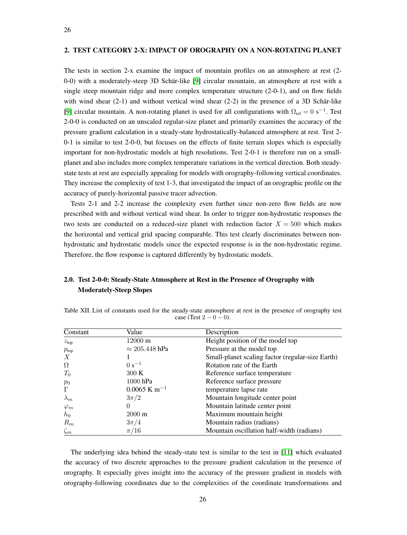# 2. TEST CATEGORY 2-X: IMPACT OF OROGRAPHY ON A NON-ROTATING PLANET

The tests in section 2-x examine the impact of mountain profiles on an atmosphere at rest (2- 0-0) with a moderately-steep 3D Schär-like [\[9\]](#page-53-8) circular mountain, an atmosphere at rest with a single steep mountain ridge and more complex temperature structure (2-0-1), and on flow fields with wind shear  $(2-1)$  and without vertical wind shear  $(2-2)$  in the presence of a 3D Schär-like [\[9\]](#page-53-8) circular mountain. A non-rotating planet is used for all configurations with  $\Omega_{\text{ref}} = 0 \text{ s}^{-1}$ . Test 2-0-0 is conducted on an unscaled regular-size planet and primarily examines the accuracy of the pressure gradient calculation in a steady-state hydrostatically-balanced atmosphere at rest. Test 2- 0-1 is similar to test 2-0-0, but focuses on the effects of finite terrain slopes which is especially important for non-hydrostatic models at high resolutions. Test 2-0-1 is therefore run on a smallplanet and also includes more complex temperature variations in the vertical direction. Both steadystate tests at rest are especially appealing for models with orography-following vertical coordinates. They increase the complexity of test 1-3, that investigated the impact of an orographic profile on the accuracy of purely-horizontal passive tracer advection.

Tests 2-1 and 2-2 increase the complexity even further since non-zero flow fields are now prescribed with and without vertical wind shear. In order to trigger non-hydrostatic responses the two tests are conducted on a reduced-size planet with reduction factor  $X = 500$  which makes the horizontal and vertical grid spacing comparable. This test clearly discriminates between nonhydrostatic and hydrostatic models since the expected response is in the non-hydrostatic regime. Therefore, the flow response is captured differently by hydrostatic models.

# 2.0. Test 2-0-0: Steady-State Atmosphere at Rest in the Presence of Orography with Moderately-Steep Slopes

| case (Test $2 - 0 - 0$ ). |       |             |  |  |  |  |
|---------------------------|-------|-------------|--|--|--|--|
| Constant                  | Value | Description |  |  |  |  |

Table XII. List of constants used for the steady-state atmosphere at rest in the presence of orography test

| Height position of the model top<br>$12000 \text{ m}$<br>$\approx 205.448$ hPa<br>Pressure at the model top<br>Small-planet scaling factor (regular-size Earth)<br>$0 s^{-1}$<br>Rotation rate of the Earth<br>300K<br>Reference surface temperature<br>1000 hPa<br>Reference surface pressure<br>$0.0065$ K m <sup>-1</sup><br>temperature lapse rate<br>Mountain longitude center point<br>$3\pi/2$<br>Mountain latitude center point<br>0<br>Maximum mountain height<br>$2000 \text{ m}$<br>Mountain radius (radians)<br>$3\pi/4$<br>Mountain oscillation half-width (radians)<br>$\pi/16$<br>$\zeta_m$ | Constant         | Value | Description |
|------------------------------------------------------------------------------------------------------------------------------------------------------------------------------------------------------------------------------------------------------------------------------------------------------------------------------------------------------------------------------------------------------------------------------------------------------------------------------------------------------------------------------------------------------------------------------------------------------------|------------------|-------|-------------|
|                                                                                                                                                                                                                                                                                                                                                                                                                                                                                                                                                                                                            | z <sub>top</sub> |       |             |
|                                                                                                                                                                                                                                                                                                                                                                                                                                                                                                                                                                                                            | $p_{\text{top}}$ |       |             |
|                                                                                                                                                                                                                                                                                                                                                                                                                                                                                                                                                                                                            | X                |       |             |
|                                                                                                                                                                                                                                                                                                                                                                                                                                                                                                                                                                                                            | $\Omega$         |       |             |
|                                                                                                                                                                                                                                                                                                                                                                                                                                                                                                                                                                                                            | $T_0$            |       |             |
|                                                                                                                                                                                                                                                                                                                                                                                                                                                                                                                                                                                                            | $p_0$            |       |             |
|                                                                                                                                                                                                                                                                                                                                                                                                                                                                                                                                                                                                            | $\Gamma$         |       |             |
|                                                                                                                                                                                                                                                                                                                                                                                                                                                                                                                                                                                                            | $\lambda_m$      |       |             |
|                                                                                                                                                                                                                                                                                                                                                                                                                                                                                                                                                                                                            | $\varphi_m$      |       |             |
|                                                                                                                                                                                                                                                                                                                                                                                                                                                                                                                                                                                                            | $h_0$            |       |             |
|                                                                                                                                                                                                                                                                                                                                                                                                                                                                                                                                                                                                            | $R_m$            |       |             |
|                                                                                                                                                                                                                                                                                                                                                                                                                                                                                                                                                                                                            |                  |       |             |

The underlying idea behind the steady-state test is similar to the test in [\[11\]](#page-53-10) which evaluated the accuracy of two discrete approaches to the pressure gradient calculation in the presence of orography. It especially gives insight into the accuracy of the pressure gradient in models with orography-following coordinates due to the complexities of the coordinate transformations and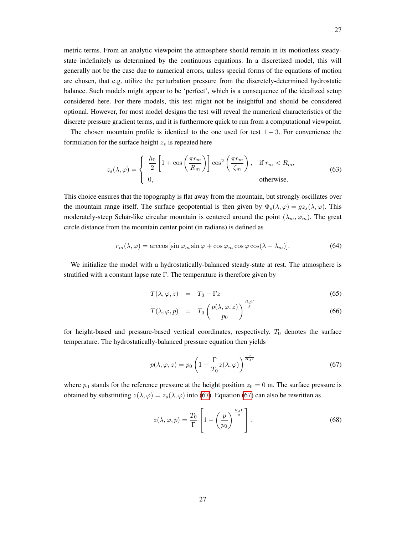metric terms. From an analytic viewpoint the atmosphere should remain in its motionless steadystate indefinitely as determined by the continuous equations. In a discretized model, this will generally not be the case due to numerical errors, unless special forms of the equations of motion are chosen, that e.g. utilize the perturbation pressure from the discretely-determined hydrostatic balance. Such models might appear to be 'perfect', which is a consequence of the idealized setup considered here. For there models, this test might not be insightful and should be considered optional. However, for most model designs the test will reveal the numerical characteristics of the discrete pressure gradient terms, and it is furthermore quick to run from a computational viewpoint.

The chosen mountain profile is identical to the one used for test  $1 - 3$ . For convenience the formulation for the surface height  $z_s$  is repeated here

$$
z_s(\lambda, \varphi) = \begin{cases} \frac{h_0}{2} \left[ 1 + \cos\left(\frac{\pi r_m}{R_m}\right) \right] \cos^2\left(\frac{\pi r_m}{\zeta_m}\right), & \text{if } r_m < R_m, \\ 0, & \text{otherwise.} \end{cases} \tag{63}
$$

This choice ensures that the topography is flat away from the mountain, but strongly oscillates over the mountain range itself. The surface geopotential is then given by  $\Phi_s(\lambda, \varphi) = gz_s(\lambda, \varphi)$ . This moderately-steep Schär-like circular mountain is centered around the point  $(\lambda_m, \varphi_m)$ . The great circle distance from the mountain center point (in radians) is defined as

$$
r_m(\lambda, \varphi) = \arccos\left[\sin\varphi_m \sin\varphi + \cos\varphi_m \cos\varphi \cos(\lambda - \lambda_m)\right].\tag{64}
$$

We initialize the model with a hydrostatically-balanced steady-state at rest. The atmosphere is stratified with a constant lapse rate Γ. The temperature is therefore given by

$$
T(\lambda, \varphi, z) = T_0 - \Gamma z \tag{65}
$$

$$
T(\lambda, \varphi, p) = T_0 \left( \frac{p(\lambda, \varphi, z)}{p_0} \right)^{\frac{\alpha}{g}}
$$
(66)

for height-based and pressure-based vertical coordinates, respectively.  $T_0$  denotes the surface temperature. The hydrostatically-balanced pressure equation then yields

<span id="page-26-0"></span>
$$
p(\lambda, \varphi, z) = p_0 \left( 1 - \frac{\Gamma}{T_0} z(\lambda, \varphi) \right)^{\frac{g}{R_d \Gamma}}
$$
(67)

where  $p_0$  stands for the reference pressure at the height position  $z_0 = 0$  m. The surface pressure is obtained by substituting  $z(\lambda, \varphi) = z_s(\lambda, \varphi)$  into [\(67\)](#page-26-0). Equation (67) can also be rewritten as

$$
z(\lambda, \varphi, p) = \frac{T_0}{\Gamma} \left[ 1 - \left( \frac{p}{p_0} \right)^{\frac{R_d \Gamma}{g}} \right].
$$
 (68)

27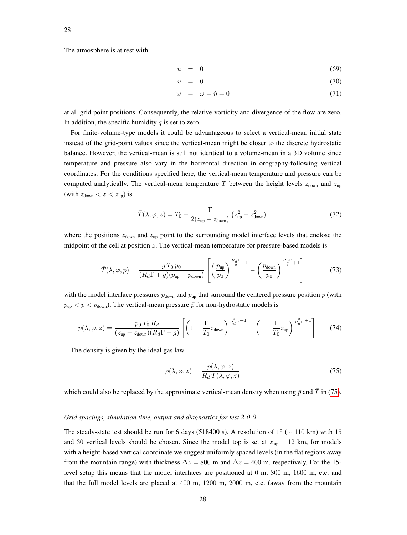The atmosphere is at rest with

$$
u = 0 \tag{69}
$$

$$
v = 0 \tag{70}
$$

$$
w = \omega = \dot{\eta} = 0 \tag{71}
$$

at all grid point positions. Consequently, the relative vorticity and divergence of the flow are zero. In addition, the specific humidity  $q$  is set to zero.

For finite-volume-type models it could be advantageous to select a vertical-mean initial state instead of the grid-point values since the vertical-mean might be closer to the discrete hydrostatic balance. However, the vertical-mean is still not identical to a volume-mean in a 3D volume since temperature and pressure also vary in the horizontal direction in orography-following vertical coordinates. For the conditions specified here, the vertical-mean temperature and pressure can be computed analytically. The vertical-mean temperature  $\overline{T}$  between the height levels  $z_{\text{down}}$  and  $z_{\text{up}}$ (with  $z_{\text{down}} < z < z_{\text{up}}$ ) is

$$
\bar{T}(\lambda, \varphi, z) = T_0 - \frac{\Gamma}{2(z_{\text{up}} - z_{\text{down}})} \left( z_{\text{up}}^2 - z_{\text{down}}^2 \right)
$$
(72)

where the positions  $z_{down}$  and  $z_{up}$  point to the surrounding model interface levels that enclose the midpoint of the cell at position z. The vertical-mean temperature for pressure-based models is

$$
\bar{T}(\lambda,\varphi,p) = \frac{g T_0 p_0}{(R_d \Gamma + g)(p_{\rm up} - p_{\rm down})} \left[ \left( \frac{p_{\rm up}}{p_0} \right)^{\frac{R_d \Gamma}{g} + 1} - \left( \frac{p_{\rm down}}{p_0} \right)^{\frac{R_d \Gamma}{g} + 1} \right]
$$
(73)

with the model interface pressures  $p_{down}$  and  $p_{up}$  that surround the centered pressure position p (with  $p_{\text{up}} < p < p_{\text{down}}$ ). The vertical-mean pressure  $\bar{p}$  for non-hydrostatic models is

$$
\bar{p}(\lambda,\varphi,z) = \frac{p_0 T_0 R_d}{(z_{\text{up}} - z_{\text{down}})(R_d \Gamma + g)} \left[ \left( 1 - \frac{\Gamma}{T_0} z_{\text{down}} \right)^{\frac{g}{R_d \Gamma} + 1} - \left( 1 - \frac{\Gamma}{T_0} z_{\text{up}} \right)^{\frac{g}{R_d \Gamma} + 1} \right] \tag{74}
$$

The density is given by the ideal gas law

<span id="page-27-0"></span>
$$
\rho(\lambda, \varphi, z) = \frac{p(\lambda, \varphi, z)}{R_d T(\lambda, \varphi, z)}
$$
\n(75)

which could also be replaced by the approximate vertical-mean density when using  $\bar{p}$  and  $\bar{T}$  in [\(75\)](#page-27-0).

#### *Grid spacings, simulation time, output and diagnostics for test 2-0-0*

The steady-state test should be run for 6 days (518400 s). A resolution of  $1^{\circ}$  ( $\sim$  110 km) with 15 and 30 vertical levels should be chosen. Since the model top is set at  $z_{top} = 12$  km, for models with a height-based vertical coordinate we suggest uniformly spaced levels (in the flat regions away from the mountain range) with thickness  $\Delta z = 800$  m and  $\Delta z = 400$  m, respectively. For the 15level setup this means that the model interfaces are positioned at 0 m, 800 m, 1600 m, etc. and that the full model levels are placed at 400 m, 1200 m, 2000 m, etc. (away from the mountain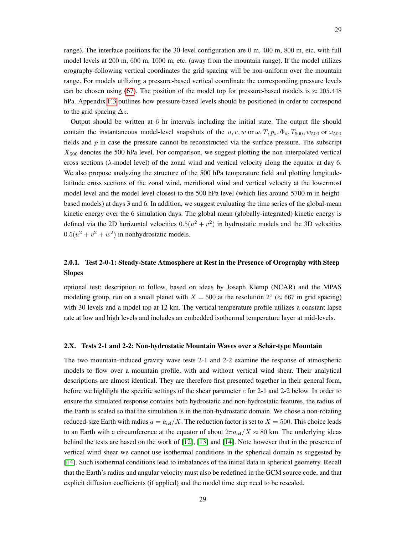range). The interface positions for the 30-level configuration are 0 m, 400 m, 800 m, etc. with full model levels at 200 m, 600 m, 1000 m, etc. (away from the mountain range). If the model utilizes orography-following vertical coordinates the grid spacing will be non-uniform over the mountain range. For models utilizing a pressure-based vertical coordinate the corresponding pressure levels can be chosen using [\(67\)](#page-26-0). The position of the model top for pressure-based models is  $\approx 205.448$ hPa. Appendix [F.3](#page-65-0) outlines how pressure-based levels should be positioned in order to correspond to the grid spacing  $\Delta z$ .

Output should be written at 6 hr intervals including the initial state. The output file should contain the instantaneous model-level snapshots of the u, v, w or  $\omega$ , T,  $p_s$ ,  $\Phi_s$ , T<sub>500</sub>,  $w_{500}$  or  $\omega_{500}$ fields and p in case the pressure cannot be reconstructed via the surface pressure. The subscript  $X_{500}$  denotes the 500 hPa level. For comparison, we suggest plotting the non-interpolated vertical cross sections ( $\lambda$ -model level) of the zonal wind and vertical velocity along the equator at day 6. We also propose analyzing the structure of the 500 hPa temperature field and plotting longitudelatitude cross sections of the zonal wind, meridional wind and vertical velocity at the lowermost model level and the model level closest to the 500 hPa level (which lies around 5700 m in heightbased models) at days 3 and 6. In addition, we suggest evaluating the time series of the global-mean kinetic energy over the 6 simulation days. The global mean (globally-integrated) kinetic energy is defined via the 2D horizontal velocities  $0.5(u^2 + v^2)$  in hydrostatic models and the 3D velocities  $0.5(u^2 + v^2 + w^2)$  in nonhydrostatic models.

# 2.0.1. Test 2-0-1: Steady-State Atmosphere at Rest in the Presence of Orography with Steep **Slopes**

optional test: description to follow, based on ideas by Joseph Klemp (NCAR) and the MPAS modeling group, run on a small planet with  $X = 500$  at the resolution  $2^{\circ}$  ( $\approx 667$  m grid spacing) with 30 levels and a model top at 12 km. The vertical temperature profile utilizes a constant lapse rate at low and high levels and includes an embedded isothermal temperature layer at mid-levels.

#### 2.X. Tests 2-1 and 2-2: Non-hydrostatic Mountain Waves over a Schär-type Mountain

The two mountain-induced gravity wave tests 2-1 and 2-2 examine the response of atmospheric models to flow over a mountain profile, with and without vertical wind shear. Their analytical descriptions are almost identical. They are therefore first presented together in their general form, before we highlight the specific settings of the shear parameter  $c$  for 2-1 and 2-2 below. In order to ensure the simulated response contains both hydrostatic and non-hydrostatic features, the radius of the Earth is scaled so that the simulation is in the non-hydrostatic domain. We chose a non-rotating reduced-size Earth with radius  $a = a_{ref}/X$ . The reduction factor is set to  $X = 500$ . This choice leads to an Earth with a circumference at the equator of about  $2\pi a_{\text{ref}}/X \approx 80$  km. The underlying ideas behind the tests are based on the work of [\[12\]](#page-53-11), [\[13\]](#page-53-12) and [\[14\]](#page-53-13). Note however that in the presence of vertical wind shear we cannot use isothermal conditions in the spherical domain as suggested by [\[14\]](#page-53-13). Such isothermal conditions lead to imbalances of the initial data in spherical geometry. Recall that the Earth's radius and angular velocity must also be redefined in the GCM source code, and that explicit diffusion coefficients (if applied) and the model time step need to be rescaled.

29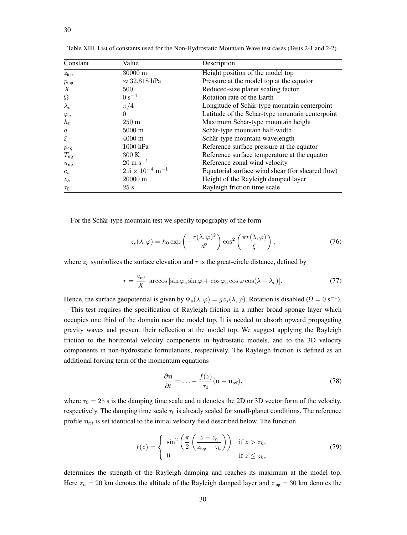| Constant         | Value                                | Description                                      |
|------------------|--------------------------------------|--------------------------------------------------|
| z <sub>top</sub> | $30000 \text{ m}$                    | Height position of the model top                 |
| $p_{\text{top}}$ | $\approx$ 32.818 hPa                 | Pressure at the model top at the equator         |
| $\boldsymbol{X}$ | 500                                  | Reduced-size planet scaling factor               |
| $\Omega$         | $0 s^{-1}$                           | Rotation rate of the Earth                       |
| $\lambda_c$      | $\pi/4$                              | Longitude of Schär-type mountain centerpoint     |
| $\varphi_c$      | $\Omega$                             | Latitude of the Schär-type mountain centerpoint  |
| $h_0$            | $250 \text{ m}$                      | Maximum Schär-type mountain height               |
| $\overline{d}$   | $5000 \text{ m}$                     | Schär-type mountain half-width                   |
| $\xi$            | $4000 \text{ m}$                     | Schär-type mountain wavelength                   |
| $p_{eq}$         | 1000 hPa                             | Reference surface pressure at the equator        |
| $T_{eq}$         | 300K                                 | Reference surface temperature at the equator     |
| $u_{eq}$         | $20 \text{ m s}^{-1}$                | Reference zonal wind velocity                    |
| $c_s$            | $2.5 \times 10^{-4}$ m <sup>-1</sup> | Equatorial surface wind shear (for sheared flow) |
| $z_h$            | $20000 \text{ m}$                    | Height of the Rayleigh damped layer              |
| $\tau_0$         | 25s                                  | Rayleigh friction time scale                     |

<span id="page-29-0"></span>Table XIII. List of constants used for the Non-Hydrostatic Mountain Wave test cases (Tests 2-1 and 2-2).

For the Schär-type mountain test we specify topography of the form

$$
z_s(\lambda, \varphi) = h_0 \exp\left(-\frac{r(\lambda, \varphi)^2}{d^2}\right) \cos^2\left(\frac{\pi r(\lambda, \varphi)}{\xi}\right),\tag{76}
$$

where  $z_s$  symbolizes the surface elevation and r is the great-circle distance, defined by

$$
r = \frac{a_{\text{ref}}}{X} \arccos\left[\sin\varphi_c\sin\varphi + \cos\varphi_c\cos\varphi\cos(\lambda - \lambda_c)\right].
$$
 (77)

Hence, the surface geopotential is given by  $\Phi_s(\lambda, \varphi) = gz_s(\lambda, \varphi)$ . Rotation is disabled ( $\Omega = 0$  s<sup>-1</sup>).

This test requires the specification of Rayleigh friction in a rather broad sponge layer which occupies one third of the domain near the model top. It is needed to absorb upward propagating gravity waves and prevent their reflection at the model top. We suggest applying the Rayleigh friction to the horizontal velocity components in hydrostatic models, and to the 3D velocity components in non-hydrostatic formulations, respectively. The Rayleigh friction is defined as an additional forcing term of the momentum equations

$$
\frac{\partial \mathbf{u}}{\partial t} = \dots - \frac{f(z)}{\tau_0} (\mathbf{u} - \mathbf{u}_{ref}), \tag{78}
$$

where  $\tau_0 = 25$  s is the damping time scale and u denotes the 2D or 3D vector form of the velocity, respectively. The damping time scale  $\tau_0$  is already scaled for small-planet conditions. The reference profile  $u_{ref}$  is set identical to the initial velocity field described below. The function

$$
f(z) = \begin{cases} \sin^2\left(\frac{\pi}{2}\left(\frac{z-z_h}{z_{\text{top}}-z_h}\right)\right) & \text{if } z > z_h, \\ 0 & \text{if } z \le z_h, \end{cases}
$$
 (79)

determines the strength of the Rayleigh damping and reaches its maximum at the model top. Here  $z_h = 20$  km denotes the altitude of the Rayleigh damped layer and  $z_{top} = 30$  km denotes the

30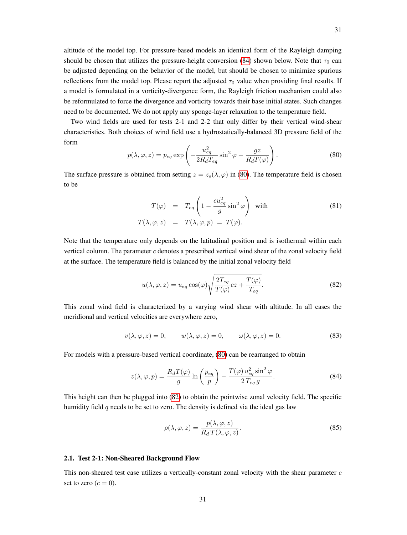altitude of the model top. For pressure-based models an identical form of the Rayleigh damping should be chosen that utilizes the pressure-height conversion [\(84\)](#page-30-0) shown below. Note that  $\tau_0$  can be adjusted depending on the behavior of the model, but should be chosen to minimize spurious reflections from the model top. Please report the adjusted  $\tau_0$  value when providing final results. If a model is formulated in a vorticity-divergence form, the Rayleigh friction mechanism could also be reformulated to force the divergence and vorticity towards their base initial states. Such changes need to be documented. We do not apply any sponge-layer relaxation to the temperature field.

Two wind fields are used for tests 2-1 and 2-2 that only differ by their vertical wind-shear characteristics. Both choices of wind field use a hydrostatically-balanced 3D pressure field of the form

<span id="page-30-1"></span>
$$
p(\lambda, \varphi, z) = p_{eq} \exp\left(-\frac{u_{eq}^2}{2R_d T_{eq}} \sin^2 \varphi - \frac{gz}{R_d T(\varphi)}\right).
$$
 (80)

The surface pressure is obtained from setting  $z = z_s(\lambda, \varphi)$  in [\(80\)](#page-30-1). The temperature field is chosen to be

$$
T(\varphi) = T_{eq} \left( 1 - \frac{cu_{eq}^2}{g} \sin^2 \varphi \right) \text{ with}
$$
  

$$
T(\lambda, \varphi, z) = T(\lambda, \varphi, p) = T(\varphi).
$$
 (81)

Note that the temperature only depends on the latitudinal position and is isothermal within each vertical column. The parameter  $c$  denotes a prescribed vertical wind shear of the zonal velocity field at the surface. The temperature field is balanced by the initial zonal velocity field

<span id="page-30-2"></span>
$$
u(\lambda, \varphi, z) = u_{eq} \cos(\varphi) \sqrt{\frac{2T_{eq}}{T(\varphi)}} cz + \frac{T(\varphi)}{T_{eq}}.
$$
 (82)

This zonal wind field is characterized by a varying wind shear with altitude. In all cases the meridional and vertical velocities are everywhere zero,

$$
v(\lambda, \varphi, z) = 0, \qquad w(\lambda, \varphi, z) = 0, \qquad \omega(\lambda, \varphi, z) = 0.
$$
 (83)

For models with a pressure-based vertical coordinate, [\(80\)](#page-30-1) can be rearranged to obtain

<span id="page-30-0"></span>
$$
z(\lambda, \varphi, p) = \frac{R_d T(\varphi)}{g} \ln \left( \frac{p_{eq}}{p} \right) - \frac{T(\varphi) u_{eq}^2 \sin^2 \varphi}{2 \, T_{eq} \, g}.
$$
 (84)

This height can then be plugged into [\(82\)](#page-30-2) to obtain the pointwise zonal velocity field. The specific humidity field  $q$  needs to be set to zero. The density is defined via the ideal gas law

$$
\rho(\lambda, \varphi, z) = \frac{p(\lambda, \varphi, z)}{R_d T(\lambda, \varphi, z)}.
$$
\n(85)

## 2.1. Test 2-1: Non-Sheared Background Flow

This non-sheared test case utilizes a vertically-constant zonal velocity with the shear parameter  $c$ set to zero  $(c = 0)$ .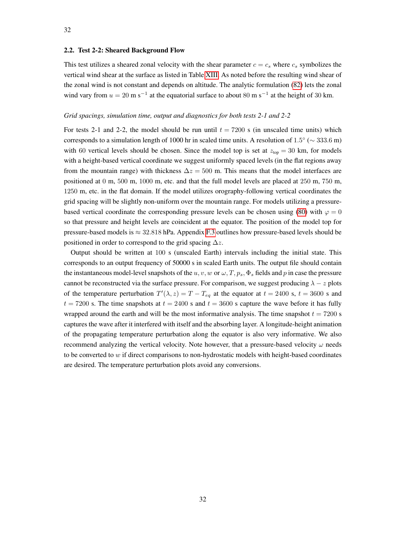#### 2.2. Test 2-2: Sheared Background Flow

This test utilizes a sheared zonal velocity with the shear parameter  $c = c_s$  where  $c_s$  symbolizes the vertical wind shear at the surface as listed in Table [XIII.](#page-29-0) As noted before the resulting wind shear of the zonal wind is not constant and depends on altitude. The analytic formulation [\(82\)](#page-30-2) lets the zonal wind vary from  $u = 20$  m s<sup>-1</sup> at the equatorial surface to about 80 m s<sup>-1</sup> at the height of 30 km.

#### *Grid spacings, simulation time, output and diagnostics for both tests 2-1 and 2-2*

For tests 2-1 and 2-2, the model should be run until  $t = 7200$  s (in unscaled time units) which corresponds to a simulation length of 1000 hr in scaled time units. A resolution of  $1.5^{\circ}$  ( $\sim 333.6$  m) with 60 vertical levels should be chosen. Since the model top is set at  $z<sub>top</sub> = 30$  km, for models with a height-based vertical coordinate we suggest uniformly spaced levels (in the flat regions away from the mountain range) with thickness  $\Delta z = 500$  m. This means that the model interfaces are positioned at 0 m, 500 m, 1000 m, etc. and that the full model levels are placed at 250 m, 750 m, 1250 m, etc. in the flat domain. If the model utilizes orography-following vertical coordinates the grid spacing will be slightly non-uniform over the mountain range. For models utilizing a pressure-based vertical coordinate the corresponding pressure levels can be chosen using [\(80\)](#page-30-1) with  $\varphi = 0$ so that pressure and height levels are coincident at the equator. The position of the model top for pressure-based models is  $\approx 32.818$  hPa. Appendix [F.3](#page-65-0) outlines how pressure-based levels should be positioned in order to correspond to the grid spacing  $\Delta z$ .

Output should be written at 100 s (unscaled Earth) intervals including the initial state. This corresponds to an output frequency of 50000 s in scaled Earth units. The output file should contain the instantaneous model-level snapshots of the  $u, v, w$  or  $\omega, T, p_s, \Phi_s$  fields and p in case the pressure cannot be reconstructed via the surface pressure. For comparison, we suggest producing  $\lambda - z$  plots of the temperature perturbation  $T'(\lambda, z) = T - T_{eq}$  at the equator at  $t = 2400$  s,  $t = 3600$  s and  $t = 7200$  s. The time snapshots at  $t = 2400$  s and  $t = 3600$  s capture the wave before it has fully wrapped around the earth and will be the most informative analysis. The time snapshot  $t = 7200$  s captures the wave after it interfered with itself and the absorbing layer. A longitude-height animation of the propagating temperature perturbation along the equator is also very informative. We also recommend analyzing the vertical velocity. Note however, that a pressure-based velocity  $\omega$  needs to be converted to  $w$  if direct comparisons to non-hydrostatic models with height-based coordinates are desired. The temperature perturbation plots avoid any conversions.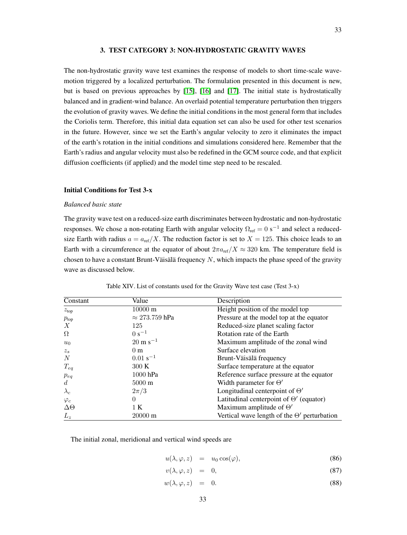# 3. TEST CATEGORY 3: NON-HYDROSTATIC GRAVITY WAVES

The non-hydrostatic gravity wave test examines the response of models to short time-scale wavemotion triggered by a localized perturbation. The formulation presented in this document is new, but is based on previous approaches by [\[15\]](#page-53-14), [\[16\]](#page-53-15) and [\[17\]](#page-53-16). The initial state is hydrostatically balanced and in gradient-wind balance. An overlaid potential temperature perturbation then triggers the evolution of gravity waves. We define the initial conditions in the most general form that includes the Coriolis term. Therefore, this initial data equation set can also be used for other test scenarios in the future. However, since we set the Earth's angular velocity to zero it eliminates the impact of the earth's rotation in the initial conditions and simulations considered here. Remember that the Earth's radius and angular velocity must also be redefined in the GCM source code, and that explicit diffusion coefficients (if applied) and the model time step need to be rescaled.

# Initial Conditions for Test 3-x

#### *Balanced basic state*

The gravity wave test on a reduced-size earth discriminates between hydrostatic and non-hydrostatic responses. We chose a non-rotating Earth with angular velocity  $\Omega_{ref} = 0$  s<sup>-1</sup> and select a reducedsize Earth with radius  $a = a_{ref}/X$ . The reduction factor is set to  $X = 125$ . This choice leads to an Earth with a circumference at the equator of about  $2\pi a_{\text{ref}}/X \approx 320$  km. The temperature field is chosen to have a constant Brunt-Väisälä frequency  $N$ , which impacts the phase speed of the gravity wave as discussed below.

| Constant         | Value                 | Description                                        |
|------------------|-----------------------|----------------------------------------------------|
| z <sub>top</sub> | 10000 m               | Height position of the model top                   |
| $p_{\rm top}$    | $\approx$ 273.759 hPa | Pressure at the model top at the equator           |
| X                | 125                   | Reduced-size planet scaling factor                 |
| $\Omega$         | $0 s^{-1}$            | Rotation rate of the Earth                         |
| $u_0$            | $20 \text{ m s}^{-1}$ | Maximum amplitude of the zonal wind                |
| $z_{s}$          | 0 <sub>m</sub>        | Surface elevation                                  |
| N                | $0.01 s^{-1}$         | Brunt-Väisälä frequency                            |
| $T_{eq}$         | 300K                  | Surface temperature at the equator                 |
| $p_{eq}$         | 1000 hPa              | Reference surface pressure at the equator          |
| $\boldsymbol{d}$ | $5000 \text{ m}$      | Width parameter for $\Theta'$                      |
| $\lambda_c$      | $2\pi/3$              | Longitudinal centerpoint of $\Theta'$              |
| $\varphi_c$      | $\theta$              | Latitudinal centerpoint of $\Theta'$ (equator)     |
| $\Delta\Theta$   | 1 K                   | Maximum amplitude of $\Theta'$                     |
| $L_z$            | $20000 \text{ m}$     | Vertical wave length of the $\Theta'$ perturbation |

Table XIV. List of constants used for the Gravity Wave test case (Test 3-x)

The initial zonal, meridional and vertical wind speeds are

$$
u(\lambda, \varphi, z) = u_0 \cos(\varphi), \tag{86}
$$

$$
v(\lambda, \varphi, z) = 0, \tag{87}
$$

$$
w(\lambda, \varphi, z) = 0. \tag{88}
$$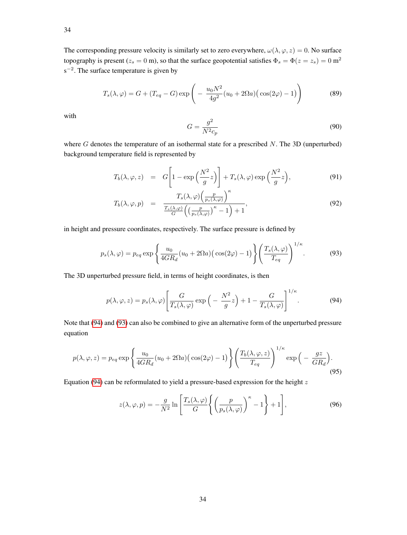The corresponding pressure velocity is similarly set to zero everywhere,  $\omega(\lambda, \varphi, z) = 0$ . No surface topography is present ( $z_s = 0$  m), so that the surface geopotential satisfies  $\Phi_s = \Phi(z = z_s) = 0$  m<sup>2</sup>  $s^{-2}$ . The surface temperature is given by

$$
T_s(\lambda, \varphi) = G + (T_{eq} - G) \exp\left(-\frac{u_0 N^2}{4g^2} (u_0 + 2\Omega a) (\cos(2\varphi) - 1)\right)
$$
(89)

with

$$
G = \frac{g^2}{N^2 c_p} \tag{90}
$$

where  $G$  denotes the temperature of an isothermal state for a prescribed  $N$ . The 3D (unperturbed) background temperature field is represented by

$$
T_b(\lambda, \varphi, z) = G\left[1 - \exp\left(\frac{N^2}{g}z\right)\right] + T_s(\lambda, \varphi) \exp\left(\frac{N^2}{g}z\right),\tag{91}
$$

<span id="page-33-2"></span>
$$
T_b(\lambda, \varphi, p) = \frac{T_s(\lambda, \varphi) \left(\frac{p}{p_s(\lambda, \varphi)}\right)^{\kappa}}{\frac{T_s(\lambda, \varphi)}{G} \left(\left(\frac{p}{p_s(\lambda, \varphi)}\right)^{\kappa} - 1\right) + 1},\tag{92}
$$

in height and pressure coordinates, respectively. The surface pressure is defined by

<span id="page-33-1"></span>
$$
p_s(\lambda, \varphi) = p_{eq} \exp\left\{ \frac{u_0}{4GR_d} (u_0 + 2\Omega a) \left(\cos(2\varphi) - 1\right) \right\} \left( \frac{T_s(\lambda, \varphi)}{T_{eq}} \right)^{1/\kappa}.
$$
 (93)

The 3D unperturbed pressure field, in terms of height coordinates, is then

<span id="page-33-0"></span>
$$
p(\lambda, \varphi, z) = p_s(\lambda, \varphi) \left[ \frac{G}{T_s(\lambda, \varphi)} \exp\left( -\frac{N^2}{g} z \right) + 1 - \frac{G}{T_s(\lambda, \varphi)} \right]^{1/\kappa}.
$$
 (94)

Note that [\(94\)](#page-33-0) and [\(93\)](#page-33-1) can also be combined to give an alternative form of the unperturbed pressure equation

$$
p(\lambda, \varphi, z) = p_{eq} \exp\left\{\frac{u_0}{4GR_d}(u_0 + 2\Omega a)\left(\cos(2\varphi) - 1\right)\right\} \left(\frac{T_b(\lambda, \varphi, z)}{T_{eq}}\right)^{1/\kappa} \exp\left(-\frac{gz}{GR_d}\right). \tag{95}
$$

Equation [\(94\)](#page-33-0) can be reformulated to yield a pressure-based expression for the height  $z$ 

<span id="page-33-3"></span>
$$
z(\lambda, \varphi, p) = -\frac{g}{N^2} \ln \left[ \frac{T_s(\lambda, \varphi)}{G} \left\{ \left( \frac{p}{p_s(\lambda, \varphi)} \right)^{\kappa} - 1 \right\} + 1 \right],
$$
 (96)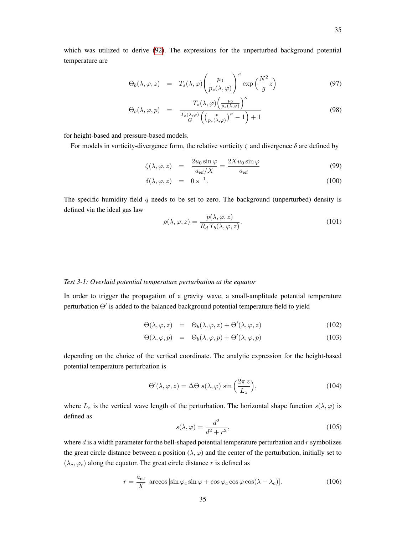which was utilized to derive [\(92\)](#page-33-2). The expressions for the unperturbed background potential temperature are

$$
\Theta_b(\lambda, \varphi, z) = T_s(\lambda, \varphi) \left( \frac{p_0}{p_s(\lambda, \varphi)} \right)^{\kappa} \exp\left( \frac{N^2}{g} z \right)
$$
(97)

$$
\Theta_b(\lambda, \varphi, p) = \frac{T_s(\lambda, \varphi) \left(\frac{p_0}{p_s(\lambda, \varphi)}\right)^{\kappa}}{\frac{T_s(\lambda, \varphi)}{G} \left(\left(\frac{p}{p_s(\lambda, \varphi)}\right)^{\kappa} - 1\right) + 1}
$$
(98)

for height-based and pressure-based models.

For models in vorticity-divergence form, the relative vorticity  $\zeta$  and divergence  $\delta$  are defined by

$$
\zeta(\lambda, \varphi, z) = \frac{2u_0 \sin \varphi}{a_{\text{ref}}/X} = \frac{2Xu_0 \sin \varphi}{a_{\text{ref}}}
$$
(99)

$$
\delta(\lambda, \varphi, z) = 0 \, \mathrm{s}^{-1}.
$$
\n(100)

The specific humidity field  $q$  needs to be set to zero. The background (unperturbed) density is defined via the ideal gas law

<span id="page-34-0"></span>
$$
\rho(\lambda, \varphi, z) = \frac{p(\lambda, \varphi, z)}{R_d T_b(\lambda, \varphi, z)}.
$$
\n(101)

## *Test 3-1: Overlaid potential temperature perturbation at the equator*

In order to trigger the propagation of a gravity wave, a small-amplitude potential temperature perturbation  $\Theta'$  is added to the balanced background potential temperature field to yield

$$
\Theta(\lambda, \varphi, z) = \Theta_b(\lambda, \varphi, z) + \Theta'(\lambda, \varphi, z) \tag{102}
$$

$$
\Theta(\lambda, \varphi, p) = \Theta_b(\lambda, \varphi, p) + \Theta'(\lambda, \varphi, p) \tag{103}
$$

depending on the choice of the vertical coordinate. The analytic expression for the height-based potential temperature perturbation is

$$
\Theta'(\lambda, \varphi, z) = \Delta \Theta \, s(\lambda, \varphi) \, \sin\left(\frac{2\pi \, z}{L_z}\right),\tag{104}
$$

where  $L_z$  is the vertical wave length of the perturbation. The horizontal shape function  $s(\lambda, \varphi)$  is defined as

$$
s(\lambda, \varphi) = \frac{d^2}{d^2 + r^2},\tag{105}
$$

where  $d$  is a width parameter for the bell-shaped potential temperature perturbation and  $r$  symbolizes the great circle distance between a position  $(\lambda, \varphi)$  and the center of the perturbation, initially set to  $(\lambda_c, \varphi_c)$  along the equator. The great circle distance r is defined as

$$
r = \frac{a_{\text{ref}}}{X} \arccos\left[\sin\varphi_c\sin\varphi + \cos\varphi_c\cos\varphi\cos(\lambda - \lambda_c)\right].
$$
 (106)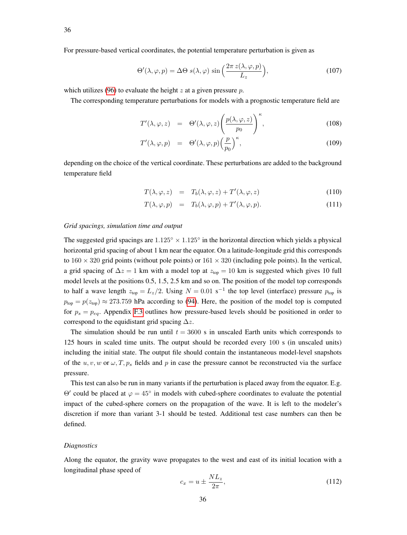For pressure-based vertical coordinates, the potential temperature perturbation is given as

$$
\Theta'(\lambda, \varphi, p) = \Delta \Theta \ s(\lambda, \varphi) \sin\left(\frac{2\pi \ z(\lambda, \varphi, p)}{L_z}\right),\tag{107}
$$

which utilizes [\(96\)](#page-33-3) to evaluate the height z at a given pressure  $p$ .

The corresponding temperature perturbations for models with a prognostic temperature field are

$$
T'(\lambda, \varphi, z) = \Theta'(\lambda, \varphi, z) \left( \frac{p(\lambda, \varphi, z)}{p_0} \right)^{\kappa}, \tag{108}
$$

$$
T'(\lambda, \varphi, p) = \Theta'(\lambda, \varphi, p) \left(\frac{p}{p_0}\right)^{\kappa}, \tag{109}
$$

depending on the choice of the vertical coordinate. These perturbations are added to the background temperature field

$$
T(\lambda, \varphi, z) = T_b(\lambda, \varphi, z) + T'(\lambda, \varphi, z) \tag{110}
$$

$$
T(\lambda, \varphi, p) = T_b(\lambda, \varphi, p) + T'(\lambda, \varphi, p). \tag{111}
$$

#### *Grid spacings, simulation time and output*

The suggested grid spacings are  $1.125^{\circ} \times 1.125^{\circ}$  in the horizontal direction which yields a physical horizontal grid spacing of about 1 km near the equator. On a latitude-longitude grid this corresponds to  $160 \times 320$  grid points (without pole points) or  $161 \times 320$  (including pole points). In the vertical, a grid spacing of  $\Delta z = 1$  km with a model top at  $z_{top} = 10$  km is suggested which gives 10 full model levels at the positions 0.5, 1.5, 2.5 km and so on. The position of the model top corresponds to half a wave length  $z_{top} = L_z/2$ . Using  $N = 0.01$  s<sup>-1</sup> the top level (interface) pressure  $p_{top}$  is  $p_{top} = p(z_{top}) \approx 273.759$  hPa according to [\(94\)](#page-33-0). Here, the position of the model top is computed for  $p_s = p_{eq}$ . Appendix [F.3](#page-65-0) outlines how pressure-based levels should be positioned in order to correspond to the equidistant grid spacing  $\Delta z$ .

The simulation should be run until  $t = 3600$  s in unscaled Earth units which corresponds to 125 hours in scaled time units. The output should be recorded every 100 s (in unscaled units) including the initial state. The output file should contain the instantaneous model-level snapshots of the  $u, v, w$  or  $\omega, T, p_s$  fields and p in case the pressure cannot be reconstructed via the surface pressure.

This test can also be run in many variants if the perturbation is placed away from the equator. E.g.  $\Theta'$  could be placed at  $\varphi = 45^\circ$  in models with cubed-sphere coordinates to evaluate the potential impact of the cubed-sphere corners on the propagation of the wave. It is left to the modeler's discretion if more than variant 3-1 should be tested. Additional test case numbers can then be defined.

## *Diagnostics*

Along the equator, the gravity wave propagates to the west and east of its initial location with a longitudinal phase speed of

$$
c_x = u \pm \frac{NL_z}{2\pi},\tag{112}
$$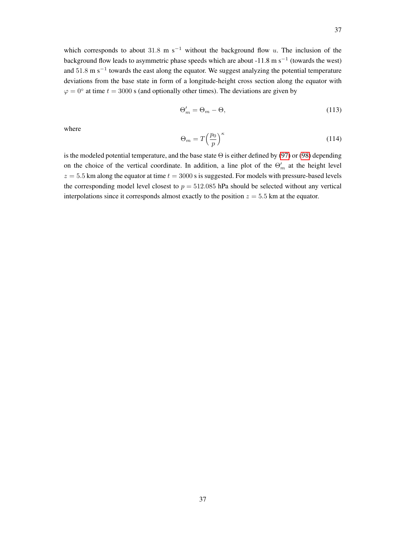which corresponds to about 31.8 m s<sup>-1</sup> without the background flow u. The inclusion of the background flow leads to asymmetric phase speeds which are about -11.8 m s<sup>-1</sup> (towards the west) and 51.8 m s<sup>-1</sup> towards the east along the equator. We suggest analyzing the potential temperature deviations from the base state in form of a longitude-height cross section along the equator with  $\varphi = 0^{\circ}$  at time  $t = 3000$  s (and optionally other times). The deviations are given by

$$
\Theta'_m = \Theta_m - \Theta,\tag{113}
$$

where

$$
\Theta_m = T \left(\frac{p_0}{p}\right)^{\kappa} \tag{114}
$$

is the modeled potential temperature, and the base state Θ is either defined by [\(97\)](#page-34-0) or [\(98\)](#page-34-0) depending on the choice of the vertical coordinate. In addition, a line plot of the  $\Theta'_{m}$  at the height level  $z = 5.5$  km along the equator at time  $t = 3000$  s is suggested. For models with pressure-based levels the corresponding model level closest to  $p = 512.085$  hPa should be selected without any vertical interpolations since it corresponds almost exactly to the position  $z = 5.5$  km at the equator.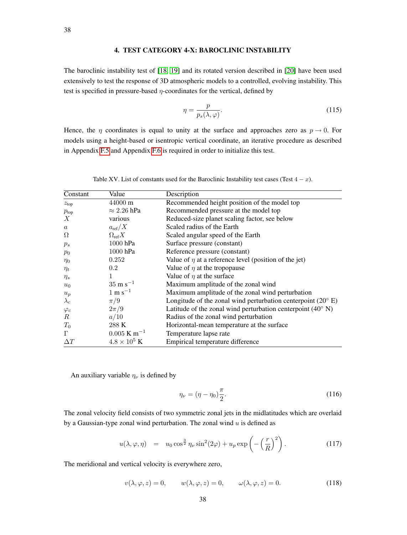# 4. TEST CATEGORY 4-X: BAROCLINIC INSTABILITY

The baroclinic instability test of [\[18,](#page-53-0) [19\]](#page-53-1) and its rotated version described in [\[20\]](#page-53-2) have been used extensively to test the response of 3D atmospheric models to a controlled, evolving instability. This test is specified in pressure-based  $\eta$ -coordinates for the vertical, defined by

$$
\eta = \frac{p}{p_s(\lambda, \varphi)}.\tag{115}
$$

Hence, the  $\eta$  coordinates is equal to unity at the surface and approaches zero as  $p \to 0$ . For models using a height-based or isentropic vertical coordinate, an iterative procedure as described in Appendix [F.5](#page-69-0) and Appendix [F.6](#page-70-0) is required in order to initialize this test.

<span id="page-37-2"></span>

| Constant         | Value                     | Description                                                           |
|------------------|---------------------------|-----------------------------------------------------------------------|
| z <sub>top</sub> | 44000 m                   | Recommended height position of the model top                          |
| $p_{\text{top}}$ | $\approx 2.26$ hPa        | Recommended pressure at the model top                                 |
| X                | various                   | Reduced-size planet scaling factor, see below                         |
| $\boldsymbol{a}$ | $a_{\text{ref}}/X$        | Scaled radius of the Earth                                            |
| $\Omega$         | $\Omega_{\text{ref}}X$    | Scaled angular speed of the Earth                                     |
| $p_s$            | 1000 hPa                  | Surface pressure (constant)                                           |
| $p_0$            | 1000 hPa                  | Reference pressure (constant)                                         |
| $\eta_0$         | 0.252                     | Value of $\eta$ at a reference level (position of the jet)            |
| $\eta_t$         | $0.2\,$                   | Value of $\eta$ at the tropopause                                     |
| $\eta_s$         | 1                         | Value of $\eta$ at the surface                                        |
| $u_0$            | $35 \text{ m s}^{-1}$     | Maximum amplitude of the zonal wind                                   |
| $u_p$            | $1 \text{ m s}^{-1}$      | Maximum amplitude of the zonal wind perturbation                      |
| $\lambda_c$      | $\pi/9$                   | Longitude of the zonal wind perturbation centerpoint $(20^{\circ} E)$ |
| $\varphi_c$      | $2\pi/9$                  | Latitude of the zonal wind perturbation centerpoint $(40^{\circ} N)$  |
| $\boldsymbol{R}$ | a/10                      | Radius of the zonal wind perturbation                                 |
| $T_0$            | 288 K                     | Horizontal-mean temperature at the surface                            |
| $\Gamma$         | $0.005$ K m <sup>-1</sup> | Temperature lapse rate                                                |
| $\Delta T$       | $4.8 \times 10^5$ K       | Empirical temperature difference                                      |

Table XV. List of constants used for the Baroclinic Instability test cases (Test  $4 - x$ ).

An auxiliary variable  $\eta_{\nu}$  is defined by

$$
\eta_{\nu} = (\eta - \eta_0) \frac{\pi}{2}.\tag{116}
$$

The zonal velocity field consists of two symmetric zonal jets in the midlatitudes which are overlaid by a Gaussian-type zonal wind perturbation. The zonal wind  $u$  is defined as

<span id="page-37-0"></span>
$$
u(\lambda, \varphi, \eta) = u_0 \cos^{\frac{3}{2}} \eta_\nu \sin^2(2\varphi) + u_p \exp\left(-\left(\frac{r}{R}\right)^2\right). \tag{117}
$$

The meridional and vertical velocity is everywhere zero,

<span id="page-37-1"></span>
$$
v(\lambda, \varphi, z) = 0, \qquad w(\lambda, \varphi, z) = 0, \qquad \omega(\lambda, \varphi, z) = 0.
$$
 (118)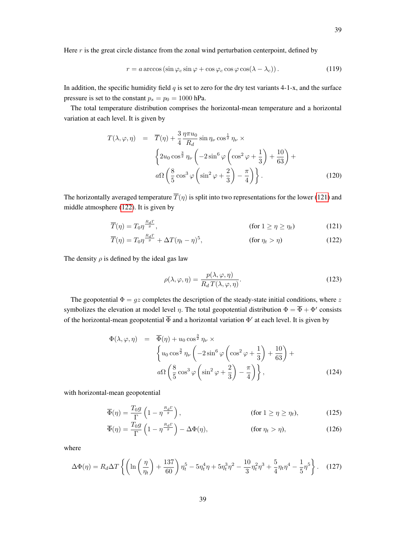$$
r = a \arccos\left(\sin\varphi_c \sin\varphi + \cos\varphi_c \cos\varphi \cos(\lambda - \lambda_c)\right). \tag{119}
$$

In addition, the specific humidity field  $q$  is set to zero for the dry test variants 4-1-x, and the surface pressure is set to the constant  $p_s = p_0 = 1000$  hPa.

The total temperature distribution comprises the horizontal-mean temperature and a horizontal variation at each level. It is given by

<span id="page-38-3"></span>
$$
T(\lambda, \varphi, \eta) = \overline{T}(\eta) + \frac{3}{4} \frac{\eta \pi u_0}{R_d} \sin \eta_{\nu} \cos^{\frac{1}{2}} \eta_{\nu} \times
$$
  

$$
\left\{ 2u_0 \cos^{\frac{3}{2}} \eta_{\nu} \left( -2 \sin^6 \varphi \left( \cos^2 \varphi + \frac{1}{3} \right) + \frac{10}{63} \right) + \right.
$$
  

$$
a\Omega \left( \frac{8}{5} \cos^3 \varphi \left( \sin^2 \varphi + \frac{2}{3} \right) - \frac{\pi}{4} \right) \right\}.
$$
 (120)

The horizontally averaged temperature  $\overline{T}(\eta)$  is split into two representations for the lower [\(121\)](#page-38-0) and middle atmosphere [\(122\)](#page-38-1). It is given by

$$
\overline{T}(\eta) = T_0 \eta^{\frac{R_d \Gamma}{g}}, \qquad \qquad \text{(for } 1 \ge \eta \ge \eta_t \text{)}
$$
 (121)

$$
\overline{T}(\eta) = T_0 \eta^{\frac{R_d \Gamma}{g}} + \Delta T (\eta_t - \eta)^5, \qquad \text{(for } \eta_t > \eta) \tag{122}
$$

The density  $\rho$  is defined by the ideal gas law

<span id="page-38-1"></span><span id="page-38-0"></span>
$$
\rho(\lambda, \varphi, \eta) = \frac{p(\lambda, \varphi, \eta)}{R_d T(\lambda, \varphi, \eta)}.
$$
\n(123)

The geopotential  $\Phi = gz$  completes the description of the steady-state initial conditions, where z symbolizes the elevation at model level  $\eta$ . The total geopotential distribution  $\Phi = \overline{\Phi} + \Phi'$  consists of the horizontal-mean geopotential  $\overline{\Phi}$  and a horizontal variation  $\Phi'$  at each level. It is given by

<span id="page-38-2"></span>
$$
\Phi(\lambda, \varphi, \eta) = \overline{\Phi}(\eta) + u_0 \cos^{\frac{3}{2}} \eta_{\nu} \times
$$
\n
$$
\left\{ u_0 \cos^{\frac{3}{2}} \eta_{\nu} \left( -2 \sin^6 \varphi \left( \cos^2 \varphi + \frac{1}{3} \right) + \frac{10}{63} \right) + a\Omega \left( \frac{8}{5} \cos^3 \varphi \left( \sin^2 \varphi + \frac{2}{3} \right) - \frac{\pi}{4} \right) \right\},
$$
\n(124)

with horizontal-mean geopotential

$$
\overline{\Phi}(\eta) = \frac{T_0 g}{\Gamma} \left( 1 - \eta^{\frac{R_d \Gamma}{g}} \right), \qquad \text{(for } 1 \ge \eta \ge \eta_t), \qquad (125)
$$

$$
\overline{\Phi}(\eta) = \frac{T_0 g}{\Gamma} \left( 1 - \eta^{\frac{R_d \Gamma}{g}} \right) - \Delta \Phi(\eta), \qquad \text{(for } \eta_t > \eta), \qquad (126)
$$

where

$$
\Delta\Phi(\eta) = R_d \Delta T \left\{ \left( \ln \left( \frac{\eta}{\eta_t} \right) + \frac{137}{60} \right) \eta_t^5 - 5 \eta_t^4 \eta + 5 \eta_t^3 \eta^2 - \frac{10}{3} \eta_t^2 \eta^3 + \frac{5}{4} \eta_t \eta^4 - \frac{1}{5} \eta^5 \right\}.
$$
 (127)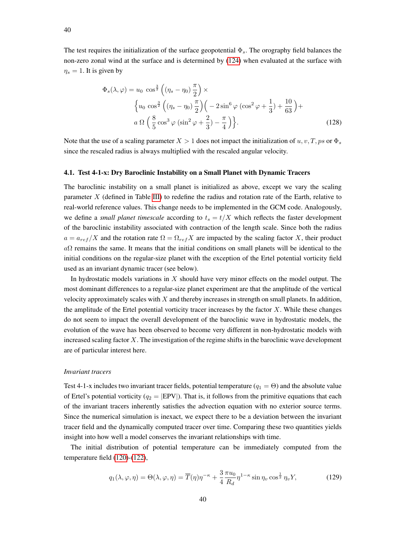The test requires the initialization of the surface geopotential  $\Phi_s$ . The orography field balances the non-zero zonal wind at the surface and is determined by [\(124\)](#page-38-2) when evaluated at the surface with  $\eta_s = 1$ . It is given by

$$
\Phi_s(\lambda, \varphi) = u_0 \cos^{\frac{3}{2}} \left( (\eta_s - \eta_0) \frac{\pi}{2} \right) \times \left\{ u_0 \cos^{\frac{3}{2}} \left( (\eta_s - \eta_0) \frac{\pi}{2} \right) \left( -2 \sin^6 \varphi \left( \cos^2 \varphi + \frac{1}{3} \right) + \frac{10}{63} \right) + a \Omega \left( \frac{8}{5} \cos^3 \varphi \left( \sin^2 \varphi + \frac{2}{3} \right) - \frac{\pi}{4} \right) \right\}.
$$
\n(128)

Note that the use of a scaling parameter  $X > 1$  does not impact the initialization of  $u, v, T, ps$  or  $\Phi_s$ since the rescaled radius is always multiplied with the rescaled angular velocity.

#### 4.1. Test 4-1-x: Dry Baroclinic Instability on a Small Planet with Dynamic Tracers

The baroclinic instability on a small planet is initialized as above, except we vary the scaling parameter X (defined in Table [III\)](#page-3-0) to redefine the radius and rotation rate of the Earth, relative to real-world reference values. This change needs to be implemented in the GCM code. Analogously, we define a *small planet timescale* according to  $t_s = t/X$  which reflects the faster development of the baroclinic instability associated with contraction of the length scale. Since both the radius  $a = a_{ref}/X$  and the rotation rate  $\Omega = \Omega_{ref} X$  are impacted by the scaling factor X, their product  $a\Omega$  remains the same. It means that the initial conditions on small planets will be identical to the initial conditions on the regular-size planet with the exception of the Ertel potential vorticity field used as an invariant dynamic tracer (see below).

In hydrostatic models variations in  $X$  should have very minor effects on the model output. The most dominant differences to a regular-size planet experiment are that the amplitude of the vertical velocity approximately scales with X and thereby increases in strength on small planets. In addition, the amplitude of the Ertel potential vorticity tracer increases by the factor  $X$ . While these changes do not seem to impact the overall development of the baroclinic wave in hydrostatic models, the evolution of the wave has been observed to become very different in non-hydrostatic models with increased scaling factor  $X$ . The investigation of the regime shifts in the baroclinic wave development are of particular interest here.

#### *Invariant tracers*

Test 4-1-x includes two invariant tracer fields, potential temperature  $(q_1 = \Theta)$  and the absolute value of Ertel's potential vorticity ( $q_2 = |EPV|$ ). That is, it follows from the primitive equations that each of the invariant tracers inherently satisfies the advection equation with no exterior source terms. Since the numerical simulation is inexact, we expect there to be a deviation between the invariant tracer field and the dynamically computed tracer over time. Comparing these two quantities yields insight into how well a model conserves the invariant relationships with time.

The initial distribution of potential temperature can be immediately computed from the temperature field [\(120\)](#page-38-3)-[\(122\)](#page-38-1),

<span id="page-39-0"></span>
$$
q_1(\lambda, \varphi, \eta) = \Theta(\lambda, \varphi, \eta) = \overline{T}(\eta)\eta^{-\kappa} + \frac{3}{4}\frac{\pi u_0}{R_d}\eta^{1-\kappa}\sin\eta_v\cos^{\frac{1}{2}}\eta_vY,\tag{129}
$$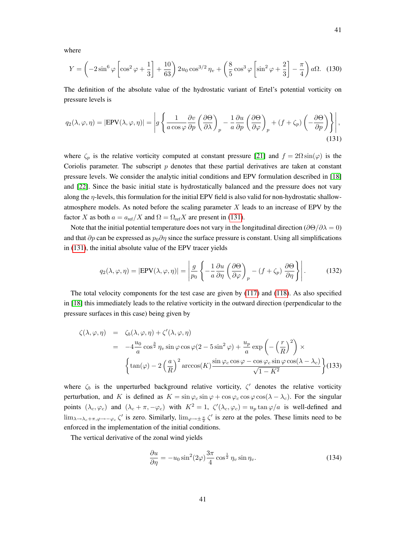where

$$
Y = \left(-2\sin^6\varphi\left[\cos^2\varphi + \frac{1}{3}\right] + \frac{10}{63}\right)2u_0\cos^{3/2}\eta_v + \left(\frac{8}{5}\cos^3\varphi\left[\sin^2\varphi + \frac{2}{3}\right] - \frac{\pi}{4}\right)a\Omega. \tag{130}
$$

The definition of the absolute value of the hydrostatic variant of Ertel's potential vorticity on pressure levels is

<span id="page-40-0"></span>
$$
q_2(\lambda, \varphi, \eta) = |\text{EPV}(\lambda, \varphi, \eta)| = \left| g \left\{ \frac{1}{a \cos \varphi} \frac{\partial v}{\partial p} \left( \frac{\partial \Theta}{\partial \lambda} \right)_p - \frac{1}{a} \frac{\partial u}{\partial p} \left( \frac{\partial \Theta}{\partial \varphi} \right)_p + (f + \zeta_p) \left( -\frac{\partial \Theta}{\partial p} \right) \right\} \right|,
$$
(131)

where  $\zeta_p$  is the relative vorticity computed at constant pressure [\[21\]](#page-53-3) and  $f = 2\Omega \sin(\varphi)$  is the Coriolis parameter. The subscript  $p$  denotes that these partial derivatives are taken at constant pressure levels. We consider the analytic initial conditions and EPV formulation described in [\[18\]](#page-53-0) and [\[22\]](#page-53-4). Since the basic initial state is hydrostatically balanced and the pressure does not vary along the  $\eta$ -levels, this formulation for the initial EPV field is also valid for non-hydrostatic shallowatmosphere models. As noted before the scaling parameter  $X$  leads to an increase of EPV by the factor X as both  $a = a_{ref}/X$  and  $\Omega = \Omega_{ref}X$  are present in [\(131\)](#page-40-0).

Note that the initial potential temperature does not vary in the longitudinal direction ( $\partial\Theta/\partial\lambda = 0$ ) and that  $\partial p$  can be expressed as  $p_0 \partial \eta$  since the surface pressure is constant. Using all simplifications in [\(131\)](#page-40-0), the initial absolute value of the EPV tracer yields

<span id="page-40-1"></span>
$$
q_2(\lambda, \varphi, \eta) = |\text{EPV}(\lambda, \varphi, \eta)| = \left| \frac{g}{p_0} \left\{ -\frac{1}{a} \frac{\partial u}{\partial \eta} \left( \frac{\partial \Theta}{\partial \varphi} \right)_p - (f + \zeta_p) \frac{\partial \Theta}{\partial \eta} \right\} \right|.
$$
 (132)

The total velocity components for the test case are given by [\(117\)](#page-37-0) and [\(118\)](#page-37-1). As also specified in [\[18\]](#page-53-0) this immediately leads to the relative vorticity in the outward direction (perpendicular to the pressure surfaces in this case) being given by

$$
\zeta(\lambda, \varphi, \eta) = \zeta_b(\lambda, \varphi, \eta) + \zeta'(\lambda, \varphi, \eta)
$$
  
=  $-4\frac{u_0}{a}\cos^{\frac{3}{2}}\eta_v \sin\varphi \cos\varphi(2 - 5\sin^2\varphi) + \frac{u_p}{a}\exp\left(-\left(\frac{r}{R}\right)^2\right) \times$   

$$
\left\{\tan(\varphi) - 2\left(\frac{a}{R}\right)^2 \arccos(K) \frac{\sin\varphi_c \cos\varphi - \cos\varphi_c \sin\varphi \cos(\lambda - \lambda_c)}{\sqrt{1 - K^2}}\right\}
$$
(133)

where  $\zeta_b$  is the unperturbed background relative vorticity,  $\zeta'$  denotes the relative vorticity perturbation, and K is defined as  $K = \sin \varphi_c \sin \varphi + \cos \varphi_c \cos \varphi \cos(\lambda - \lambda_c)$ . For the singular points  $(\lambda_c, \varphi_c)$  and  $(\lambda_c + \pi, -\varphi_c)$  with  $K^2 = 1$ ,  $\zeta'(\lambda_c, \varphi_c) = u_p \tan \varphi/a$  is well-defined and  $\lim_{\lambda\to\lambda_c+\pi,\varphi\to-\varphi_c} \zeta'$  is zero. Similarly,  $\lim_{\varphi\to\pm\frac{\pi}{2}} \zeta'$  is zero at the poles. These limits need to be enforced in the implementation of the initial conditions.

The vertical derivative of the zonal wind yields

$$
\frac{\partial u}{\partial \eta} = -u_0 \sin^2(2\varphi) \frac{3\pi}{4} \cos^{\frac{1}{2}} \eta_v \sin \eta_v.
$$
 (134)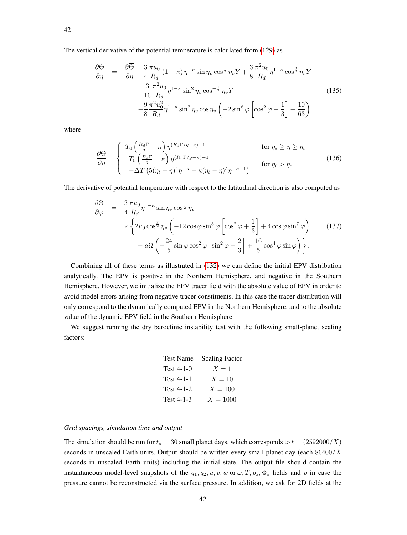The vertical derivative of the potential temperature is calculated from [\(129\)](#page-39-0) as

$$
\frac{\partial \Theta}{\partial \eta} = \frac{\partial \overline{\Theta}}{\partial \eta} + \frac{3}{4} \frac{\pi u_0}{R_d} (1 - \kappa) \eta^{-\kappa} \sin \eta_v \cos^{\frac{1}{2}} \eta_v Y + \frac{3}{8} \frac{\pi^2 u_0}{R_d} \eta^{1 - \kappa} \cos^{\frac{3}{2}} \eta_v Y \n- \frac{3}{16} \frac{\pi^2 u_0}{R_d} \eta^{1 - \kappa} \sin^2 \eta_v \cos^{-\frac{1}{2}} \eta_v Y \n- \frac{9}{8} \frac{\pi^2 u_0^2}{R_d} \eta^{1 - \kappa} \sin^2 \eta_v \cos \eta_v \left( -2 \sin^6 \varphi \left[ \cos^2 \varphi + \frac{1}{3} \right] + \frac{10}{63} \right)
$$
\n(135)

where

$$
\frac{\partial \overline{\Theta}}{\partial \eta} = \begin{cases} T_0 \left( \frac{R_d \Gamma}{g} - \kappa \right) \eta^{(R_d \Gamma/g - \kappa) - 1} & \text{for } \eta_s \ge \eta \ge \eta_t \\ T_0 \left( \frac{R_d \Gamma}{g} - \kappa \right) \eta^{(R_d \Gamma/g - \kappa) - 1} & \text{for } \eta_t > \eta. \\ -\Delta T \left( 5(\eta_t - \eta)^4 \eta^{-\kappa} + \kappa (\eta_t - \eta)^5 \eta^{-\kappa - 1} \right) & \text{for } \eta_t > \eta. \end{cases} \tag{136}
$$

The derivative of potential temperature with respect to the latitudinal direction is also computed as

$$
\frac{\partial \Theta}{\partial \varphi} = \frac{3}{4} \frac{\pi u_0}{R_d} \eta^{1-\kappa} \sin \eta_v \cos^{\frac{1}{2}} \eta_v
$$
  
 
$$
\times \left\{ 2u_0 \cos^{\frac{3}{2}} \eta_v \left( -12 \cos \varphi \sin^5 \varphi \left[ \cos^2 \varphi + \frac{1}{3} \right] + 4 \cos \varphi \sin^7 \varphi \right) \right. \tag{137}
$$
  
 
$$
+ a\Omega \left( -\frac{24}{5} \sin \varphi \cos^2 \varphi \left[ \sin^2 \varphi + \frac{2}{3} \right] + \frac{16}{5} \cos^4 \varphi \sin \varphi \right) \right\}.
$$

Combining all of these terms as illustrated in [\(132\)](#page-40-1) we can define the initial EPV distribution analytically. The EPV is positive in the Northern Hemisphere, and negative in the Southern Hemisphere. However, we initialize the EPV tracer field with the absolute value of EPV in order to avoid model errors arising from negative tracer constituents. In this case the tracer distribution will only correspond to the dynamically computed EPV in the Northern Hemisphere, and to the absolute value of the dynamic EPV field in the Southern Hemisphere.

We suggest running the dry baroclinic instability test with the following small-planet scaling factors:

| <b>Test Name</b> | <b>Scaling Factor</b> |
|------------------|-----------------------|
| Test 4-1-0       | $X=1$                 |
| Test 4-1-1       | $X=10$                |
| Test $4-1-2$     | $X = 100$             |
| Test 4-1-3       | $X = 1000$            |

## *Grid spacings, simulation time and output*

<span id="page-41-0"></span>The simulation should be run for  $t_s = 30$  small planet days, which corresponds to  $t = (2592000/X)$ seconds in unscaled Earth units. Output should be written every small planet day (each  $86400/X$ seconds in unscaled Earth units) including the initial state. The output file should contain the instantaneous model-level snapshots of the  $q_1, q_2, u, v, w$  or  $\omega, T, p_s, \Phi_s$  fields and p in case the pressure cannot be reconstructed via the surface pressure. In addition, we ask for 2D fields at the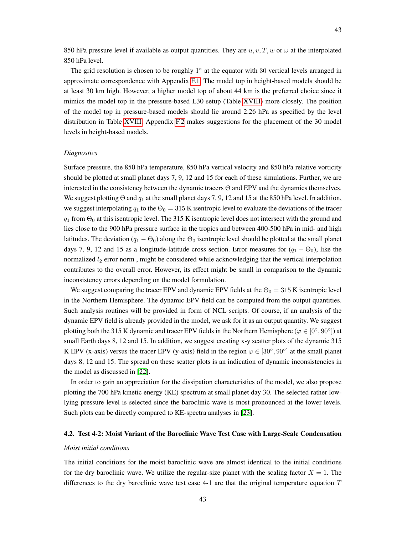43

850 hPa pressure level if available as output quantities. They are  $u, v, T, w$  or  $\omega$  at the interpolated 850 hPa level.

The grid resolution is chosen to be roughly  $1°$  at the equator with 30 vertical levels arranged in approximate correspondence with Appendix [F.1.](#page-63-0) The model top in height-based models should be at least 30 km high. However, a higher model top of about 44 km is the preferred choice since it mimics the model top in the pressure-based L30 setup (Table [XVIII\)](#page-64-0) more closely. The position of the model top in pressure-based models should lie around 2.26 hPa as specified by the level distribution in Table [XVIII.](#page-64-0) Appendix [F.2](#page-65-0) makes suggestions for the placement of the 30 model levels in height-based models.

#### *Diagnostics*

Surface pressure, the 850 hPa temperature, 850 hPa vertical velocity and 850 hPa relative vorticity should be plotted at small planet days 7, 9, 12 and 15 for each of these simulations. Further, we are interested in the consistency between the dynamic tracers Θ and EPV and the dynamics themselves. We suggest plotting  $\Theta$  and  $q_1$  at the small planet days 7, 9, 12 and 15 at the 850 hPa level. In addition, we suggest interpolating  $q_1$  to the  $\Theta_0 = 315$  K isentropic level to evaluate the deviations of the tracer  $q_1$  from  $\Theta_0$  at this isentropic level. The 315 K isentropic level does not intersect with the ground and lies close to the 900 hPa pressure surface in the tropics and between 400-500 hPa in mid- and high latitudes. The deviation  $(q_1 - \Theta_0)$  along the  $\Theta_0$  isentropic level should be plotted at the small planet days 7, 9, 12 and 15 as a longitude-latitude cross section. Error measures for  $(q_1 - \Theta_0)$ , like the normalized  $l_2$  error norm, might be considered while acknowledging that the vertical interpolation contributes to the overall error. However, its effect might be small in comparison to the dynamic inconsistency errors depending on the model formulation.

We suggest comparing the tracer EPV and dynamic EPV fields at the  $\Theta_0 = 315$  K isentropic level in the Northern Hemisphere. The dynamic EPV field can be computed from the output quantities. Such analysis routines will be provided in form of NCL scripts. Of course, if an analysis of the dynamic EPV field is already provided in the model, we ask for it as an output quantity. We suggest plotting both the 315 K dynamic and tracer EPV fields in the Northern Hemisphere ( $\varphi \in [0^{\circ}, 90^{\circ}]$ ) at small Earth days 8, 12 and 15. In addition, we suggest creating x-y scatter plots of the dynamic 315 K EPV (x-axis) versus the tracer EPV (y-axis) field in the region  $\varphi \in [30^{\circ}, 90^{\circ}]$  at the small planet days 8, 12 and 15. The spread on these scatter plots is an indication of dynamic inconsistencies in the model as discussed in [\[22\]](#page-53-4).

In order to gain an appreciation for the dissipation characteristics of the model, we also propose plotting the 700 hPa kinetic energy (KE) spectrum at small planet day 30. The selected rather lowlying pressure level is selected since the baroclinic wave is most pronounced at the lower levels. Such plots can be directly compared to KE-spectra analyses in [\[23\]](#page-53-5).

# <span id="page-42-0"></span>4.2. Test 4-2: Moist Variant of the Baroclinic Wave Test Case with Large-Scale Condensation

## *Moist initial conditions*

The initial conditions for the moist baroclinic wave are almost identical to the initial conditions for the dry baroclinic wave. We utilize the regular-size planet with the scaling factor  $X = 1$ . The differences to the dry baroclinic wave test case 4-1 are that the original temperature equation  $T$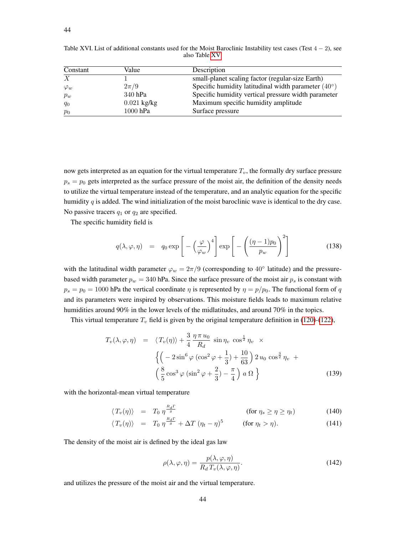| Constant         | Value         | Description                                                  |
|------------------|---------------|--------------------------------------------------------------|
| $\boldsymbol{X}$ |               | small-planet scaling factor (regular-size Earth)             |
| $\varphi_w$      | $2\pi/9$      | Specific humidity latitudinal width parameter $(40^{\circ})$ |
| $p_w$            | 340 hPa       | Specific humidity vertical pressure width parameter          |
| $q_0$            | $0.021$ kg/kg | Maximum specific humidity amplitude                          |
| $p_0$            | $1000$ hPa    | Surface pressure                                             |

<span id="page-43-0"></span>Table XVI. List of additional constants used for the Moist Baroclinic Instability test cases (Test 4 − 2), see also Table [XV.](#page-37-2)

now gets interpreted as an equation for the virtual temperature  $T_v$ , the formally dry surface pressure  $p_s = p_0$  gets interpreted as the surface pressure of the moist air, the definition of the density needs to utilize the virtual temperature instead of the temperature, and an analytic equation for the specific humidity q is added. The wind initialization of the moist baroclinic wave is identical to the dry case. No passive tracers  $q_1$  or  $q_2$  are specified.

The specific humidity field is

$$
q(\lambda, \varphi, \eta) = q_0 \exp\left[-\left(\frac{\varphi}{\varphi_w}\right)^4\right] \exp\left[-\left(\frac{(\eta - 1)p_0}{p_w}\right)^2\right]
$$
(138)

with the latitudinal width parameter  $\varphi_w = 2\pi/9$  (corresponding to 40° latitude) and the pressurebased width parameter  $p_w = 340$  hPa. Since the surface pressure of the moist air  $p_s$  is constant with  $p_s = p_0 = 1000$  hPa the vertical coordinate  $\eta$  is represented by  $\eta = p/p_0$ . The functional form of q and its parameters were inspired by observations. This moisture fields leads to maximum relative humidities around 90% in the lower levels of the midlatitudes, and around 70% in the topics.

This virtual temperature  $T_v$  field is given by the original temperature definition in [\(120\)](#page-38-3)-[\(122\)](#page-38-1),

$$
T_v(\lambda, \varphi, \eta) = \langle T_v(\eta) \rangle + \frac{3}{4} \frac{\eta \pi u_0}{R_d} \sin \eta_v \cos^{\frac{1}{2}} \eta_v \times
$$
  

$$
\left\{ \left( -2 \sin^6 \varphi \left( \cos^2 \varphi + \frac{1}{3} \right) + \frac{10}{63} \right) 2 u_0 \cos^{\frac{3}{2}} \eta_v + \left( \frac{8}{5} \cos^3 \varphi \left( \sin^2 \varphi + \frac{2}{3} \right) - \frac{\pi}{4} \right) a \Omega \right\}
$$
(139)

with the horizontal-mean virtual temperature

$$
\langle T_v(\eta) \rangle = T_0 \eta^{\frac{R_d \Gamma}{g}} \qquad \qquad \text{(for } \eta_s \ge \eta \ge \eta_t \text{)}
$$
 (140)

$$
\langle T_v(\eta) \rangle = T_0 \eta^{\frac{i \alpha d^2}{g}} + \Delta T (\eta_t - \eta)^5 \qquad \text{(for } \eta_t > \eta). \tag{141}
$$

The density of the moist air is defined by the ideal gas law

$$
\rho(\lambda, \varphi, \eta) = \frac{p(\lambda, \varphi, \eta)}{R_d T_v(\lambda, \varphi, \eta)}.
$$
\n(142)

and utilizes the pressure of the moist air and the virtual temperature.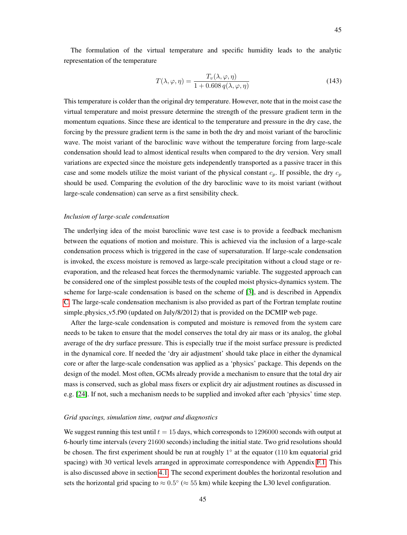The formulation of the virtual temperature and specific humidity leads to the analytic representation of the temperature

<span id="page-44-0"></span>
$$
T(\lambda, \varphi, \eta) = \frac{T_v(\lambda, \varphi, \eta)}{1 + 0.608 q(\lambda, \varphi, \eta)}
$$
(143)

This temperature is colder than the original dry temperature. However, note that in the moist case the virtual temperature and moist pressure determine the strength of the pressure gradient term in the momentum equations. Since these are identical to the temperature and pressure in the dry case, the forcing by the pressure gradient term is the same in both the dry and moist variant of the baroclinic wave. The moist variant of the baroclinic wave without the temperature forcing from large-scale condensation should lead to almost identical results when compared to the dry version. Very small variations are expected since the moisture gets independently transported as a passive tracer in this case and some models utilize the moist variant of the physical constant  $c_p$ . If possible, the dry  $c_p$ should be used. Comparing the evolution of the dry baroclinic wave to its moist variant (without large-scale condensation) can serve as a first sensibility check.

## *Inclusion of large-scale condensation*

The underlying idea of the moist baroclinic wave test case is to provide a feedback mechanism between the equations of motion and moisture. This is achieved via the inclusion of a large-scale condensation process which is triggered in the case of supersaturation. If large-scale condensation is invoked, the excess moisture is removed as large-scale precipitation without a cloud stage or reevaporation, and the released heat forces the thermodynamic variable. The suggested approach can be considered one of the simplest possible tests of the coupled moist physics-dynamics system. The scheme for large-scale condensation is based on the scheme of [\[3\]](#page-53-6), and is described in Appendix [C.](#page-58-0) The large-scale condensation mechanism is also provided as part of the Fortran template routine simple physics v5.f90 (updated on July/8/2012) that is provided on the DCMIP web page.

After the large-scale condensation is computed and moisture is removed from the system care needs to be taken to ensure that the model conserves the total dry air mass or its analog, the global average of the dry surface pressure. This is especially true if the moist surface pressure is predicted in the dynamical core. If needed the 'dry air adjustment' should take place in either the dynamical core or after the large-scale condensation was applied as a 'physics' package. This depends on the design of the model. Most often, GCMs already provide a mechanism to ensure that the total dry air mass is conserved, such as global mass fixers or explicit dry air adjustment routines as discussed in e.g. [\[24\]](#page-53-7). If not, such a mechanism needs to be supplied and invoked after each 'physics' time step.

## *Grid spacings, simulation time, output and diagnostics*

We suggest running this test until  $t = 15$  days, which corresponds to 1296000 seconds with output at 6-hourly time intervals (every 21600 seconds) including the initial state. Two grid resolutions should be chosen. The first experiment should be run at roughly 1° at the equator (110 km equatorial grid spacing) with 30 vertical levels arranged in approximate correspondence with Appendix [F.1.](#page-63-0) This is also discussed above in section [4.1.](#page-41-0) The second experiment doubles the horizontal resolution and sets the horizontal grid spacing to  $\approx 0.5^{\circ}$  ( $\approx 55$  km) while keeping the L30 level configuration.

45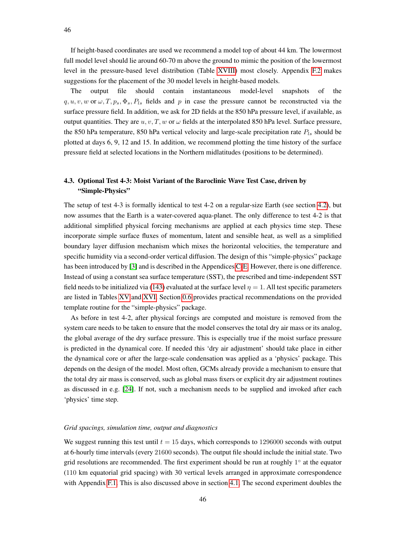If height-based coordinates are used we recommend a model top of about 44 km. The lowermost full model level should lie around 60-70 m above the ground to mimic the position of the lowermost level in the pressure-based level distribution (Table [XVIII\)](#page-64-0) most closely. Appendix [F.2](#page-65-0) makes suggestions for the placement of the 30 model levels in height-based models.

The output file should contain instantaneous model-level snapshots of the  $q, u, v, w$  or  $\omega$ ,  $T, p_s, \Phi_s$ ,  $P_{ls}$  fields and p in case the pressure cannot be reconstructed via the surface pressure field. In addition, we ask for 2D fields at the 850 hPa pressure level, if available, as output quantities. They are  $u, v, T, w$  or  $\omega$  fields at the interpolated 850 hPa level. Surface pressure, the 850 hPa temperature, 850 hPa vertical velocity and large-scale precipitation rate  $P_{ls}$  should be plotted at days 6, 9, 12 and 15. In addition, we recommend plotting the time history of the surface pressure field at selected locations in the Northern midlatitudes (positions to be determined).

# 4.3. Optional Test 4-3: Moist Variant of the Baroclinic Wave Test Case, driven by "Simple-Physics"

The setup of test 4-3 is formally identical to test 4-2 on a regular-size Earth (see section [4.2\)](#page-42-0), but now assumes that the Earth is a water-covered aqua-planet. The only difference to test 4-2 is that additional simplified physical forcing mechanisms are applied at each physics time step. These incorporate simple surface fluxes of momentum, latent and sensible heat, as well as a simplified boundary layer diffusion mechanism which mixes the horizontal velocities, the temperature and specific humidity via a second-order vertical diffusion. The design of this "simple-physics" package has been introduced by [\[3\]](#page-53-6) and is described in the Appendices [C-](#page-58-0)[E.](#page-62-0) However, there is one difference. Instead of using a constant sea surface temperature (SST), the prescribed and time-independent SST field needs to be initialized via [\(143\)](#page-44-0) evaluated at the surface level  $\eta = 1$ . All test specific parameters are listed in Tables [XV](#page-37-2) and [XVI.](#page-43-0) Section [0.6](#page-7-0) provides practical recommendations on the provided template routine for the "simple-physics" package.

As before in test 4-2, after physical forcings are computed and moisture is removed from the system care needs to be taken to ensure that the model conserves the total dry air mass or its analog, the global average of the dry surface pressure. This is especially true if the moist surface pressure is predicted in the dynamical core. If needed this 'dry air adjustment' should take place in either the dynamical core or after the large-scale condensation was applied as a 'physics' package. This depends on the design of the model. Most often, GCMs already provide a mechanism to ensure that the total dry air mass is conserved, such as global mass fixers or explicit dry air adjustment routines as discussed in e.g. [\[24\]](#page-53-7). If not, such a mechanism needs to be supplied and invoked after each 'physics' time step.

## *Grid spacings, simulation time, output and diagnostics*

We suggest running this test until  $t = 15$  days, which corresponds to 1296000 seconds with output at 6-hourly time intervals (every 21600 seconds). The output file should include the initial state. Two grid resolutions are recommended. The first experiment should be run at roughly 1° at the equator (110 km equatorial grid spacing) with 30 vertical levels arranged in approximate correspondence with Appendix [F.1.](#page-63-0) This is also discussed above in section [4.1.](#page-41-0) The second experiment doubles the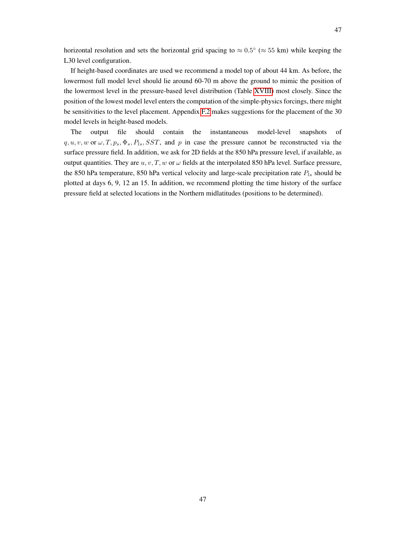horizontal resolution and sets the horizontal grid spacing to  $\approx 0.5^{\circ}$  ( $\approx 55$  km) while keeping the L30 level configuration.

If height-based coordinates are used we recommend a model top of about 44 km. As before, the lowermost full model level should lie around 60-70 m above the ground to mimic the position of the lowermost level in the pressure-based level distribution (Table [XVIII\)](#page-64-0) most closely. Since the position of the lowest model level enters the computation of the simple-physics forcings, there might be sensitivities to the level placement. Appendix [F.2](#page-65-0) makes suggestions for the placement of the 30 model levels in height-based models.

The output file should contain the instantaneous model-level snapshots of  $q, u, v, w$  or  $\omega, T, p_s, \Phi_s, P_{ls}, SST$ , and p in case the pressure cannot be reconstructed via the surface pressure field. In addition, we ask for 2D fields at the 850 hPa pressure level, if available, as output quantities. They are  $u, v, T, w$  or  $\omega$  fields at the interpolated 850 hPa level. Surface pressure, the 850 hPa temperature, 850 hPa vertical velocity and large-scale precipitation rate  $P_{ls}$  should be plotted at days 6, 9, 12 an 15. In addition, we recommend plotting the time history of the surface pressure field at selected locations in the Northern midlatitudes (positions to be determined).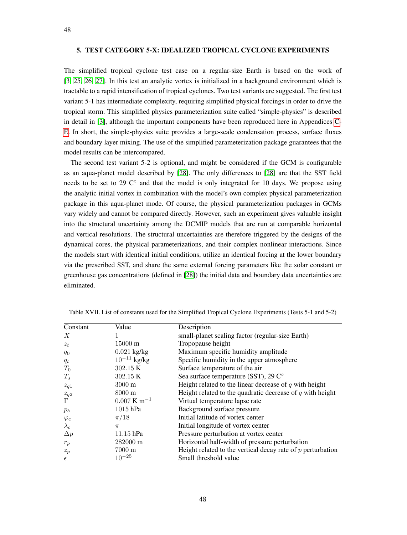# 5. TEST CATEGORY 5-X: IDEALIZED TROPICAL CYCLONE EXPERIMENTS

The simplified tropical cyclone test case on a regular-size Earth is based on the work of [\[3,](#page-53-6) [25,](#page-54-0) [26,](#page-54-1) [27\]](#page-54-2). In this test an analytic vortex is initialized in a background environment which is tractable to a rapid intensification of tropical cyclones. Two test variants are suggested. The first test variant 5-1 has intermediate complexity, requiring simplified physical forcings in order to drive the tropical storm. This simplified physics parameterization suite called "simple-physics" is described in detail in [\[3\]](#page-53-6), although the important components have been reproduced here in Appendices [C-](#page-58-0)[E.](#page-62-0) In short, the simple-physics suite provides a large-scale condensation process, surface fluxes and boundary layer mixing. The use of the simplified parameterization package guarantees that the model results can be intercompared.

The second test variant 5-2 is optional, and might be considered if the GCM is configurable as an aqua-planet model described by [\[28\]](#page-54-3). The only differences to [\[28\]](#page-54-3) are that the SST field needs to be set to 29 ℃° and that the model is only integrated for 10 days. We propose using the analytic initial vortex in combination with the model's own complex physical parameterization package in this aqua-planet mode. Of course, the physical parameterization packages in GCMs vary widely and cannot be compared directly. However, such an experiment gives valuable insight into the structural uncertainty among the DCMIP models that are run at comparable horizontal and vertical resolutions. The structural uncertainties are therefore triggered by the designs of the dynamical cores, the physical parameterizations, and their complex nonlinear interactions. Since the models start with identical initial conditions, utilize an identical forcing at the lower boundary via the prescribed SST, and share the same external forcing parameters like the solar constant or greenhouse gas concentrations (defined in [\[28\]](#page-54-3)) the initial data and boundary data uncertainties are eliminated.

| Constant         | Value                     | Description                                                   |
|------------------|---------------------------|---------------------------------------------------------------|
| $\boldsymbol{X}$ |                           | small-planet scaling factor (regular-size Earth)              |
| $z_t$            | 15000 m                   | Tropopause height                                             |
| $q_0$            | $0.021$ kg/kg             | Maximum specific humidity amplitude                           |
| $q_t$            | $10^{-11}$ kg/kg          | Specific humidity in the upper atmosphere                     |
| $T_0$            | 302.15 K                  | Surface temperature of the air                                |
| $T_s$            | 302.15 K                  | Sea surface temperature (SST), 29 C°                          |
| $z_{q1}$         | $3000 \text{ m}$          | Height related to the linear decrease of $q$ with height      |
| $z_{q2}$         | 8000 m                    | Height related to the quadratic decrease of $q$ with height   |
| $\Gamma$         | $0.007$ K m <sup>-1</sup> | Virtual temperature lapse rate                                |
| $p_b$            | $1015$ hPa                | Background surface pressure                                   |
| $\varphi_c$      | $\pi/18$                  | Initial latitude of vortex center                             |
| $\lambda_c$      | $\pi$                     | Initial longitude of vortex center                            |
| $\Delta p$       | 11.15 hPa                 | Pressure perturbation at vortex center                        |
| $r_p$            | 282000 m                  | Horizontal half-width of pressure perturbation                |
| $z_p$            | 7000 m                    | Height related to the vertical decay rate of $p$ perturbation |
| $\epsilon$       | $10^{-25}$                | Small threshold value                                         |

Table XVII. List of constants used for the Simplified Tropical Cyclone Experiments (Tests 5-1 and 5-2)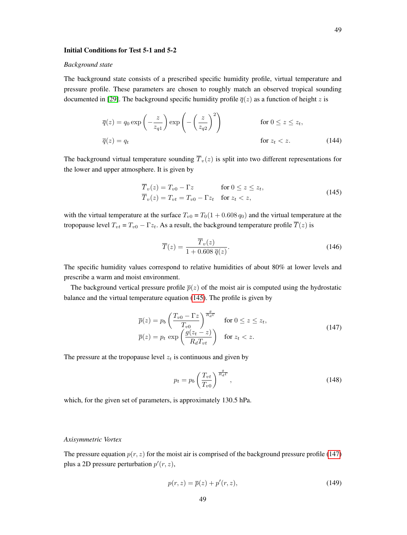## *Background state*

The background state consists of a prescribed specific humidity profile, virtual temperature and pressure profile. These parameters are chosen to roughly match an observed tropical sounding documented in [\[29\]](#page-54-4). The background specific humidity profile  $\overline{q}(z)$  as a function of height z is

$$
\overline{q}(z) = q_0 \exp\left(-\frac{z}{z_{q1}}\right) \exp\left(-\left(\frac{z}{z_{q2}}\right)^2\right) \qquad \text{for } 0 \le z \le z_t,
$$
\n
$$
\overline{q}(z) = q_t \qquad \text{for } z_t < z. \tag{144}
$$

The background virtual temperature sounding  $\overline{T}_v(z)$  is split into two different representations for the lower and upper atmosphere. It is given by

<span id="page-48-0"></span>
$$
\overline{T}_v(z) = T_{v0} - \Gamma z \qquad \text{for } 0 \le z \le z_t,
$$
  
\n
$$
\overline{T}_v(z) = T_{vt} = T_{v0} - \Gamma z_t \quad \text{for } z_t < z,
$$
\n(145)

with the virtual temperature at the surface  $T_{v0} = T_0(1 + 0.608 q_0)$  and the virtual temperature at the tropopause level  $T_{vt} = T_{v0} - \Gamma z_t$ . As a result, the background temperature profile  $\overline{T}(z)$  is

$$
\overline{T}(z) = \frac{\overline{T}_v(z)}{1 + 0.608 \overline{q}(z)}.
$$
\n(146)

The specific humidity values correspond to relative humidities of about 80% at lower levels and prescribe a warm and moist environment.

The background vertical pressure profile  $\bar{p}(z)$  of the moist air is computed using the hydrostatic balance and the virtual temperature equation [\(145\)](#page-48-0). The profile is given by

<span id="page-48-1"></span>
$$
\overline{p}(z) = p_b \left( \frac{T_{v0} - \Gamma z}{T_{v0}} \right)^{\frac{q}{R_d \Gamma}} \quad \text{for } 0 \le z \le z_t,
$$
\n
$$
\overline{p}(z) = p_t \exp \left( \frac{g(z_t - z)}{R_d T_{vt}} \right) \quad \text{for } z_t < z.
$$
\n
$$
(147)
$$

The pressure at the tropopause level  $z_t$  is continuous and given by

$$
p_t = p_b \left(\frac{T_{vt}}{T_{v0}}\right)^{\frac{g}{R_d \Gamma}},\tag{148}
$$

which, for the given set of parameters, is approximately 130.5 hPa.

#### *Axisymmetric Vortex*

The pressure equation  $p(r, z)$  for the moist air is comprised of the background pressure profile [\(147\)](#page-48-1) plus a 2D pressure perturbation  $p'(r, z)$ ,

<span id="page-48-2"></span>
$$
p(r,z) = \overline{p}(z) + p'(r,z),\tag{149}
$$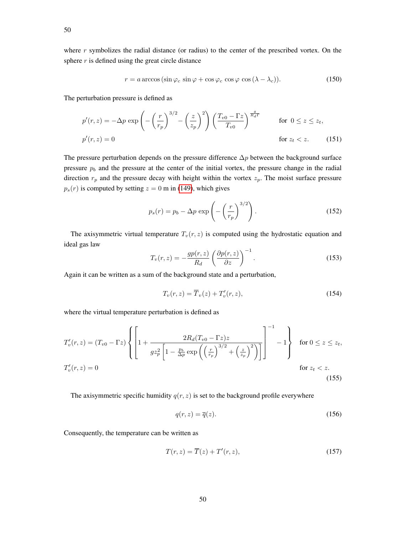where  $r$  symbolizes the radial distance (or radius) to the center of the prescribed vortex. On the sphere  $r$  is defined using the great circle distance

$$
r = a \arccos(\sin \varphi_c \sin \varphi + \cos \varphi_c \cos \varphi \cos (\lambda - \lambda_c)). \tag{150}
$$

The perturbation pressure is defined as

$$
p'(r,z) = -\Delta p \exp\left(-\left(\frac{r}{r_p}\right)^{3/2} - \left(\frac{z}{z_p}\right)^2\right) \left(\frac{T_{v0} - \Gamma z}{T_{v0}}\right)^{\frac{q}{R_d \Gamma}} \quad \text{for } 0 \le z \le z_t,
$$
  

$$
p'(r,z) = 0 \quad \text{for } z_t < z. \tag{151}
$$

The pressure perturbation depends on the pressure difference  $\Delta p$  between the background surface pressure  $p_b$  and the pressure at the center of the initial vortex, the pressure change in the radial direction  $r_p$  and the pressure decay with height within the vortex  $z_p$ . The moist surface pressure  $p_s(r)$  is computed by setting  $z = 0$  m in [\(149\)](#page-48-2), which gives

<span id="page-49-5"></span><span id="page-49-2"></span>
$$
p_s(r) = p_b - \Delta p \exp\left(-\left(\frac{r}{r_p}\right)^{3/2}\right). \tag{152}
$$

The axisymmetric virtual temperature  $T_v(r, z)$  is computed using the hydrostatic equation and ideal gas law

$$
T_v(r,z) = -\frac{gp(r,z)}{R_d} \left(\frac{\partial p(r,z)}{\partial z}\right)^{-1}.
$$
 (153)

Again it can be written as a sum of the background state and a perturbation,

<span id="page-49-0"></span>
$$
T_v(r,z) = \overline{T}_v(z) + T'_v(r,z),\tag{154}
$$

where the virtual temperature perturbation is defined as

$$
T'_v(r,z) = (T_{v0} - \Gamma z) \left\{ \left[ 1 + \frac{2R_d(T_{v0} - \Gamma z)z}{gz_p^2 \left[ 1 - \frac{p_b}{\Delta p} \exp\left(\left(\frac{r}{r_p}\right)^{3/2} + \left(\frac{z}{z_p}\right)^2\right) \right]} \right]^{-1} - 1 \right\} \quad \text{for } 0 \le z \le z_t,
$$
  

$$
T'_v(r,z) = 0 \qquad \text{for } z_t < z.
$$
 (155)

The axisymmetric specific humidity  $q(r, z)$  is set to the background profile everywhere

<span id="page-49-3"></span><span id="page-49-1"></span>
$$
q(r,z) = \overline{q}(z). \tag{156}
$$

Consequently, the temperature can be written as

<span id="page-49-4"></span>
$$
T(r,z) = \overline{T}(z) + T'(r,z),\tag{157}
$$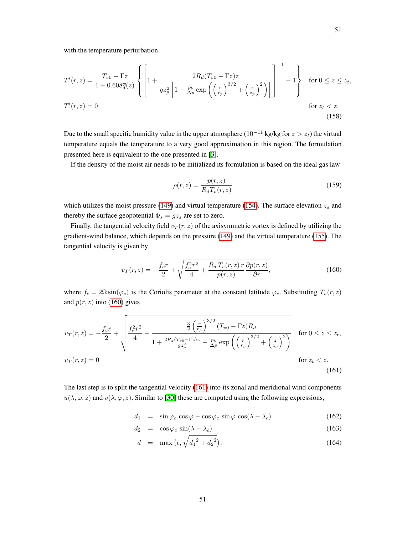with the temperature perturbation

$$
T'(r,z) = \frac{T_{v0} - \Gamma z}{1 + 0.608\overline{q}(z)} \left\{ \left[ 1 + \frac{2R_d(T_{v0} - \Gamma z)z}{gz_p^2 \left[ 1 - \frac{p_b}{\Delta p} \exp\left(\left(\frac{r}{r_p}\right)^{3/2} + \left(\frac{z}{z_p}\right)^2\right) \right]} \right]^{-1} - 1 \right\} \quad \text{for } 0 \le z \le z_t,
$$
  

$$
T'(r,z) = 0 \qquad \text{for } z_t < z.
$$
 (158)

Due to the small specific humidity value in the upper atmosphere ( $10^{-11}$  kg/kg for  $z > z_t$ ) the virtual temperature equals the temperature to a very good approximation in this region. The formulation presented here is equivalent to the one presented in [\[3\]](#page-53-6).

If the density of the moist air needs to be initialized its formulation is based on the ideal gas law

<span id="page-50-2"></span>
$$
\rho(r,z) = \frac{p(r,z)}{R_d T_v(r,z)}\tag{159}
$$

which utilizes the moist pressure [\(149\)](#page-48-2) and virtual temperature [\(154\)](#page-49-0). The surface elevation  $z_s$  and thereby the surface geopotential  $\Phi_s = gz_s$  are set to zero.

Finally, the tangential velocity field  $v_T(r, z)$  of the axisymmetric vortex is defined by utilizing the gradient-wind balance, which depends on the pressure [\(149\)](#page-48-2) and the virtual temperature [\(155\)](#page-49-1). The tangential velocity is given by

<span id="page-50-0"></span>
$$
v_T(r,z) = -\frac{f_c r}{2} + \sqrt{\frac{f_c^2 r^2}{4} + \frac{R_d T_v(r,z) r}{p(r,z)} \frac{\partial p(r,z)}{\partial r}},\tag{160}
$$

where  $f_c = 2\Omega \sin(\varphi_c)$  is the Coriolis parameter at the constant latitude  $\varphi_c$ . Substituting  $T_v(r, z)$ and  $p(r, z)$  into [\(160\)](#page-50-0) gives

$$
v_T(r,z) = -\frac{f_c r}{2} + \sqrt{\frac{f_c^2 r^2}{4} - \frac{\frac{3}{2} \left(\frac{r}{r_p}\right)^{3/2} (T_{v0} - \Gamma z) R_d}{1 + \frac{2R_d (T_{v0} - \Gamma z)z}{g z_p^2} - \frac{p_b}{\Delta p} \exp\left(\left(\frac{r}{r_p}\right)^{3/2} + \left(\frac{z}{z_p}\right)^2\right)}} \quad \text{for } 0 \le z \le z_t,
$$
\n
$$
v_T(r,z) = 0 \qquad \text{for } z_t < z. \tag{161}
$$

The last step is to split the tangential velocity [\(161\)](#page-50-1) into its zonal and meridional wind components  $u(\lambda, \varphi, z)$  and  $v(\lambda, \varphi, z)$ . Similar to [\[30\]](#page-54-5) these are computed using the following expressions,

<span id="page-50-1"></span>
$$
d_1 = \sin \varphi_c \cos \varphi - \cos \varphi_c \sin \varphi \cos(\lambda - \lambda_c) \tag{162}
$$

$$
d_2 = \cos \varphi_c \sin(\lambda - \lambda_c) \tag{163}
$$

$$
d = \max\left(\epsilon, \sqrt{{d_1}^2 + {d_2}^2}\right),\tag{164}
$$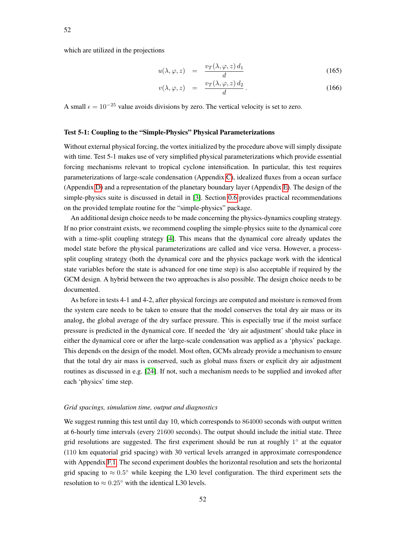which are utilized in the projections

$$
u(\lambda, \varphi, z) = \frac{v_T(\lambda, \varphi, z) d_1}{d} \tag{165}
$$

<span id="page-51-0"></span>
$$
v(\lambda, \varphi, z) = \frac{v_T(\lambda, \varphi, z) d_2}{d}.
$$
 (166)

A small  $\epsilon = 10^{-25}$  value avoids divisions by zero. The vertical velocity is set to zero.

#### Test 5-1: Coupling to the "Simple-Physics" Physical Parameterizations

Without external physical forcing, the vortex initialized by the procedure above will simply dissipate with time. Test 5-1 makes use of very simplified physical parameterizations which provide essential forcing mechanisms relevant to tropical cyclone intensification. In particular, this test requires parameterizations of large-scale condensation (Appendix [C\)](#page-58-0), idealized fluxes from a ocean surface (Appendix [D\)](#page-60-0) and a representation of the planetary boundary layer (Appendix [E\)](#page-62-0). The design of the simple-physics suite is discussed in detail in [\[3\]](#page-53-6). Section [0.6](#page-7-0) provides practical recommendations on the provided template routine for the "simple-physics" package.

An additional design choice needs to be made concerning the physics-dynamics coupling strategy. If no prior constraint exists, we recommend coupling the simple-physics suite to the dynamical core with a time-split coupling strategy [\[4\]](#page-53-8). This means that the dynamical core already updates the model state before the physical parameterizations are called and vice versa. However, a processsplit coupling strategy (both the dynamical core and the physics package work with the identical state variables before the state is advanced for one time step) is also acceptable if required by the GCM design. A hybrid between the two approaches is also possible. The design choice needs to be documented.

As before in tests 4-1 and 4-2, after physical forcings are computed and moisture is removed from the system care needs to be taken to ensure that the model conserves the total dry air mass or its analog, the global average of the dry surface pressure. This is especially true if the moist surface pressure is predicted in the dynamical core. If needed the 'dry air adjustment' should take place in either the dynamical core or after the large-scale condensation was applied as a 'physics' package. This depends on the design of the model. Most often, GCMs already provide a mechanism to ensure that the total dry air mass is conserved, such as global mass fixers or explicit dry air adjustment routines as discussed in e.g. [\[24\]](#page-53-7). If not, such a mechanism needs to be supplied and invoked after each 'physics' time step.

#### *Grid spacings, simulation time, output and diagnostics*

We suggest running this test until day 10, which corresponds to 864000 seconds with output written at 6-hourly time intervals (every 21600 seconds). The output should include the initial state. Three grid resolutions are suggested. The first experiment should be run at roughly 1° at the equator (110 km equatorial grid spacing) with 30 vertical levels arranged in approximate correspondence with Appendix [F.1.](#page-63-0) The second experiment doubles the horizontal resolution and sets the horizontal grid spacing to  $\approx 0.5^{\circ}$  while keeping the L30 level configuration. The third experiment sets the resolution to  $\approx 0.25^{\circ}$  with the identical L30 levels.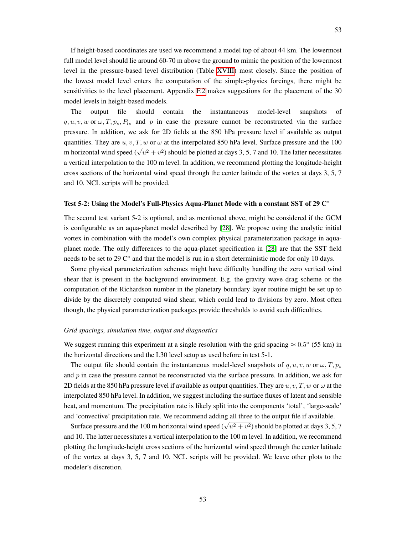The output file should contain the instantaneous model-level snapshots of  $q, u, v, w$  or  $\omega, T, p_s, P_{ls}$  and p in case the pressure cannot be reconstructed via the surface pressure. In addition, we ask for 2D fields at the 850 hPa pressure level if available as output quantities. They are  $u, v, T, w$  or  $\omega$  at the interpolated 850 hPa level. Surface pressure and the 100 m horizontal wind speed  $(\sqrt{u^2 + v^2})$  should be plotted at days 3, 5, 7 and 10. The latter necessitates a vertical interpolation to the 100 m level. In addition, we recommend plotting the longitude-height cross sections of the horizontal wind speed through the center latitude of the vortex at days 3, 5, 7 and 10. NCL scripts will be provided.

## Test 5-2: Using the Model's Full-Physics Aqua-Planet Mode with a constant SST of 29 ℃

The second test variant 5-2 is optional, and as mentioned above, might be considered if the GCM is configurable as an aqua-planet model described by [\[28\]](#page-54-3). We propose using the analytic initial vortex in combination with the model's own complex physical parameterization package in aquaplanet mode. The only differences to the aqua-planet specification in [\[28\]](#page-54-3) are that the SST field needs to be set to 29 C° and that the model is run in a short deterministic mode for only 10 days.

Some physical parameterization schemes might have difficulty handling the zero vertical wind shear that is present in the background environment. E.g. the gravity wave drag scheme or the computation of the Richardson number in the planetary boundary layer routine might be set up to divide by the discretely computed wind shear, which could lead to divisions by zero. Most often though, the physical parameterization packages provide thresholds to avoid such difficulties.

## *Grid spacings, simulation time, output and diagnostics*

We suggest running this experiment at a single resolution with the grid spacing  $\approx 0.5^{\circ}$  (55 km) in the horizontal directions and the L30 level setup as used before in test 5-1.

The output file should contain the instantaneous model-level snapshots of q, u, v, w or  $\omega$ , T,  $p_s$ and  $p$  in case the pressure cannot be reconstructed via the surface pressure. In addition, we ask for 2D fields at the 850 hPa pressure level if available as output quantities. They are  $u, v, T, w$  or  $\omega$  at the interpolated 850 hPa level. In addition, we suggest including the surface fluxes of latent and sensible heat, and momentum. The precipitation rate is likely split into the components 'total', 'large-scale' and 'convective' precipitation rate. We recommend adding all three to the output file if available.

Surface pressure and the 100 m horizontal wind speed  $(\sqrt{u^2 + v^2})$  should be plotted at days 3, 5, 7 and 10. The latter necessitates a vertical interpolation to the 100 m level. In addition, we recommend plotting the longitude-height cross sections of the horizontal wind speed through the center latitude of the vortex at days 3, 5, 7 and 10. NCL scripts will be provided. We leave other plots to the modeler's discretion.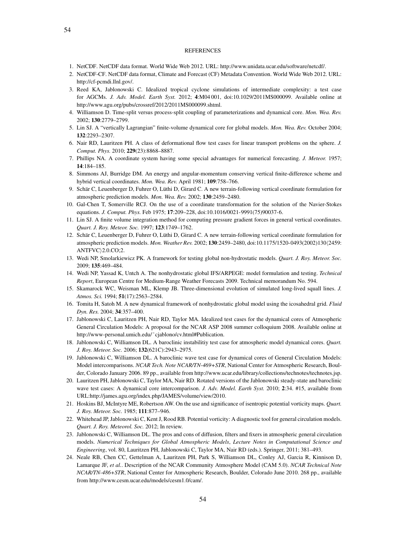#### **REFERENCES**

- <span id="page-53-11"></span>1. NetCDF. NetCDF data format. World Wide Web 2012. URL: http://www.unidata.ucar.edu/software/netcdf/.
- <span id="page-53-12"></span>2. NetCDF-CF. NetCDF data format, Climate and Forecast (CF) Metadata Convention. World Wide Web 2012. URL: http://cf-pcmdi.llnl.gov/.
- <span id="page-53-6"></span>3. Reed KA, Jablonowski C. Idealized tropical cyclone simulations of intermediate complexity: a test case for AGCMs. *J. Adv. Model. Earth Syst.* 2012; 4:M04 001, doi:10.1029/2011MS000099. Available online at http://www.agu.org/pubs/crossref/2012/2011MS000099.shtml.
- <span id="page-53-8"></span>4. Williamson D. Time-split versus process-split coupling of parameterizations and dynamical core. *Mon. Wea. Rev.* 2002; 130:2779–2799.
- 5. Lin SJ. A "vertically Lagrangian" finite-volume dynamical core for global models. *Mon. Wea. Rev.* October 2004; 132:2293–2307.
- 6. Nair RD, Lauritzen PH. A class of deformational flow test cases for linear transport problems on the sphere. *J. Comput. Phys.* 2010; 229(23):8868–8887.
- <span id="page-53-10"></span>7. Phillips NA. A coordinate system having some special advantages for numerical forecasting. *J. Meteor.* 1957;  $14.184 - 185$
- <span id="page-53-9"></span>8. Simmons AJ, Burridge DM. An energy and angular-momentum conserving vertical finite-difference scheme and hybrid vertical coordinates. *Mon. Wea. Rev.* April 1981; 109:758–766.
- 9. Schär C, Leuenberger D, Fuhrer O, Lüthi D, Girard C. A new terrain-following vertical coordinate formulation for atmospheric prediction models. *Mon. Wea. Rev.* 2002; 130:2459–2480.
- 10. Gal-Chen T, Somerville RCJ. On the use of a coordinate transformation for the solution of the Navier-Stokes equations. *J. Comput. Phys.* Feb 1975; 17:209–228, doi:10.1016/0021-9991(75)90037-6.
- 11. Lin SJ. A finite volume integration method for computing pressure gradient forces in general vertical coordinates. *Quart. J. Roy. Meteor. Soc.* 1997; 123:1749–1762.
- 12. Schär C, Leuenberger D, Fuhrer O, Lüthi D, Girard C. A new terrain-following vertical coordinate formulation for atmospheric prediction models. *Mon. Weather Rev.* 2002; 130:2459-2480, doi:10.1175/1520-0493(2002)130/2459:  $ANTFVC$  $2.0.CO;2.$
- 13. Wedi NP, Smolarkiewicz PK. A framework for testing global non-hydrostatic models. *Quart. J. Roy. Meteor. Soc.* 2009; 135:469–484.
- 14. Wedi NP, Yassad K, Untch A. The nonhydrostatic global IFS/ARPEGE: model formulation and testing. *Technical Report*, European Centre for Medium-Range Weather Forecasts 2009. Technical memorandum No. 594.
- 15. Skamarock WC, Weisman ML, Klemp JB. Three-dimensional evolution of simulated long-lived squall lines. *J. Atmos. Sci.* 1994; 51(17):2563–2584.
- 16. Tomita H, Satoh M. A new dynamical framework of nonhydrostatic global model using the icosahedral grid. *Fluid Dyn. Res.* 2004; 34:357–400.
- 17. Jablonowski C, Lauritzen PH, Nair RD, Taylor MA. Idealized test cases for the dynamical cores of Atmospheric General Circulation Models: A proposal for the NCAR ASP 2008 summer colloquium 2008. Available online at http://www-personal.umich.edu/~cjablono/cv.html#Publication.
- <span id="page-53-0"></span>18. Jablonowski C, Williamson DL. A baroclinic instabilitiy test case for atmospheric model dynamical cores. *Quart. J. Roy. Meteor. Soc.* 2006; 132(621C):2943–2975.
- <span id="page-53-1"></span>19. Jablonowski C, Williamson DL. A baroclinic wave test case for dynamical cores of General Circulation Models: Model intercomparisons. *NCAR Tech. Note NCAR/TN-469+STR*, National Center for Atmospheric Research, Boulder, Colorado January 2006. 89 pp., available from http://www.ucar.edu/library/collections/technotes/technotes.jsp.
- <span id="page-53-2"></span>20. Lauritzen PH, Jablonowski C, Taylor MA, Nair RD. Rotated versions of the Jablonowski steady-state and baroclinic wave test cases: A dynamical core intercomparison. *J. Adv. Model. Earth Syst.* 2010; 2:34. #15, available from URL:http://james.agu.org/index.php/JAMES/volume/view/2010.
- <span id="page-53-3"></span>21. Hoskins BJ, McIntyre ME, Robertson AW. On the use and significance of isentropic potential vorticity maps. *Quart. J. Roy. Meteor. Soc.* 1985; 111:877–946.
- <span id="page-53-4"></span>22. Whitehead JP, Jablonowski C, Kent J, Rood RB. Potential vorticity: A diagnostic tool for general circulation models. *Quart. J. Roy. Meteorol. Soc.* 2012; In review.
- <span id="page-53-5"></span>23. Jablonowski C, Williamson DL. The pros and cons of diffusion, filters and fixers in atmospheric general circulation models. *Numerical Techniques for Global Atmospheric Models*, *Lecture Notes in Computational Science and Engineering*, vol. 80, Lauritzen PH, Jablonowski C, Taylor MA, Nair RD (eds.). Springer, 2011; 381–493.
- <span id="page-53-7"></span>24. Neale RB, Chen CC, Gettelman A, Lauritzen PH, Park S, Williamson DL, Conley AJ, Garcia R, Kinnison D, Lamarque JF, *et al.*. Description of the NCAR Community Atmosphere Model (CAM 5.0). *NCAR Technical Note NCAR/TN-486+STR*, National Center for Atmospheric Research, Boulder, Colorado June 2010. 268 pp., available from http://www.cesm.ucar.edu/models/cesm1.0/cam/.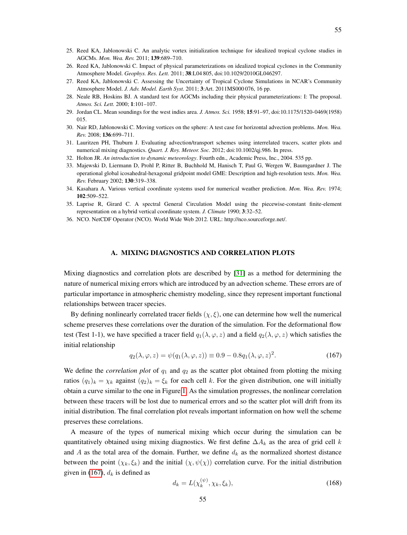- <span id="page-54-0"></span>25. Reed KA, Jablonowski C. An analytic vortex initialization technique for idealized tropical cyclone studies in AGCMs. *Mon. Wea. Rev.* 2011; 139:689–710.
- <span id="page-54-1"></span>26. Reed KA, Jablonowski C. Impact of physical parameterizations on idealized tropical cyclones in the Community Atmosphere Model. *Geophys. Res. Lett.* 2011; 38:L04 805, doi:10.1029/2010GL046297.
- <span id="page-54-2"></span>27. Reed KA, Jablonowski C. Assessing the Uncertainty of Tropical Cyclone Simulations in NCAR's Community Atmosphere Model. *J. Adv. Model. Earth Syst.* 2011; 3:Art. 2011MS000 076, 16 pp.
- <span id="page-54-3"></span>28. Neale RB, Hoskins BJ. A standard test for AGCMs including their physical parameterizations: I: The proposal. *Atmos. Sci. Lett.* 2000; 1:101–107.
- <span id="page-54-4"></span>29. Jordan CL. Mean soundings for the west indies area. *J. Atmos. Sci.* 1958; 15:91–97, doi:10.1175/1520-0469(1958) 015.
- <span id="page-54-5"></span>30. Nair RD, Jablonowski C. Moving vortices on the sphere: A test case for horizontal advection problems. *Mon. Wea. Rev.* 2008; 136:699–711.
- <span id="page-54-6"></span>31. Lauritzen PH, Thuburn J. Evaluating advection/transport schemes using interrelated tracers, scatter plots and numerical mixing diagnostics. *Quart. J. Roy. Meteor. Soc.* 2012; doi:10.1002/qj.986. In press.
- <span id="page-54-8"></span>32. Holton JR. *An introduction to dynamic meteorology*. Fourth edn., Academic Press, Inc., 2004. 535 pp.
- <span id="page-54-9"></span>33. Majewski D, Liermann D, Prohl P, Ritter B, Buchhold M, Hanisch T, Paul G, Wergen W, Baumgardner J. The operational global icosahedral-hexagonal gridpoint model GME: Description and high-resolution tests. *Mon. Wea. Rev.* February 2002; 130:319–338.
- <span id="page-54-10"></span>34. Kasahara A. Various vertical coordinate systems used for numerical weather prediction. *Mon. Wea. Rev.* 1974; 102:509–522.
- <span id="page-54-11"></span>35. Laprise R, Girard C. A spectral General Circulation Model using the piecewise-constant finite-element representation on a hybrid vertical coordinate system. *J. Climate* 1990; 3:32–52.
- <span id="page-54-12"></span>36. NCO. NetCDF Operator (NCO). World Wide Web 2012. URL: http://nco.sourceforge.net/.

#### A. MIXING DIAGNOSTICS AND CORRELATION PLOTS

Mixing diagnostics and correlation plots are described by [\[31\]](#page-54-6) as a method for determining the nature of numerical mixing errors which are introduced by an advection scheme. These errors are of particular importance in atmospheric chemistry modeling, since they represent important functional relationships between tracer species.

By defining nonlinearly correlated tracer fields  $(\chi, \xi)$ , one can determine how well the numerical scheme preserves these correlations over the duration of the simulation. For the deformational flow test (Test 1-1), we have specified a tracer field  $q_1(\lambda, \varphi, z)$  and a field  $q_2(\lambda, \varphi, z)$  which satisfies the initial relationship

<span id="page-54-7"></span>
$$
q_2(\lambda, \varphi, z) = \psi(q_1(\lambda, \varphi, z)) \equiv 0.9 - 0.8q_1(\lambda, \varphi, z)^2.
$$
 (167)

We define the *correlation plot* of  $q_1$  and  $q_2$  as the scatter plot obtained from plotting the mixing ratios  $(q_1)_k = \chi_k$  against  $(q_2)_k = \xi_k$  for each cell k. For the given distribution, one will initially obtain a curve similar to the one in Figure [1.](#page-55-0) As the simulation progresses, the nonlinear correlation between these tracers will be lost due to numerical errors and so the scatter plot will drift from its initial distribution. The final correlation plot reveals important information on how well the scheme preserves these correlations.

A measure of the types of numerical mixing which occur during the simulation can be quantitatively obtained using mixing diagnostics. We first define  $\Delta A_k$  as the area of grid cell k and A as the total area of the domain. Further, we define  $d_k$  as the normalized shortest distance between the point  $(\chi_k, \xi_k)$  and the initial  $(\chi, \psi(\chi))$  correlation curve. For the initial distribution given in [\(167\)](#page-54-7),  $d_k$  is defined as

$$
d_k = L(\chi_k^{(\psi)}, \chi_k, \xi_k),\tag{168}
$$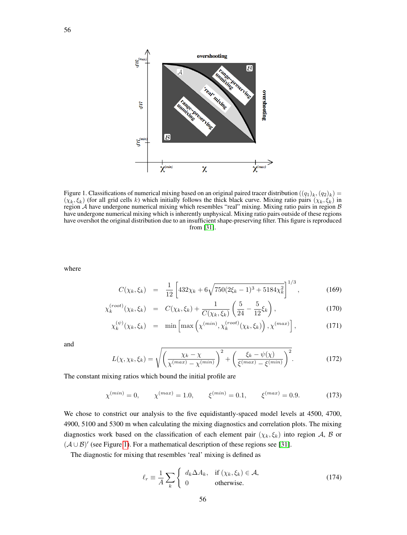<span id="page-55-0"></span>

Figure 1. Classifications of numerical mixing based on an original paired tracer distribution  $((q_1)_k,(q_2)_k)$  =  $(\chi_k, \xi_k)$  (for all grid cells k) which initially follows the thick black curve. Mixing ratio pairs  $(\chi_k, \xi_k)$  in region A have undergone numerical mixing which resembles "real" mixing. Mixing ratio pairs in region B have undergone numerical mixing which is inherently unphysical. Mixing ratio pairs outside of these regions have overshot the original distribution due to an insufficient shape-preserving filter. This figure is reproduced from [\[31\]](#page-54-6).

where

$$
C(\chi_k, \xi_k) = \frac{1}{12} \left[ 432\chi_k + 6\sqrt{750(2\xi_k - 1)^3 + 5184\chi_k^2} \right]^{1/3}, \tag{169}
$$

$$
\chi_k^{(root)}(\chi_k, \xi_k) = C(\chi_k, \xi_k) + \frac{1}{C(\chi_k, \xi_k)} \left(\frac{5}{24} - \frac{5}{12}\xi_k\right),\tag{170}
$$

$$
\chi_k^{(\psi)}(\chi_k, \xi_k) = \min \left[ \max \left( \chi^{(min)}, \chi_k^{(root)}(\chi_k, \xi_k) \right), \chi^{(max)} \right], \tag{171}
$$

and

$$
L(\chi, \chi_k, \xi_k) = \sqrt{\left(\frac{\chi_k - \chi}{\chi^{(max)} - \chi^{(min)}}\right)^2 + \left(\frac{\xi_k - \psi(\chi)}{\xi^{(max)} - \xi^{(min)}}\right)^2}.
$$
 (172)

The constant mixing ratios which bound the initial profile are

$$
\chi^{(min)} = 0, \qquad \chi^{(max)} = 1.0, \qquad \xi^{(min)} = 0.1, \qquad \xi^{(max)} = 0.9. \tag{173}
$$

We chose to constrict our analysis to the five equidistantly-spaced model levels at 4500, 4700, 4900, 5100 and 5300 m when calculating the mixing diagnostics and correlation plots. The mixing diagnostics work based on the classification of each element pair  $(\chi_k, \xi_k)$  into region A, B or  $(A \cup B)'$  (see Figure [1\)](#page-55-0). For a mathematical description of these regions see [\[31\]](#page-54-6).

The diagnostic for mixing that resembles 'real' mixing is defined as

$$
\ell_r \equiv \frac{1}{A} \sum_{k} \begin{cases} d_k \Delta A_k, & \text{if } (\chi_k, \xi_k) \in \mathcal{A}, \\ 0 & \text{otherwise.} \end{cases}
$$
(174)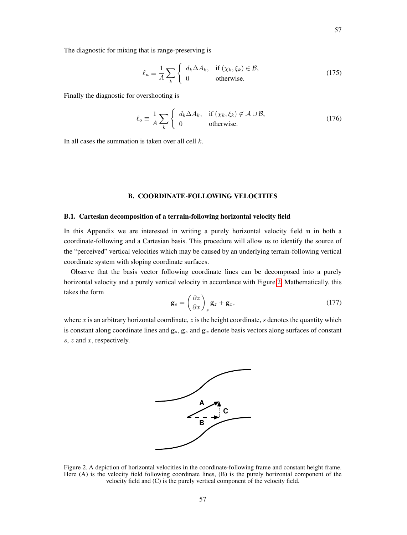The diagnostic for mixing that is range-preserving is

$$
\ell_u \equiv \frac{1}{A} \sum_{k} \begin{cases} d_k \Delta A_k, & \text{if } (\chi_k, \xi_k) \in \mathcal{B}, \\ 0 & \text{otherwise.} \end{cases}
$$
(175)

Finally the diagnostic for overshooting is

$$
\ell_o \equiv \frac{1}{A} \sum_{k} \begin{cases} d_k \Delta A_k, & \text{if } (\chi_k, \xi_k) \notin \mathcal{A} \cup \mathcal{B}, \\ 0 & \text{otherwise.} \end{cases}
$$
(176)

In all cases the summation is taken over all cell  $k$ .

# B. COORDINATE-FOLLOWING VELOCITIES

## B.1. Cartesian decomposition of a terrain-following horizontal velocity field

In this Appendix we are interested in writing a purely horizontal velocity field u in both a coordinate-following and a Cartesian basis. This procedure will allow us to identify the source of the "perceived" vertical velocities which may be caused by an underlying terrain-following vertical coordinate system with sloping coordinate surfaces.

Observe that the basis vector following coordinate lines can be decomposed into a purely horizontal velocity and a purely vertical velocity in accordance with Figure [2.](#page-56-0) Mathematically, this takes the form

$$
\mathbf{g}_s = \left(\frac{\partial z}{\partial x}\right)_s \mathbf{g}_z + \mathbf{g}_x,\tag{177}
$$

<span id="page-56-0"></span>where x is an arbitrary horizontal coordinate, z is the height coordinate, s denotes the quantity which is constant along coordinate lines and  $g_s$ ,  $g_z$  and  $g_x$  denote basis vectors along surfaces of constant  $s, z$  and  $x$ , respectively.



Figure 2. A depiction of horizontal velocities in the coordinate-following frame and constant height frame. Here (A) is the velocity field following coordinate lines, (B) is the purely horizontal component of the velocity field and (C) is the purely vertical component of the velocity field.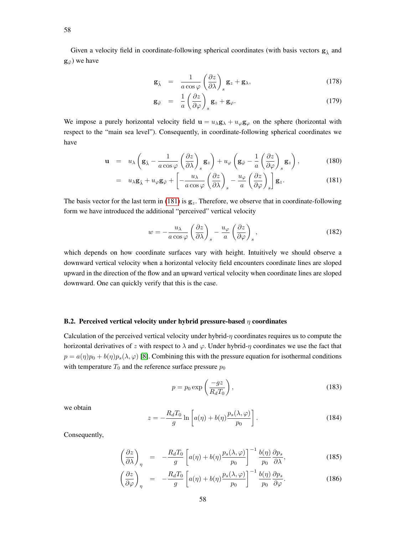Given a velocity field in coordinate-following spherical coordinates (with basis vectors  $g_{\hat{\lambda}}$  and  $\mathbf{g}_{\hat{\varphi}}$ ) we have

$$
\mathbf{g}_{\hat{\lambda}} = \frac{1}{a \cos \varphi} \left( \frac{\partial z}{\partial \lambda} \right)_s \mathbf{g}_z + \mathbf{g}_{\lambda}, \tag{178}
$$

$$
\mathbf{g}_{\hat{\varphi}} = \frac{1}{a} \left( \frac{\partial z}{\partial \varphi} \right)_s \mathbf{g}_z + \mathbf{g}_{\varphi}.
$$
 (179)

We impose a purely horizontal velocity field  $\mathbf{u} = u_{\lambda} \mathbf{g}_{\lambda} + u_{\varphi} \mathbf{g}_{\varphi}$  on the sphere (horizontal with respect to the "main sea level"). Consequently, in coordinate-following spherical coordinates we have

<span id="page-57-0"></span>
$$
\mathbf{u} = u_{\lambda} \left( \mathbf{g}_{\hat{\lambda}} - \frac{1}{a \cos \varphi} \left( \frac{\partial z}{\partial \lambda} \right)_s \mathbf{g}_z \right) + u_{\varphi} \left( \mathbf{g}_{\hat{\varphi}} - \frac{1}{a} \left( \frac{\partial z}{\partial \varphi} \right)_s \mathbf{g}_z \right), \tag{180}
$$

$$
= u_{\lambda} \mathbf{g}_{\hat{\lambda}} + u_{\varphi} \mathbf{g}_{\hat{\varphi}} + \left[ -\frac{u_{\lambda}}{a \cos \varphi} \left( \frac{\partial z}{\partial \lambda} \right)_{s} - \frac{u_{\varphi}}{a} \left( \frac{\partial z}{\partial \varphi} \right)_{s} \right] \mathbf{g}_{z}.
$$
 (181)

The basis vector for the last term in [\(181\)](#page-57-0) is  $g_z$ . Therefore, we observe that in coordinate-following form we have introduced the additional "perceived" vertical velocity

$$
w = -\frac{u_{\lambda}}{a \cos \varphi} \left(\frac{\partial z}{\partial \lambda}\right)_{s} - \frac{u_{\varphi}}{a} \left(\frac{\partial z}{\partial \varphi}\right)_{s},\tag{182}
$$

which depends on how coordinate surfaces vary with height. Intuitively we should observe a downward vertical velocity when a horizontal velocity field encounters coordinate lines are sloped upward in the direction of the flow and an upward vertical velocity when coordinate lines are sloped downward. One can quickly verify that this is the case.

## B.2. Perceived vertical velocity under hybrid pressure-based  $\eta$  coordinates

Calculation of the perceived vertical velocity under hybrid- $\eta$  coordinates requires us to compute the horizontal derivatives of z with respect to  $\lambda$  and  $\varphi$ . Under hybrid- $\eta$  coordinates we use the fact that  $p = a(\eta)p_0 + b(\eta)p_s(\lambda, \varphi)$  [\[8\]](#page-53-9). Combining this with the pressure equation for isothermal conditions with temperature  $T_0$  and the reference surface pressure  $p_0$ 

$$
p = p_0 \exp\left(\frac{-gz}{R_d T_0}\right),\tag{183}
$$

we obtain

$$
z = -\frac{R_d T_0}{g} \ln \left[ a(\eta) + b(\eta) \frac{p_s(\lambda, \varphi)}{p_0} \right].
$$
 (184)

Consequently,

$$
\left(\frac{\partial z}{\partial \lambda}\right)_{\eta} = -\frac{R_d T_0}{g} \left[ a(\eta) + b(\eta) \frac{p_s(\lambda, \varphi)}{p_0} \right]^{-1} \frac{b(\eta)}{p_0} \frac{\partial p_s}{\partial \lambda},\tag{185}
$$

$$
\left(\frac{\partial z}{\partial \varphi}\right)_{\eta} = -\frac{R_d T_0}{g} \left[ a(\eta) + b(\eta) \frac{p_s(\lambda, \varphi)}{p_0} \right]^{-1} \frac{b(\eta)}{p_0} \frac{\partial p_s}{\partial \varphi}.
$$
\n(186)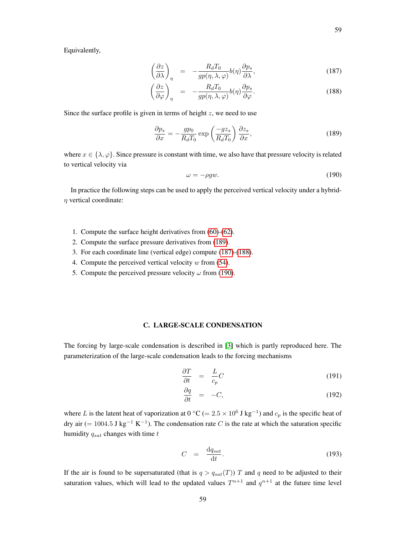Equivalently,

$$
\left(\frac{\partial z}{\partial \lambda}\right)_{\eta} = -\frac{R_d T_0}{gp(\eta, \lambda, \varphi)} b(\eta) \frac{\partial p_s}{\partial \lambda},\tag{187}
$$

<span id="page-58-2"></span>
$$
\left(\frac{\partial z}{\partial \varphi}\right)_{\eta} = -\frac{R_d T_0}{gp(\eta, \lambda, \varphi)} b(\eta) \frac{\partial p_s}{\partial \varphi}.
$$
\n(188)

Since the surface profile is given in terms of height  $z$ , we need to use

<span id="page-58-1"></span>
$$
\frac{\partial p_s}{\partial x} = -\frac{gp_0}{R_d T_0} \exp\left(\frac{-gz_s}{R_d T_0}\right) \frac{\partial z_s}{\partial x},\tag{189}
$$

where  $x \in \{\lambda, \varphi\}$ . Since pressure is constant with time, we also have that pressure velocity is related to vertical velocity via

<span id="page-58-3"></span>
$$
\omega = -\rho g w. \tag{190}
$$

In practice the following steps can be used to apply the perceived vertical velocity under a hybrid- $\eta$  vertical coordinate:

- 1. Compute the surface height derivatives from [\(60\)](#page-23-0)-[\(62\)](#page-23-1).
- 2. Compute the surface pressure derivatives from [\(189\)](#page-58-1).
- 3. For each coordinate line (vertical edge) compute [\(187\)](#page-58-2)-[\(188\)](#page-58-2).
- 4. Compute the perceived vertical velocity  $w$  from [\(54\)](#page-22-0).
- 5. Compute the perceived pressure velocity  $\omega$  from [\(190\)](#page-58-3).

## C. LARGE-SCALE CONDENSATION

<span id="page-58-0"></span>The forcing by large-scale condensation is described in [\[3\]](#page-53-6) which is partly reproduced here. The parameterization of the large-scale condensation leads to the forcing mechanisms

$$
\frac{\partial T}{\partial t} = \frac{L}{c_p} C \tag{191}
$$

$$
\frac{\partial q}{\partial t} = -C,\tag{192}
$$

where L is the latent heat of vaporization at  $0 °C$  (=  $2.5 \times 10^6$  J kg<sup>-1</sup>) and  $c_p$  is the specific heat of dry air (= 1004.5 J kg<sup>-1</sup> K<sup>-1</sup>). The condensation rate C is the rate at which the saturation specific humidity  $q_{sat}$  changes with time  $t$ 

$$
C = \frac{\mathrm{d}q_{sat}}{\mathrm{d}t}.\tag{193}
$$

If the air is found to be supersaturated (that is  $q > q_{sat}(T)$ ) T and q need to be adjusted to their saturation values, which will lead to the updated values  $T^{n+1}$  and  $q^{n+1}$  at the future time level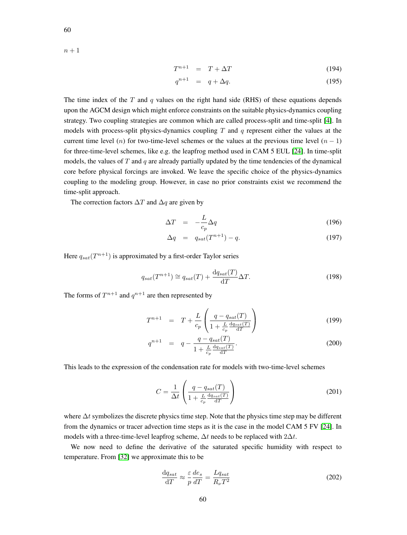$n + 1$ 

$$
T^{n+1} = T + \Delta T \tag{194}
$$

$$
q^{n+1} = q + \Delta q. \tag{195}
$$

The time index of the  $T$  and  $q$  values on the right hand side (RHS) of these equations depends upon the AGCM design which might enforce constraints on the suitable physics-dynamics coupling strategy. Two coupling strategies are common which are called process-split and time-split [\[4\]](#page-53-8). In models with process-split physics-dynamics coupling  $T$  and  $q$  represent either the values at the current time level (n) for two-time-level schemes or the values at the previous time level  $(n - 1)$ for three-time-level schemes, like e.g. the leapfrog method used in CAM 5 EUL [\[24\]](#page-53-7). In time-split models, the values of  $T$  and  $q$  are already partially updated by the time tendencies of the dynamical core before physical forcings are invoked. We leave the specific choice of the physics-dynamics coupling to the modeling group. However, in case no prior constraints exist we recommend the time-split approach.

The correction factors  $\Delta T$  and  $\Delta q$  are given by

$$
\Delta T = -\frac{L}{c_p} \Delta q \tag{196}
$$

$$
\Delta q = q_{sat}(T^{n+1}) - q. \tag{197}
$$

Here  $q_{sat}(T^{n+1})$  is approximated by a first-order Taylor series

$$
q_{sat}(T^{n+1}) \cong q_{sat}(T) + \frac{\mathrm{d}q_{sat}(T)}{\mathrm{d}T} \Delta T.
$$
 (198)

The forms of  $T^{n+1}$  and  $q^{n+1}$  are then represented by

$$
T^{n+1} = T + \frac{L}{c_p} \left( \frac{q - q_{sat}(T)}{1 + \frac{L}{c_p} \frac{dq_{sat}(T)}{dT}} \right)
$$
(199)

$$
q^{n+1} = q - \frac{q - q_{sat}(T)}{1 + \frac{L}{c_p} \frac{dq_{sat}(T)}{dT}}.
$$
\n(200)

This leads to the expression of the condensation rate for models with two-time-level schemes

$$
C = \frac{1}{\Delta t} \left( \frac{q - q_{sat}(T)}{1 + \frac{L}{c_p} \frac{\text{d}q_{sat}(T)}{\text{d}T}} \right)
$$
 (201)

where  $\Delta t$  symbolizes the discrete physics time step. Note that the physics time step may be different from the dynamics or tracer advection time steps as it is the case in the model CAM 5 FV [\[24\]](#page-53-7). In models with a three-time-level leapfrog scheme,  $\Delta t$  needs to be replaced with  $2\Delta t$ .

We now need to define the derivative of the saturated specific humidity with respect to temperature. From [\[32\]](#page-54-8) we approximate this to be

$$
\frac{\mathrm{d}q_{sat}}{\mathrm{d}T} \approx \frac{\varepsilon}{p} \frac{de_s}{dT} = \frac{Lq_{sat}}{R_\nu T^2} \tag{202}
$$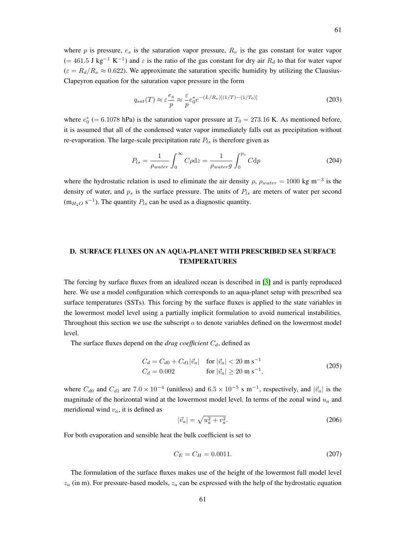where p is pressure,  $e_s$  is the saturation vapor pressure,  $R_{\nu}$  is the gas constant for water vapor  $(= 461.5 \text{ J kg}^{-1} \text{ K}^{-1})$  and  $\varepsilon$  is the ratio of the gas constant for dry air  $R_d$  to that for water vapor  $(\varepsilon = R_d/R_v \approx 0.622)$ . We approximate the saturation specific humidity by utilizing the Clausius-Clapeyron equation for the saturation vapor pressure in the form

<span id="page-60-1"></span>
$$
q_{sat}(T) \approx \varepsilon \frac{e_s}{p} \approx \frac{\varepsilon}{p} e_0^* e^{-(L/R_\nu)[(1/T) - (1/T_0)]}
$$
\n(203)

where  $e_0^*$  (= 6.1078 hPa) is the saturation vapor pressure at  $T_0 = 273.16$  K. As mentioned before, it is assumed that all of the condensed water vapor immediately falls out as precipitation without re-evaporation. The large-scale precipitation rate  $P_{ls}$  is therefore given as

$$
P_{ls} = \frac{1}{\rho_{water}} \int_0^\infty C\rho \mathrm{d}z = \frac{1}{\rho_{water} g} \int_0^{p_s} C \mathrm{d}p \tag{204}
$$

where the hydrostatic relation is used to eliminate the air density  $\rho$ ,  $\rho_{water} = 1000 \text{ kg m}^{-3}$  is the density of water, and  $p_s$  is the surface pressure. The units of  $P_{ls}$  are meters of water per second  $(m_{H_2O} \text{ s}^{-1})$ . The quantity  $P_{ls}$  can be used as a diagnostic quantity.

# <span id="page-60-0"></span>D. SURFACE FLUXES ON AN AQUA-PLANET WITH PRESCRIBED SEA SURFACE TEMPERATURES

The forcing by surface fluxes from an idealized ocean is described in [\[3\]](#page-53-6) and is partly reproduced here. We use a model configuration which corresponds to an aqua-planet setup with prescribed sea surface temperatures (SSTs). This forcing by the surface fluxes is applied to the state variables in the lowermost model level using a partially implicit formulation to avoid numerical instabilities. Throughout this section we use the subscript  $a$  to denote variables defined on the lowermost model level.

The surface fluxes depend on the *drag coefficient*  $C_d$ , defined as

<span id="page-60-2"></span>
$$
C_d = C_{d0} + C_{d1} |\vec{v}_a| \quad \text{for } |\vec{v}_a| < 20 \text{ m s}^{-1}
$$
  
\n
$$
C_d = 0.002 \qquad \text{for } |\vec{v}_a| \ge 20 \text{ m s}^{-1},
$$
\n(205)

where  $C_{d0}$  and  $C_{d1}$  are  $7.0 \times 10^{-4}$  (unitless) and  $6.5 \times 10^{-5}$  s m<sup>-1</sup>, respectively, and  $|\vec{v}_a|$  is the magnitude of the horizontal wind at the lowermost model level. In terms of the zonal wind  $u_a$  and meridional wind  $v_a$ , it is defined as

$$
|\vec{v}_a| = \sqrt{u_a^2 + v_a^2}.\tag{206}
$$

For both evaporation and sensible heat the bulk coefficient is set to

<span id="page-60-3"></span>
$$
C_E = C_H = 0.0011. \t\t(207)
$$

The formulation of the surface fluxes makes use of the height of the lowermost full model level  $z_a$  (in m). For pressure-based models,  $z_a$  can be expressed with the help of the hydrostatic equation

61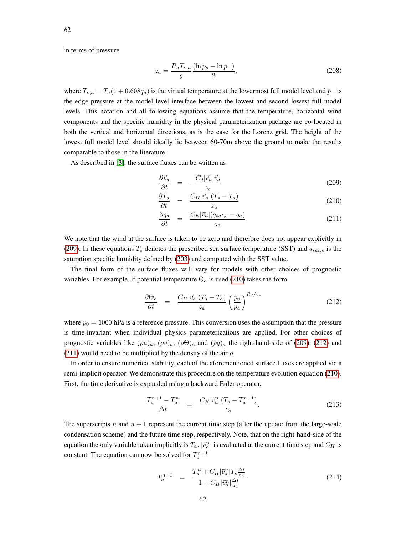in terms of pressure

$$
z_a = \frac{R_d T_{\nu,a}}{g} \frac{(\ln p_s - \ln p_-)}{2},\tag{208}
$$

where  $T_{\nu,a} = T_a(1 + 0.608q_a)$  is the virtual temperature at the lowermost full model level and  $p_-\$  is the edge pressure at the model level interface between the lowest and second lowest full model levels. This notation and all following equations assume that the temperature, horizontal wind components and the specific humidity in the physical parameterization package are co-located in both the vertical and horizontal directions, as is the case for the Lorenz grid. The height of the lowest full model level should ideally lie between 60-70m above the ground to make the results comparable to those in the literature.

As described in [\[3\]](#page-53-6), the surface fluxes can be written as

$$
\frac{\partial \vec{v}_a}{\partial t} = -\frac{C_d |\vec{v}_a| \vec{v}_a}{z_a} \tag{209}
$$

<span id="page-61-0"></span>
$$
\frac{\partial T_a}{\partial t} = \frac{C_H |\vec{v}_a|(T_s - T_a)}{z_a} \tag{210}
$$

$$
\frac{\partial q_a}{\partial t} = \frac{C_E |\vec{v}_a| (q_{sat,s} - q_a)}{z_a}.
$$
\n(211)

We note that the wind at the surface is taken to be zero and therefore does not appear explicitly in [\(209\)](#page-61-0). In these equations  $T_s$  denotes the prescribed sea surface temperature (SST) and  $q_{sat,s}$  is the saturation specific humidity defined by [\(203\)](#page-60-1) and computed with the SST value.

The final form of the surface fluxes will vary for models with other choices of prognostic variables. For example, if potential temperature  $\Theta_a$  is used [\(210\)](#page-61-0) takes the form

<span id="page-61-1"></span>
$$
\frac{\partial \Theta_a}{\partial t} = \frac{C_H |\vec{v}_a|(T_s - T_a)}{z_a} \left(\frac{p_0}{p_a}\right)^{R_d/c_p} \tag{212}
$$

where  $p_0 = 1000$  hPa is a reference pressure. This conversion uses the assumption that the pressure is time-invariant when individual physics parameterizations are applied. For other choices of prognostic variables like  $(\rho u)_a$ ,  $(\rho v)_a$ ,  $(\rho \Theta)_a$  and  $(\rho q)_a$  the right-hand-side of [\(209\)](#page-61-0), [\(212\)](#page-61-1) and [\(211\)](#page-61-0) would need to be multiplied by the density of the air  $\rho$ .

In order to ensure numerical stability, each of the aforementioned surface fluxes are applied via a semi-implicit operator. We demonstrate this procedure on the temperature evolution equation [\(210\)](#page-61-0). First, the time derivative is expanded using a backward Euler operator,

$$
\frac{T_a^{n+1} - T_a^n}{\Delta t} = \frac{C_H |\vec{v}_a^n| (T_s - T_a^{n+1})}{z_a}.
$$
\n(213)

The superscripts n and  $n + 1$  represent the current time step (after the update from the large-scale condensation scheme) and the future time step, respectively. Note, that on the right-hand-side of the equation the only variable taken implicitly is  $T_a$ .  $|\vec{v}_a^n|$  is evaluated at the current time step and  $C_H$  is constant. The equation can now be solved for  $T_a^{n+1}$ 

$$
T_a^{n+1} = \frac{T_a^n + C_H |\vec{v}_a^n| T_s \frac{\Delta t}{z_a}}{1 + C_H |\vec{v}_a^n| \frac{\Delta t}{z_a}}.
$$
 (214)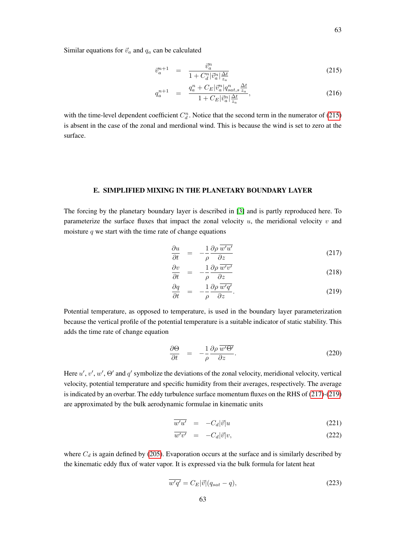Similar equations for  $\vec{v}_a$  and  $q_a$  can be calculated

<span id="page-62-1"></span>
$$
\vec{v}_a^{n+1} = \frac{\vec{v}_a^n}{1 + C_d^n |\vec{v}_a^n| \frac{\Delta t}{z_a}}
$$
\n(215)

$$
q_a^{n+1} = \frac{q_a^n + C_E |\vec{v}_a^n| q_{sat,s}^n \frac{\Delta t}{z_a}}{1 + C_E |\vec{v}_a^n| \frac{\Delta t}{z_a}},
$$
\n(216)

with the time-level dependent coefficient  $C_d^n$ . Notice that the second term in the numerator of [\(215\)](#page-62-1) is absent in the case of the zonal and merdional wind. This is because the wind is set to zero at the surface.

#### E. SIMPLIFIED MIXING IN THE PLANETARY BOUNDARY LAYER

<span id="page-62-0"></span>The forcing by the planetary boundary layer is described in [\[3\]](#page-53-6) and is partly reproduced here. To parameterize the surface fluxes that impact the zonal velocity  $u$ , the meridional velocity  $v$  and moisture  $q$  we start with the time rate of change equations

$$
\frac{\partial u}{\partial t} = -\frac{1}{\rho} \frac{\partial \rho}{\partial z} \frac{\overline{w'u'}}{\partial z}
$$
 (217)

<span id="page-62-2"></span>
$$
\frac{\partial v}{\partial t} = -\frac{1}{\rho} \frac{\partial \rho}{\partial z} \frac{\overline{w'v'}}{\partial z}
$$
 (218)

$$
\frac{\partial q}{\partial t} = -\frac{1}{\rho} \frac{\partial \rho}{\partial z} \frac{\overline{w'q'}}{\partial z}.
$$
\n(219)

Potential temperature, as opposed to temperature, is used in the boundary layer parameterization because the vertical profile of the potential temperature is a suitable indicator of static stability. This adds the time rate of change equation

$$
\frac{\partial \Theta}{\partial t} = -\frac{1}{\rho} \frac{\partial \rho}{\partial z} \frac{\overline{w' \Theta'}}{\partial z}.
$$
\n(220)

Here  $u', v', w', \Theta'$  and  $q'$  symbolize the deviations of the zonal velocity, meridional velocity, vertical velocity, potential temperature and specific humidity from their averages, respectively. The average is indicated by an overbar. The eddy turbulence surface momentum fluxes on the RHS of [\(217\)](#page-62-2)-[\(219\)](#page-62-2) are approximated by the bulk aerodynamic formulae in kinematic units

$$
\overline{w'u'} = -C_d|\vec{v}|u \tag{221}
$$

$$
\overline{w'v'} = -C_d|\vec{v}|v,\tag{222}
$$

where  $C_d$  is again defined by [\(205\)](#page-60-2). Evaporation occurs at the surface and is similarly described by the kinematic eddy flux of water vapor. It is expressed via the bulk formula for latent heat

$$
\overline{w'q'} = C_E |\vec{v}| (q_{sat} - q),\tag{223}
$$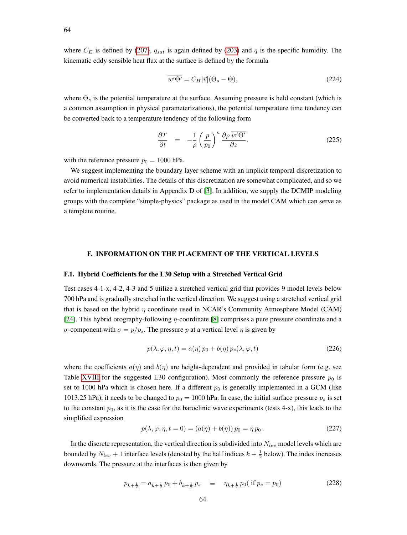$$
\overline{w'\Theta'} = C_H|\vec{v}|(\Theta_s - \Theta),\tag{224}
$$

where  $\Theta_s$  is the potential temperature at the surface. Assuming pressure is held constant (which is a common assumption in physical parameterizations), the potential temperature time tendency can be converted back to a temperature tendency of the following form

$$
\frac{\partial T}{\partial t} = -\frac{1}{\rho} \left( \frac{p}{p_0} \right)^{\kappa} \frac{\partial \rho}{\partial z}.
$$
\n(225)

with the reference pressure  $p_0 = 1000$  hPa.

We suggest implementing the boundary layer scheme with an implicit temporal discretization to avoid numerical instabilities. The details of this discretization are somewhat complicated, and so we refer to implementation details in Appendix D of [\[3\]](#page-53-6). In addition, we supply the DCMIP modeling groups with the complete "simple-physics" package as used in the model CAM which can serve as a template routine.

# F. INFORMATION ON THE PLACEMENT OF THE VERTICAL LEVELS

#### <span id="page-63-0"></span>F.1. Hybrid Coefficients for the L30 Setup with a Stretched Vertical Grid

Test cases 4-1-x, 4-2, 4-3 and 5 utilize a stretched vertical grid that provides 9 model levels below 700 hPa and is gradually stretched in the vertical direction. We suggest using a stretched vertical grid that is based on the hybrid  $\eta$  coordinate used in NCAR's Community Atmosphere Model (CAM) [\[24\]](#page-53-7). This hybrid orography-following  $\eta$ -coordinate [\[8\]](#page-53-9) comprises a pure pressure coordinate and a σ-component with  $\sigma = p/p_s$ . The pressure p at a vertical level η is given by

$$
p(\lambda, \varphi, \eta, t) = a(\eta) p_0 + b(\eta) p_s(\lambda, \varphi, t)
$$
\n(226)

where the coefficients  $a(\eta)$  and  $b(\eta)$  are height-dependent and provided in tabular form (e.g. see Table [XVIII](#page-64-0) for the suggested L30 configuration). Most commonly the reference pressure  $p_0$  is set to 1000 hPa which is chosen here. If a different  $p_0$  is generally implemented in a GCM (like 1013.25 hPa), it needs to be changed to  $p_0 = 1000$  hPa. In case, the initial surface pressure  $p_s$  is set to the constant  $p_0$ , as it is the case for the baroclinic wave experiments (tests 4-x), this leads to the simplified expression

$$
p(\lambda, \varphi, \eta, t = 0) = (a(\eta) + b(\eta)) p_0 = \eta p_0.
$$
 (227)

In the discrete representation, the vertical direction is subdivided into  $N_{lev}$  model levels which are bounded by  $N_{lev} + 1$  interface levels (denoted by the half indices  $k + \frac{1}{2}$  below). The index increases downwards. The pressure at the interfaces is then given by

$$
p_{k+\frac{1}{2}} = a_{k+\frac{1}{2}}p_0 + b_{k+\frac{1}{2}}p_s \quad \equiv \quad \eta_{k+\frac{1}{2}}p_0(\text{ if } p_s = p_0) \tag{228}
$$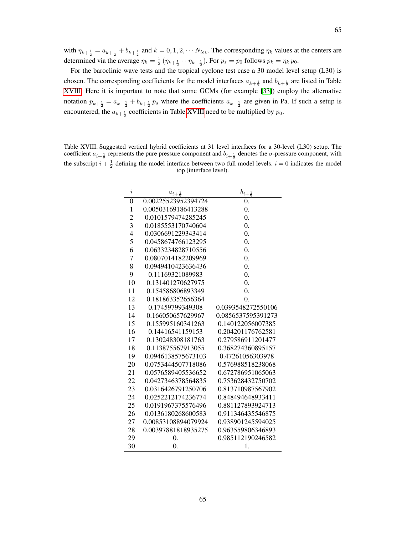65

determined via the average  $\eta_k = \frac{1}{2} (\eta_{k+\frac{1}{2}} + \eta_{k-\frac{1}{2}})$ . For  $p_s = p_0$  follows  $p_k = \eta_k p_0$ . For the baroclinic wave tests and the tropical cyclone test case a 30 model level setup (L30) is chosen. The corresponding coefficients for the model interfaces  $a_{k+\frac{1}{2}}$  and  $b_{k+\frac{1}{2}}$  are listed in Table [XVIII.](#page-64-0) Here it is important to note that some GCMs (for example [\[33\]](#page-54-9)) employ the alternative notation  $p_{k+\frac{1}{2}} = a_{k+\frac{1}{2}} + b_{k+\frac{1}{2}} p_s$  where the coefficients  $a_{k+\frac{1}{2}}$  are given in Pa. If such a setup is encountered, the  $a_{k+\frac{1}{2}}$  coefficients in Table [XVIII](#page-64-0) need to be multiplied by  $p_0$ .

<span id="page-64-0"></span>Table XVIII. Suggested vertical hybrid coefficients at 31 level interfaces for a 30-level (L30) setup. The coefficient  $a_{i+\frac{1}{2}}$  represents the pure pressure component and  $b_{i+\frac{1}{2}}$  denotes the  $\sigma$ -pressure component, with the subscript  $i + \frac{1}{2}$  defining the model interface between two full model levels.  $i = 0$  indicates the model top (interface level).

| $\overline{i}$ | $a_{i+\frac{1}{2}}$ | $b_{i+\frac{1}{2}}$ |
|----------------|---------------------|---------------------|
| $\overline{0}$ | 0.00225523952394724 | 0.                  |
| $\mathbf{1}$   | 0.00503169186413288 | $\overline{0}$ .    |
| $\overline{c}$ | 0.0101579474285245  | $\overline{0}$ .    |
| 3              | 0.0185553170740604  | $\overline{0}$ .    |
| $\overline{4}$ | 0.0306691229343414  | $\overline{0}$ .    |
| 5              | 0.0458674766123295  | $\overline{0}$ .    |
| 6              | 0.0633234828710556  | $\overline{0}$ .    |
| 7              | 0.0807014182209969  | $\overline{0}$ .    |
| 8              | 0.0949410423636436  | $\overline{0}$ .    |
| 9              | 0.11169321089983    | $\overline{0}$ .    |
| 10             | 0.131401270627975   | $\overline{0}$ .    |
| 11             | 0.154586806893349   | $\overline{0}$ .    |
| 12             | 0.181863352656364   | $\overline{0}$ .    |
| 13             | 0.17459799349308    | 0.0393548272550106  |
| 14             | 0.166050657629967   | 0.0856537595391273  |
| 15             | 0.155995160341263   | 0.140122056007385   |
| 16             | 0.14416541159153    | 0.204201176762581   |
| 17             | 0.130248308181763   | 0.279586911201477   |
| 18             | 0.113875567913055   | 0.368274360895157   |
| 19             | 0.0946138575673103  | 0.47261056303978    |
| 20             | 0.0753444507718086  | 0.576988518238068   |
| 21             | 0.0576589405536652  | 0.672786951065063   |
| 22             | 0.0427346378564835  | 0.753628432750702   |
| 23             | 0.0316426791250706  | 0.813710987567902   |
| 24             | 0.0252212174236774  | 0.848494648933411   |
| 25             | 0.0191967375576496  | 0.881127893924713   |
| 26             | 0.0136180268600583  | 0.911346435546875   |
| 27             | 0.00853108894079924 | 0.938901245594025   |
| 28             | 0.00397881818935275 | 0.963559806346893   |
| 29             | 0.                  | 0.985112190246582   |
| 30             | 0.                  | 1.                  |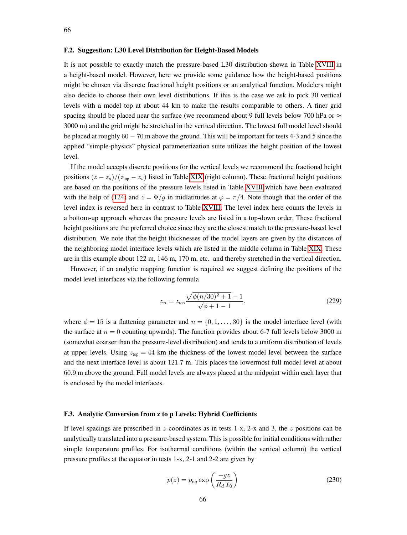#### <span id="page-65-0"></span>F.2. Suggestion: L30 Level Distribution for Height-Based Models

It is not possible to exactly match the pressure-based L30 distribution shown in Table [XVIII](#page-64-0) in a height-based model. However, here we provide some guidance how the height-based positions might be chosen via discrete fractional height positions or an analytical function. Modelers might also decide to choose their own level distributions. If this is the case we ask to pick 30 vertical levels with a model top at about 44 km to make the results comparable to others. A finer grid spacing should be placed near the surface (we recommend about 9 full levels below 700 hPa or  $\approx$ 3000 m) and the grid might be stretched in the vertical direction. The lowest full model level should be placed at roughly 60 − 70 m above the ground. This will be important for tests 4-3 and 5 since the applied "simple-physics" physical parameterization suite utilizes the height position of the lowest level.

If the model accepts discrete positions for the vertical levels we recommend the fractional height positions  $(z - z_s)/(z_{top} - z_s)$  listed in Table [XIX](#page-66-0) (right column). These fractional height positions are based on the positions of the pressure levels listed in Table [XVIII](#page-64-0) which have been evaluated with the help of [\(124\)](#page-38-2) and  $z = \Phi/g$  in midlatitudes at  $\varphi = \pi/4$ . Note though that the order of the level index is reversed here in contrast to Table [XVIII.](#page-64-0) The level index here counts the levels in a bottom-up approach whereas the pressure levels are listed in a top-down order. These fractional height positions are the preferred choice since they are the closest match to the pressure-based level distribution. We note that the height thicknesses of the model layers are given by the distances of the neighboring model interface levels which are listed in the middle column in Table [XIX.](#page-66-0) These are in this example about 122 m, 146 m, 170 m, etc. and thereby stretched in the vertical direction.

However, if an analytic mapping function is required we suggest defining the positions of the model level interfaces via the following formula

$$
z_n = z_{\text{top}} \frac{\sqrt{\phi(n/30)^2 + 1} - 1}{\sqrt{\phi + 1} - 1},\tag{229}
$$

where  $\phi = 15$  is a flattening parameter and  $n = \{0, 1, \ldots, 30\}$  is the model interface level (with the surface at  $n = 0$  counting upwards). The function provides about 6-7 full levels below 3000 m (somewhat coarser than the pressure-level distribution) and tends to a uniform distribution of levels at upper levels. Using  $z_{\text{top}} = 44$  km the thickness of the lowest model level between the surface and the next interface level is about 121.7 m. This places the lowermost full model level at about 60.9 m above the ground. Full model levels are always placed at the midpoint within each layer that is enclosed by the model interfaces.

#### F.3. Analytic Conversion from z to p Levels: Hybrid Coefficients

If level spacings are prescribed in z-coordinates as in tests 1-x, 2-x and 3, the z positions can be analytically translated into a pressure-based system. This is possible for initial conditions with rather simple temperature profiles. For isothermal conditions (within the vertical column) the vertical pressure profiles at the equator in tests 1-x, 2-1 and 2-2 are given by

<span id="page-65-1"></span>
$$
p(z) = p_{eq} \exp\left(\frac{-gz}{R_d T_0}\right) \tag{230}
$$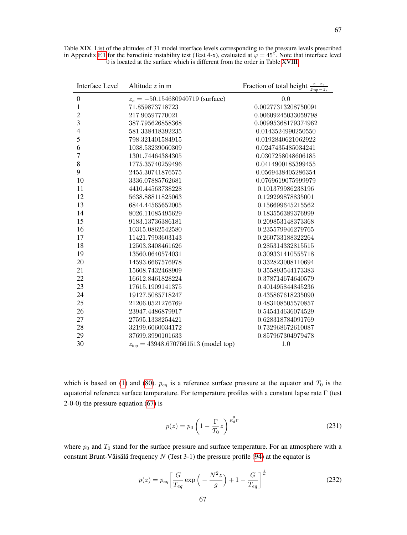| <b>Interface Level</b>   | Altitude $z$ in m                               | Fraction of total height $\frac{z-z_s}{z_{\text{top}}-z_s}$ |
|--------------------------|-------------------------------------------------|-------------------------------------------------------------|
| $\boldsymbol{0}$         | $z_s = -50.154680940719$ (surface)              | 0.0                                                         |
| $\mathbf{1}$             | 71.859873718723                                 | 0.00277313208750091                                         |
| $\overline{c}$           | 217.90597770021                                 | 0.00609245033059798                                         |
| 3                        | 387.795626858368                                | 0.00995368179374962                                         |
| $\overline{\mathcal{L}}$ | 581.338418392235                                | 0.0143524990250550                                          |
| 5                        | 798.321401584915                                | 0.0192840621062922                                          |
| 6                        | 1038.53239060309                                | 0.0247435485034241                                          |
| 7                        | 1301.74464384305                                | 0.0307258048606185                                          |
| 8                        | 1775.35740259496                                | 0.0414900185399455                                          |
| 9                        | 2455.30741876575                                | 0.0569438405286354                                          |
| 10                       | 3336.07885762681                                | 0.0769619075999979                                          |
| 11                       | 4410.44563738228                                | 0.101379986238196                                           |
| 12                       | 5638.88811825063                                | 0.129299878835001                                           |
| 13                       | 6844.44565652005                                | 0.156699645215562                                           |
| 14                       | 8026.11085495629                                | 0.183556389376999                                           |
| 15                       | 9183.13736386181                                | 0.209853148373368                                           |
| 16                       | 10315.0862542580                                | 0.235579946279765                                           |
| 17                       | 11421.7993603143                                | 0.260733188322264                                           |
| 18                       | 12503.3408461626                                | 0.285314332815515                                           |
| 19                       | 13560.0640574031                                | 0.309331410555718                                           |
| 20                       | 14593.6667576978                                | 0.332823008110694                                           |
| 21                       | 15608.7432468909                                | 0.355893544173383                                           |
| 22                       | 16612.8461828224                                | 0.378714674640579                                           |
| 23                       | 17615.1909141375                                | 0.401495844845236                                           |
| 24                       | 19127.5085718247                                | 0.435867618235090                                           |
| 25                       | 21206.0521276769                                | 0.483108505570857                                           |
| 26                       | 23947.4486879917                                | 0.545414636074529                                           |
| 27                       | 27595.1338254421                                | 0.628318784091769                                           |
| 28                       | 32199.6060034172                                | 0.732968672610087                                           |
| 29                       | 37699.3990101633                                | 0.857967304979478                                           |
| 30                       | $z_{\text{top}} = 43948.6707661513$ (model top) | 1.0                                                         |

<span id="page-66-0"></span>Table XIX. List of the altitudes of 31 model interface levels corresponding to the pressure levels prescribed in Appendix [F.1](#page-63-0) for the baroclinic instability test (Test 4-x), evaluated at  $\varphi = 45^{\circ}$ . Note that interface 0 is located at the surface which is different from the order in Table [XVIII.](#page-64-0)

which is based on [\(1\)](#page-13-0) and [\(80\)](#page-30-0).  $p_{eq}$  is a reference surface pressure at the equator and  $T_0$  is the equatorial reference surface temperature. For temperature profiles with a constant lapse rate Γ (test 2-0-0) the pressure equation [\(67\)](#page-26-0) is

$$
p(z) = p_0 \left(1 - \frac{\Gamma}{T_0} z\right)^{\frac{g}{R_d \Gamma}}\tag{231}
$$

where  $p_0$  and  $T_0$  stand for the surface pressure and surface temperature. For an atmosphere with a constant Brunt-Väisälä frequency  $N$  (Test 3-1) the pressure profile [\(94\)](#page-33-0) at the equator is

<span id="page-66-1"></span>
$$
p(z) = p_{eq} \left[ \frac{G}{T_{eq}} \exp\left(-\frac{N^2 z}{g}\right) + 1 - \frac{G}{T_{eq}} \right]^{\frac{1}{\kappa}} \tag{232}
$$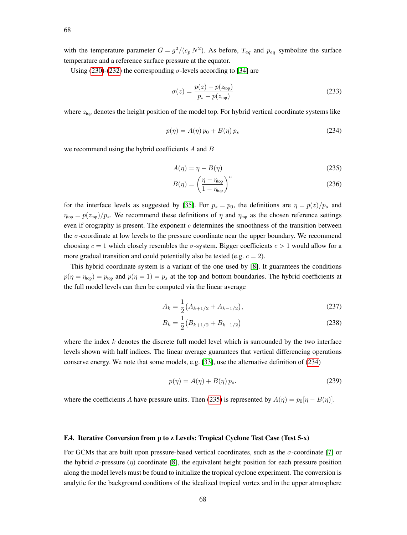with the temperature parameter  $G = g^2/(c_p N^2)$ . As before,  $T_{eq}$  and  $p_{eq}$  symbolize the surface temperature and a reference surface pressure at the equator.

Using [\(230\)](#page-65-1)-[\(232\)](#page-66-1) the corresponding  $\sigma$ -levels according to [\[34\]](#page-54-10) are

$$
\sigma(z) = \frac{p(z) - p(z_{\text{top}})}{p_s - p(z_{\text{top}})}
$$
\n(233)

where  $z<sub>top</sub>$  denotes the height position of the model top. For hybrid vertical coordinate systems like

<span id="page-67-0"></span>
$$
p(\eta) = A(\eta) p_0 + B(\eta) p_s \tag{234}
$$

we recommend using the hybrid coefficients A and B

<span id="page-67-1"></span>
$$
A(\eta) = \eta - B(\eta) \tag{235}
$$

$$
B(\eta) = \left(\frac{\eta - \eta_{\text{top}}}{1 - \eta_{\text{top}}}\right)^c \tag{236}
$$

for the interface levels as suggested by [\[35\]](#page-54-11). For  $p_s = p_0$ , the definitions are  $\eta = p(z)/p_s$  and  $\eta_{\text{top}} = p(z_{\text{top}})/p_s$ . We recommend these definitions of  $\eta$  and  $\eta_{\text{top}}$  as the chosen reference settings even if orography is present. The exponent  $c$  determines the smoothness of the transition between the  $\sigma$ -coordinate at low levels to the pressure coordinate near the upper boundary. We recommend choosing  $c = 1$  which closely resembles the  $\sigma$ -system. Bigger coefficients  $c > 1$  would allow for a more gradual transition and could potentially also be tested (e.g.  $c = 2$ ).

This hybrid coordinate system is a variant of the one used by [\[8\]](#page-53-9). It guarantees the conditions  $p(\eta = \eta_{top}) = p_{top}$  and  $p(\eta = 1) = p_s$  at the top and bottom boundaries. The hybrid coefficients at the full model levels can then be computed via the linear average

$$
A_k = \frac{1}{2} \left( A_{k+1/2} + A_{k-1/2} \right),\tag{237}
$$

$$
B_k = \frac{1}{2} \left( B_{k+1/2} + B_{k-1/2} \right) \tag{238}
$$

where the index  $k$  denotes the discrete full model level which is surrounded by the two interface levels shown with half indices. The linear average guarantees that vertical differencing operations conserve energy. We note that some models, e.g. [\[33\]](#page-54-9), use the alternative definition of [\(234\)](#page-67-0)

$$
p(\eta) = A(\eta) + B(\eta) p_s. \tag{239}
$$

where the coefficients A have pressure units. Then [\(235\)](#page-67-1) is represented by  $A(\eta) = p_0[\eta - B(\eta)]$ .

#### <span id="page-67-2"></span>F.4. Iterative Conversion from p to z Levels: Tropical Cyclone Test Case (Test 5-x)

For GCMs that are built upon pressure-based vertical coordinates, such as the  $\sigma$ -coordinate [\[7\]](#page-53-10) or the hybrid  $\sigma$ -pressure (η) coordinate [\[8\]](#page-53-9), the equivalent height position for each pressure position along the model levels must be found to initialize the tropical cyclone experiment. The conversion is analytic for the background conditions of the idealized tropical vortex and in the upper atmosphere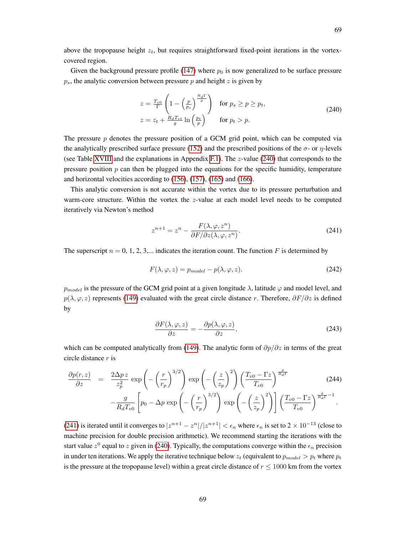69

above the tropopause height  $z_t$ , but requires straightforward fixed-point iterations in the vortexcovered region.

Given the background pressure profile [\(147\)](#page-48-1) where  $p_0$  is now generalized to be surface pressure  $p_s$ , the analytic conversion between pressure p and height z is given by

<span id="page-68-0"></span>
$$
z = \frac{T_{v0}}{\Gamma} \left( 1 - \left( \frac{p}{p_s} \right)^{\frac{R_d \Gamma}{g}} \right) \quad \text{for } p_s \ge p \ge p_t,
$$
  

$$
z = z_t + \frac{R_d T_{vt}}{g} \ln \left( \frac{p_t}{p} \right) \qquad \text{for } p_t > p.
$$
 (240)

The pressure p denotes the pressure position of a GCM grid point, which can be computed via the analytically prescribed surface pressure [\(152\)](#page-49-2) and the prescribed positions of the  $\sigma$ - or  $\eta$ -levels (see Table [XVIII](#page-64-0) and the explanations in Appendix [F.1\)](#page-63-0). The  $z$ -value [\(240\)](#page-68-0) that corresponds to the pressure position  $p$  can then be plugged into the equations for the specific humidity, temperature and horizontal velocities according to [\(156\)](#page-49-3), [\(157\)](#page-49-4), [\(165\)](#page-51-0) and [\(166\)](#page-51-0).

This analytic conversion is not accurate within the vortex due to its pressure perturbation and warm-core structure. Within the vortex the  $z$ -value at each model level needs to be computed iteratively via Newton's method

<span id="page-68-1"></span>
$$
z^{n+1} = z^n - \frac{F(\lambda, \varphi, z^n)}{\partial F/\partial z(\lambda, \varphi, z^n)}.
$$
\n(241)

The superscript  $n = 0, 1, 2, 3,...$  indicates the iteration count. The function F is determined by

$$
F(\lambda, \varphi, z) = p_{model} - p(\lambda, \varphi, z). \tag{242}
$$

 $p_{model}$  is the pressure of the GCM grid point at a given longitude  $\lambda$ , latitude  $\varphi$  and model level, and  $p(\lambda, \varphi, z)$  represents [\(149\)](#page-48-2) evaluated with the great circle distance r. Therefore,  $\partial F/\partial z$  is defined by

$$
\frac{\partial F(\lambda,\varphi,z)}{\partial z} = -\frac{\partial p(\lambda,\varphi,z)}{\partial z},\tag{243}
$$

which can be computed analytically from [\(149\)](#page-48-2). The analytic form of  $\partial p/\partial z$  in terms of the great circle distance r is

$$
\frac{\partial p(r,z)}{\partial z} = \frac{2\Delta p z}{z_p^2} \exp\left(-\left(\frac{r}{r_p}\right)^{3/2}\right) \exp\left(-\left(\frac{z}{z_p}\right)^2\right) \left(\frac{T_{v0} - \Gamma z}{T_{v0}}\right)^{\frac{q}{R_d \Gamma}} \qquad (244)
$$

$$
-\frac{g}{R_d T_{v0}} \left[p_0 - \Delta p \exp\left(-\left(\frac{r}{r_p}\right)^{3/2}\right) \exp\left(-\left(\frac{z}{z_p}\right)^2\right)\right] \left(\frac{T_{v0} - \Gamma z}{T_{v0}}\right)^{\frac{q}{R_d \Gamma} - 1}.
$$

[\(241\)](#page-68-1) is iterated until it converges to  $|z^{n+1} - z^n|/|z^{n+1}| < \epsilon_n$  where  $\epsilon_n$  is set to  $2 \times 10^{-13}$  (close to machine precision for double precision arithmetic). We recommend starting the iterations with the start value  $z^0$  equal to z given in [\(240\)](#page-68-0). Typically, the computations converge within the  $\epsilon_n$  precision in under ten iterations. We apply the iterative technique below  $z_t$  (equivalent to  $p_{model} > p_t$  where  $p_t$ is the pressure at the tropopause level) within a great circle distance of  $r \leq 1000$  km from the vortex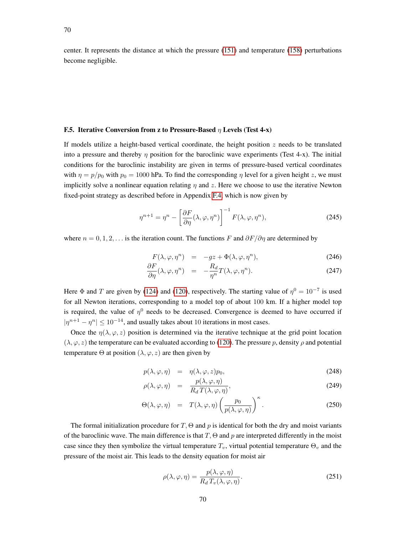center. It represents the distance at which the pressure [\(151\)](#page-49-5) and temperature [\(158\)](#page-50-2) perturbations become negligible.

## <span id="page-69-0"></span>F.5. Iterative Conversion from z to Pressure-Based  $\eta$  Levels (Test 4-x)

If models utilize a height-based vertical coordinate, the height position  $z$  needs to be translated into a pressure and thereby  $\eta$  position for the baroclinic wave experiments (Test 4-x). The initial conditions for the baroclinic instability are given in terms of pressure-based vertical coordinates with  $\eta = p/p_0$  with  $p_0 = 1000$  hPa. To find the corresponding  $\eta$  level for a given height z, we must implicitly solve a nonlinear equation relating  $\eta$  and z. Here we choose to use the iterative Newton fixed-point strategy as described before in Appendix [F.4,](#page-67-2) which is now given by

$$
\eta^{n+1} = \eta^n - \left[\frac{\partial F}{\partial \eta}(\lambda, \varphi, \eta^n)\right]^{-1} F(\lambda, \varphi, \eta^n),\tag{245}
$$

where  $n = 0, 1, 2, \ldots$  is the iteration count. The functions F and  $\partial F/\partial \eta$  are determined by

$$
F(\lambda, \varphi, \eta^n) = -gz + \Phi(\lambda, \varphi, \eta^n), \qquad (246)
$$

$$
\frac{\partial F}{\partial \eta}(\lambda, \varphi, \eta^n) = -\frac{R_d}{\eta^n} T(\lambda, \varphi, \eta^n). \tag{247}
$$

Here  $\Phi$  and T are given by [\(124\)](#page-38-2) and [\(120\)](#page-38-3), respectively. The starting value of  $\eta^0 = 10^{-7}$  is used for all Newton iterations, corresponding to a model top of about 100 km. If a higher model top is required, the value of  $\eta^0$  needs to be decreased. Convergence is deemed to have occurred if  $|\eta^{n+1} - \eta^{n}| \leq 10^{-14}$ , and usually takes about 10 iterations in most cases.

Once the  $\eta(\lambda, \varphi, z)$  position is determined via the iterative technique at the grid point location  $(\lambda, \varphi, z)$  the temperature can be evaluated according to [\(120\)](#page-38-3). The pressure p, density  $\rho$  and potential temperature  $\Theta$  at position  $(\lambda, \varphi, z)$  are then given by

$$
p(\lambda, \varphi, \eta) = \eta(\lambda, \varphi, z) p_0, \qquad (248)
$$

$$
\rho(\lambda, \varphi, \eta) = \frac{p(\lambda, \varphi, \eta)}{R_d T(\lambda, \varphi, \eta)},
$$
\n(249)

$$
\Theta(\lambda, \varphi, \eta) = T(\lambda, \varphi, \eta) \left( \frac{p_0}{p(\lambda, \varphi, \eta)} \right)^{\kappa}.
$$
 (250)

The formal initialization procedure for  $T$ ,  $\Theta$  and p is identical for both the dry and moist variants of the baroclinic wave. The main difference is that  $T$ ,  $\Theta$  and p are interpreted differently in the moist case since they then symbolize the virtual temperature  $T_v$ , virtual potential temperature  $\Theta_v$  and the pressure of the moist air. This leads to the density equation for moist air

$$
\rho(\lambda, \varphi, \eta) = \frac{p(\lambda, \varphi, \eta)}{R_d T_v(\lambda, \varphi, \eta)}.
$$
\n(251)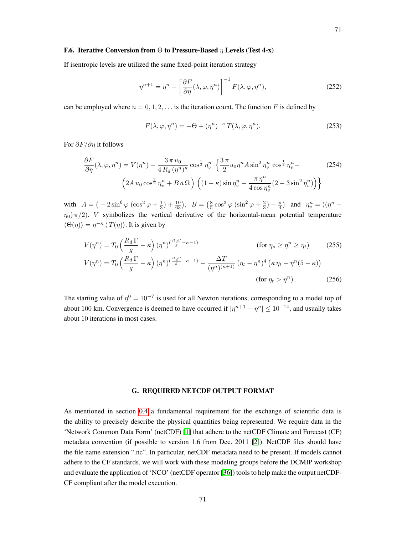#### <span id="page-70-0"></span>F.6. Iterative Conversion from  $\Theta$  to Pressure-Based  $\eta$  Levels (Test 4-x)

If isentropic levels are utilized the same fixed-point iteration strategy

$$
\eta^{n+1} = \eta^n - \left[\frac{\partial F}{\partial \eta}(\lambda, \varphi, \eta^n)\right]^{-1} F(\lambda, \varphi, \eta^n),\tag{252}
$$

can be employed where  $n = 0, 1, 2, \ldots$  is the iteration count. The function F is defined by

$$
F(\lambda, \varphi, \eta^n) = -\Theta + (\eta^n)^{-\kappa} T(\lambda, \varphi, \eta^n). \tag{253}
$$

For  $\partial F/\partial n$  it follows

$$
\frac{\partial F}{\partial \eta}(\lambda, \varphi, \eta^n) = V(\eta^n) - \frac{3 \pi u_0}{4 R_d (\eta^n)^{\kappa}} \cos^{\frac{1}{2}} \eta_v^n \left\{ \frac{3 \pi}{2} u_0 \eta^n A \sin^2 \eta_v^n \cos^{\frac{1}{2}} \eta_v^n - \right\}
$$
\n
$$
\left( 2A u_0 \cos^{\frac{3}{2}} \eta_v^n + Ba \Omega \right) \left( (1 - \kappa) \sin \eta_v^n + \frac{\pi \eta^n}{4 \cos \eta_v^n} (2 - 3 \sin^2 \eta_v^n) \right) \right\}
$$
\n(254)

with  $A = \left(-2\sin^6 \varphi \left(\cos^2 \varphi + \frac{1}{3}\right) + \frac{10}{63}\right), B = \left(\frac{8}{5}\cos^3 \varphi \left(\sin^2 \varphi + \frac{2}{3}\right) - \frac{\pi}{4}\right)$  and  $\eta_v^n = \left(\left(\eta^n - \frac{1}{3}\right)\right)$  $\eta_0$ )  $\pi/2$ ). *V* symbolizes the vertical derivative of the horizontal-mean potential temperature  $\langle \Theta(\eta) \rangle = \eta^{-\kappa} \langle T(\eta) \rangle$ . It is given by

$$
V(\eta^n) = T_0 \left(\frac{R_d \Gamma}{g} - \kappa\right) (\eta^n)^{\left(\frac{R_d \Gamma}{g} - \kappa - 1\right)} \qquad \text{(for } \eta_s \ge \eta^n \ge \eta_t\text{)}
$$
(255)  

$$
V(\eta^n) = T_0 \left(\frac{R_d \Gamma}{g} - \kappa\right) (\eta^n)^{\left(\frac{R_d \Gamma}{g} - \kappa - 1\right)} - \frac{\Delta T}{(\eta^n)^{(\kappa + 1)}} (\eta_t - \eta^n)^4 \left(\kappa \eta_t + \eta^n (5 - \kappa)\right)
$$
(256)

The starting value of  $\eta^0 = 10^{-7}$  is used for all Newton iterations, corresponding to a model top of about 100 km. Convergence is deemed to have occurred if  $|\eta^{n+1} - \eta^{n}| \le 10^{-14}$ , and usually takes about 10 iterations in most cases.

## G. REQUIRED NETCDF OUTPUT FORMAT

As mentioned in section [0.4](#page-4-0) a fundamental requirement for the exchange of scientific data is the ability to precisely describe the physical quantities being represented. We require data in the 'Network Common Data Form' (netCDF) [\[1\]](#page-53-11) that adhere to the netCDF Climate and Forecast (CF) metadata convention (if possible to version 1.6 from Dec. 2011 [\[2\]](#page-53-12)). NetCDF files should have the file name extension ".nc". In particular, netCDF metadata need to be present. If models cannot adhere to the CF standards, we will work with these modeling groups before the DCMIP workshop and evaluate the application of 'NCO' (netCDF operator [\[36\]](#page-54-12)) tools to help make the output netCDF-CF compliant after the model execution.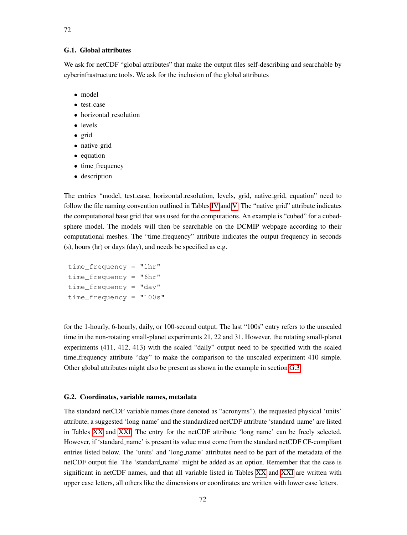# G.1. Global attributes

We ask for netCDF "global attributes" that make the output files self-describing and searchable by cyberinfrastructure tools. We ask for the inclusion of the global attributes

- model
- test\_case
- horizontal\_resolution
- levels
- grid
- native\_grid
- equation
- time\_frequency
- description

The entries "model, test case, horizontal resolution, levels, grid, native grid, equation" need to follow the file naming convention outlined in Tables [IV](#page-5-0) and [V.](#page-6-0) The "native<sub>-grid</sub>" attribute indicates the computational base grid that was used for the computations. An example is "cubed" for a cubedsphere model. The models will then be searchable on the DCMIP webpage according to their computational meshes. The "time frequency" attribute indicates the output frequency in seconds (s), hours (hr) or days (day), and needs be specified as e.g.

```
time frequency = "1hr"
time frequency = "6hr"time frequency = "day"time_frequency = "100s"
```
for the 1-hourly, 6-hourly, daily, or 100-second output. The last "100s" entry refers to the unscaled time in the non-rotating small-planet experiments 21, 22 and 31. However, the rotating small-planet experiments (411, 412, 413) with the scaled "daily" output need to be specified with the scaled time frequency attribute "day" to make the comparison to the unscaled experiment 410 simple. Other global attributes might also be present as shown in the example in section [G.3.](#page-72-0)

#### G.2. Coordinates, variable names, metadata

The standard netCDF variable names (here denoted as "acronyms"), the requested physical 'units' attribute, a suggested 'long name' and the standardized netCDF attribute 'standard name' are listed in Tables [XX](#page-72-1) and [XXI.](#page-72-2) The entry for the netCDF attribute 'long name' can be freely selected. However, if 'standard name' is present its value must come from the standard netCDF CF-compliant entries listed below. The 'units' and 'long name' attributes need to be part of the metadata of the netCDF output file. The 'standard name' might be added as an option. Remember that the case is significant in netCDF names, and that all variable listed in Tables [XX](#page-72-1) and [XXI](#page-72-2) are written with upper case letters, all others like the dimensions or coordinates are written with lower case letters.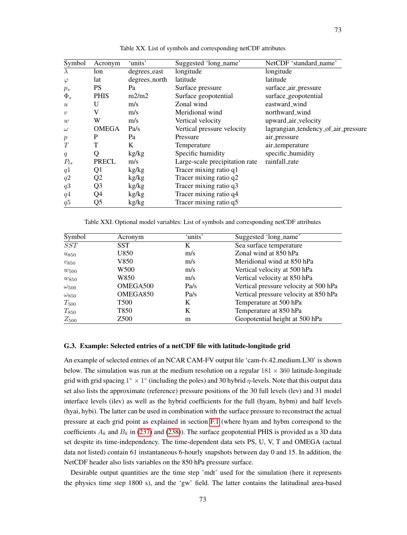<span id="page-72-1"></span>

| Symbol           | Acronym        | 'units'       | Suggested 'long_name'          | NetCDF 'standard_name'              |
|------------------|----------------|---------------|--------------------------------|-------------------------------------|
| $\lambda$        | lon            | degrees_east  | longitude                      | longitude                           |
| $\varphi$        | lat            | degrees_north | latitude                       | latitude                            |
| $p_s$            | <b>PS</b>      | Pa            | Surface pressure               | surface_air_pressure                |
| $\Phi_s$         | <b>PHIS</b>    | m2/m2         | Surface geopotential           | surface_geopotential                |
| $\boldsymbol{u}$ | U              | m/s           | Zonal wind                     | eastward_wind                       |
| $\boldsymbol{v}$ | V              | m/s           | Meridional wind                | northward_wind                      |
| w                | W              | m/s           | Vertical velocity              | upward_air_velocity                 |
| $\omega$         | <b>OMEGA</b>   | Pa/s          | Vertical pressure velocity     | lagrangian_tendency_of_air_pressure |
| $\boldsymbol{p}$ | P              | Pa            | Pressure                       | air_pressure                        |
| T                | T              | K             | Temperature                    | air_temperature                     |
| q                | Q              | kg/kg         | Specific humidity              | specific_humidity                   |
| $P_{ls}$         | PRECL          | m/s           | Large-scale precipitation rate | rainfall_rate                       |
| q1               | Q1             | kg/kg         | Tracer mixing ratio q1         |                                     |
| q2               | Q <sub>2</sub> | kg/kg         | Tracer mixing ratio q2         |                                     |
| q3               | Q3             | kg/kg         | Tracer mixing ratio q3         |                                     |
| q4               | Q4             | kg/kg         | Tracer mixing ratio q4         |                                     |
| q5               | Q5             | kg/kg         | Tracer mixing ratio q5         |                                     |

Table XX. List of symbols and corresponding netCDF attributes

Table XXI. Optional model variables: List of symbols and corresponding netCDF attributes

| Symbol         | Acronym          | 'units' | Suggested 'long_name'                 |
|----------------|------------------|---------|---------------------------------------|
| SST            | <b>SST</b>       | K       | Sea surface temperature               |
| $u_{850}$      | U850             | m/s     | Zonal wind at 850 hPa                 |
| $v_{850}$      | V850             | m/s     | Meridional wind at 850 hPa            |
| $w_{500}$      | W500             | m/s     | Vertical velocity at 500 hPa          |
| $w_{850}$      | W850             | m/s     | Vertical velocity at 850 hPa          |
| $\omega_{500}$ | OMEGA500         | Pa/s    | Vertical pressure velocity at 500 hPa |
| $\omega_{850}$ | OMEGA850         | Pa/s    | Vertical pressure velocity at 850 hPa |
| $T_{500}$      | T500             | K       | Temperature at 500 hPa                |
| $T_{850}$      | T850             | K       | Temperature at 850 hPa                |
| $Z_{500}$      | Z <sub>500</sub> | m       | Geopotential height at 500 hPa        |

## <span id="page-72-0"></span>G.3. Example: Selected entries of a netCDF file with latitude-longitude grid

An example of selected entries of an NCAR CAM-FV output file 'cam-fv.42.medium.L30' is shown below. The simulation was run at the medium resolution on a regular  $181 \times 360$  latitude-longitude grid with grid spacing  $1^{\circ} \times 1^{\circ}$  (including the poles) and 30 hybrid  $\eta$ -levels. Note that this output data set also lists the approximate (reference) pressure positions of the 30 full levels (lev) and 31 model interface levels (ilev) as well as the hybrid coefficients for the full (hyam, hybm) and half levels (hyai, hybi). The latter can be used in combination with the surface pressure to reconstruct the actual pressure at each grid point as explained in section [F.1](#page-63-0) (where hyam and hybm correspond to the coefficients  $A_k$  and  $B_k$  in [\(237\)](#page-67-0) and [\(238\)](#page-67-1)). The surface geopotential PHIS is provided as a 3D data set despite its time-independency. The time-dependent data sets PS, U, V, T and OMEGA (actual data not listed) contain 61 instantaneous 6-hourly snapshots between day 0 and 15. In addition, the NetCDF header also lists variables on the 850 hPa pressure surface.

Desirable output quantities are the time step 'mdt' used for the simulation (here it represents the physics time step 1800 s), and the 'gw' field. The latter contains the latitudinal area-based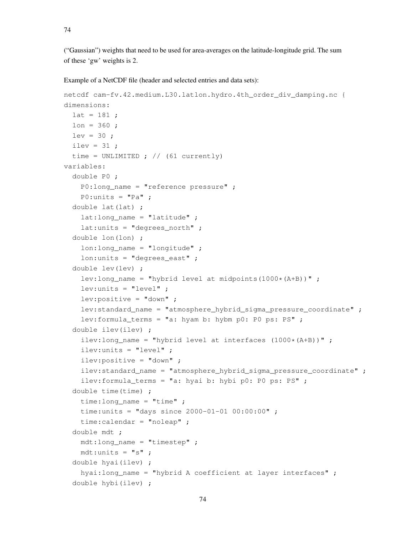("Gaussian") weights that need to be used for area-averages on the latitude-longitude grid. The sum of these 'gw' weights is 2.

Example of a NetCDF file (header and selected entries and data sets):

```
netcdf cam-fv.42.medium.L30.latlon.hydro.4th_order_div_damping.nc {
dimensions:
 lat = 181 ;
 lon = 360;
 lev = 30;
 ilev = 31;
 time = UNLIMITED ; // (61 currently)
variables:
 double P0 ;
   P0:long name = "reference pressure" ;
   P0:units = "Pa" ;
 double lat(lat) ;
   lat: long name = "latitude" ;
   lat:units = "degrees__north";
 double lon(lon) ;
   lon:long name = "longitude" ;
   lon: units = "degrees east" ;
 double lev(lev) ;
   lev:long_name = "hybrid level at midpoints(1000*(A+B))" ;
   lev:units = "level" ;
   lev:positive = "down" ;
   lev:standard_name = "atmosphere_hybrid_sigma_pressure_coordinate" ;
   lev:formula_terms = "a: hyam b: hybm p0: P0 ps: PS" ;
 double ilev(ilev) ;
    ilev:long_name = "hybrid level at interfaces (1000*(A+B))";
   ilev:units = "level" ;
   ilev:positive = "down" ;
    ilev:standard_name = "atmosphere_hybrid_sigma_pressure_coordinate" ;
    ilev:formula_terms = "a: hyai b: hybi p0: P0 ps: PS" ;
 double time(time) ;
   time:long_name = "time" ;
   time:units = "days since 2000-01-01 00:00:00";
   time:calendar = "noleap" ;
 double mdt ;
   mdt:long_name = "timestep" ;
   mdt:units = "s";
 double hyai(ilev) ;
   hyai:long_name = "hybrid A coefficient at layer interfaces" ;
 double hybi(ilev) ;
```

```
74
```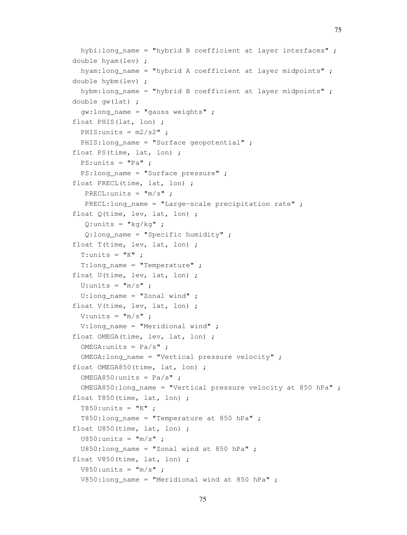```
hybi:long_name = "hybrid B coefficient at layer interfaces" ;
double hyam(lev) ;
  hyam: long name = "hybrid A coefficient at layer midpoints" ;
double hybm(lev) ;
  hybm: long name = "hybrid B coefficient at layer midpoints" ;
double gw(lat) ;
  gw:long_name = "gauss weights" ;
float PHIS(lat, lon) ;
 PHIS: units = m2/s2" ;
 PHIS: long name = "Surface geopotential" ;
float PS(time, lat, lon) ;
 PS:units = "Pa" ;
  PS: long name = "Surface pressure" ;
float PRECL(time, lat, lon) ;
   PRECL:units = "m/s";
   PRECL:long_name = "Large-scale precipitation rate" ;
float Q(time, lev, lat, lon) ;
   Q:units = "kq/kq";
   Q: long_name = "Specific humidity";
float T(time, lev, lat, lon) ;
  T:units = "K" ;
  T:long name = "Temperature" ;
float U(time, lev, lat, lon) ;
  U:units = ^{\mathsf{m}}/s" ;
  U:long name = "Zonal wind" ;
float V(time, lev, lat, lon) ;
 V:units = ^{\mathsf{w}}m/s" ;
 V:long name = "Meridional wind" ;
float OMEGA(time, lev, lat, lon) ;
  OMEGA:units = Pa/s";
  OMEGA:long_name = "Vertical pressure velocity" ;
float OMEGA850(time, lat, lon) ;
  OMEGA850:units = Pa/s";
  OMEGA850: long name = "Vertical pressure velocity at 850 hPa" ;
float T850(time, lat, lon) ;
  T850:units = "K";
  T850:long_name = "Temperature at 850 hPa" ;
float U850(time, lat, lon) ;
  U850:units = "m/s";
  U850:long_name = "Zonal wind at 850 hPa" ;
float V850(time, lat, lon) ;
 V850:units = "m/s";
 V850:long_name = "Meridional wind at 850 hPa" ;
```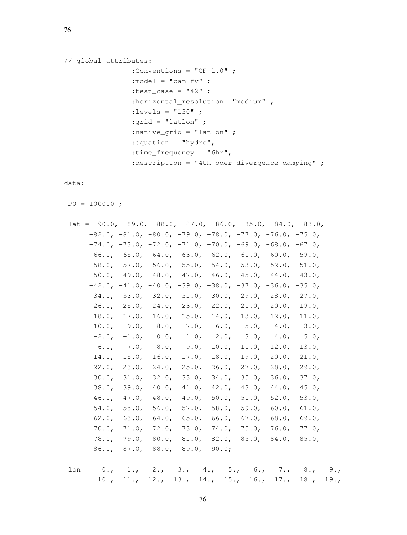```
// global attributes:
                :Conventions = "CF-1.0" ;
                : model = "cam-fv" ;
                :test_case = "42" ;
                : horizontal_resolution= "medium" ;
                : levels = "L30";
                :grid = "latlon" ;
                :native_grid = "latlon" ;
                :equation = "hydro";
                :time_frequency = "6hr";
                :description = "4th-oder divergence damping" ;
```
data:

 $PO = 100000;$ 

| lat | $= -90.0, -89.0, -88.0, -87.0, -86.0, -85.0, -84.0, -83.0,$ |          |              |           |          |                                                                                 |             |             |
|-----|-------------------------------------------------------------|----------|--------------|-----------|----------|---------------------------------------------------------------------------------|-------------|-------------|
|     |                                                             |          |              |           |          | $-82.0, -81.0, -80.0, -79.0, -78.0, -77.0, -76.0, -75.0,$                       |             |             |
|     |                                                             |          |              |           |          | $-74.0, -73.0, -72.0, -71.0, -70.0, -69.0, -68.0, -67.0,$                       |             |             |
|     |                                                             |          |              |           |          | $-66.0$ , $-65.0$ , $-64.0$ , $-63.0$ , $-62.0$ , $-61.0$ , $-60.0$ , $-59.0$ , |             |             |
|     |                                                             |          |              |           |          | $-58.0, -57.0, -56.0, -55.0, -54.0, -53.0, -52.0, -51.0,$                       |             |             |
|     |                                                             |          |              |           |          | $-50.0$ , $-49.0$ , $-48.0$ , $-47.0$ , $-46.0$ , $-45.0$ , $-44.0$ , $-43.0$ , |             |             |
|     |                                                             |          |              |           |          | $-42.0, -41.0, -40.0, -39.0, -38.0, -37.0, -36.0, -35.0,$                       |             |             |
|     |                                                             |          |              |           |          | $-34.0, -33.0, -32.0, -31.0, -30.0, -29.0, -28.0, -27.0,$                       |             |             |
|     |                                                             |          |              |           |          | $-26.0$ , $-25.0$ , $-24.0$ , $-23.0$ , $-22.0$ , $-21.0$ , $-20.0$ , $-19.0$ , |             |             |
|     |                                                             |          |              |           |          | $-18.0, -17.0, -16.0, -15.0, -14.0, -13.0, -12.0, -11.0,$                       |             |             |
|     | $-10.0,$                                                    |          |              |           |          | $-9.0$ , $-8.0$ , $-7.0$ , $-6.0$ , $-5.0$ , $-4.0$ , $-3.0$                    |             |             |
|     | $-2.0$ ,                                                    |          | $-1.0, 0.0,$ |           |          | 1.0, 2.0, 3.0, 4.0,                                                             |             | 5.0,        |
|     | 6.0,                                                        | 7.0,     |              | 8.0, 9.0, | 10.0,    |                                                                                 | 11.0, 12.0, | 13.0,       |
|     | $14.0$ ,                                                    | 15.0,    | 16.0,        | $17.0$ ,  | $18.0$ , |                                                                                 | 19.0, 20.0, | 21.0,       |
|     | 22.0,                                                       | 23.0,    | $24.0$ ,     | $25.0$ ,  | 26.0,    |                                                                                 | 27.0, 28.0, | 29.0,       |
|     | $30.0$ ,                                                    | 31.0,    | 32.0,        | 33.0,     | 34.0,    | 35.0,                                                                           | $36.0$ ,    | 37.0,       |
|     | 38.0,                                                       | 39.0,    | 40.0,        | 41.0,     | 42.0,    | 43.0,                                                                           | $44.0$ ,    | 45.0,       |
|     | 46.0,                                                       | 47.0,    | 48.0,        | 49.0,     | 50.0,    | 51.0,                                                                           | 52.0,       | 53.0,       |
|     | $54.0$ ,                                                    | 55.0,    | 56.0,        | 57.0,     | 58.0,    | 59.0,                                                                           | 60.0,       | 61.0,       |
|     | 62.0,                                                       | 63.0,    | 64.0,        | 65.0,     | 66.0,    | 67.0,                                                                           | 68.0,       | 69.0,       |
|     | $70.0$ ,                                                    | $71.0$ , | 72.0,        | 73.0.     | 74.0,    | 75.0,                                                                           | $76.0$ ,    | 77.0,       |
|     | 78.0,                                                       | 79.0.    | 80.0,        | 81.0,     | 82.0,    | 83.0,                                                                           |             | 84.0, 85.0, |
|     | 86.0,                                                       | 87.0,    | 88.0,        | 89.0,     | 90.0;    |                                                                                 |             |             |

 $lon = 0., 1., 2., 3., 4., 5., 6., 7., 8., 9.,$ 10., 11., 12., 13., 14., 15., 16., 17., 18., 19.,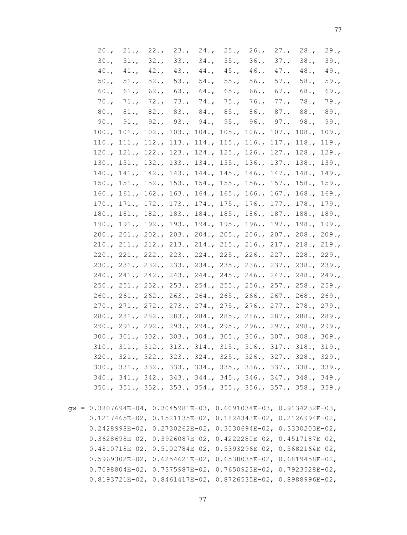| 20.7    | 21.   | 22.                                                         | 23.               | 24.         | 25.                     | 26.      | 27.               | 28.7        | 29.7 |
|---------|-------|-------------------------------------------------------------|-------------------|-------------|-------------------------|----------|-------------------|-------------|------|
| 30.7    | 31.7  | 32.7                                                        | 33.7              | 34.7        | 35.                     | 36.7     | 37.7              | 38.7        | 39.7 |
| 40.7    | 41.7  | 42.7                                                        | 43.7              |             | 44., 45.,               | $46.$ ,  | 47.               | 48.7        | 49.7 |
| 50.     | 51.   | 52.                                                         | 53.               |             | 54., 55.,               | 56.      | 57.               | 58.         | 59.7 |
| $60.$ , | 61.   | 62.                                                         | 63.               | 64.         | 65.                     | 66.      | $67.$ ,           | 68.         | 69.  |
| 70.     | 71.   | 72.                                                         | 73.               | 74.         | 75.                     | 76.      | 77.               | 78.         | 79.7 |
| 80.7    | 81.   | 82.                                                         | 83.               | 84.         | 85.                     | 86.      | 87.               | 88.         | 89.7 |
| 90.7    | 91.   | 92.                                                         | 93.               | 94.         | 95.                     | 96.      | 97.               | 98.         | 99.7 |
| 100.    | 101.  | 102.                                                        | 103.              | 104.        | 105.                    | 106.     | 107.              | 108.        | 109. |
| 110.    | 111.  | 112.                                                        | 113.              | $114.$ ,    | 115.                    | 116.     | 117.              | 118.        | 119. |
| 120.    | 121.  | 122.                                                        | 123.              | 124.        | 125.                    | 126.     | 127.              | 128.        | 129. |
| 130.7   | 131.  | 132.7                                                       | 133.              | 134.7       | 135.                    | 136.     | 137.              | 138.        | 139. |
| 140.    | 141.  | 142.                                                        | 143.              | 144.        | 145.                    | 146.     | 147.              | 148.        | 149. |
| 150.    | 151.  | 152.                                                        | 153.              | 154.        | 155.                    | 156.     | 157.              | 158.        | 159. |
| 160.    | 161.  | 162.                                                        | 163.              | 164.        | 165.                    | $166.$ , | 167.              | 168.        | 169. |
| 170.    | 171.  | 172.                                                        | 173.              | 174.        | 175.                    | 176.     | 177.              | 178.        | 179. |
| 180.    | 181.  | 182.                                                        | 183.              | 184.        | 185.                    | 186.     | 187.              | 188.        | 189. |
| 190.    | 191.  | 192.7                                                       | 193.              | 194.        | 195.                    | 196.     | 197.              | 198.        | 199. |
| 200.    | 201.  | 202.                                                        | 203.              | 204.        | 205.                    | 206.     | 207.              | 208.        | 209. |
| 210.    | 211.  | 212.                                                        | 213.              | 214.        | 215.                    | 216.     | 217.              | 218.        | 219. |
| 220.    | 221.  | 222.                                                        | 223.              | 224.        | 225.                    | 226.     | 227.              | 228.        | 229. |
| 230.7   | 231.  | 232.                                                        | 233.              | 234.        | 235.                    | 236.     | 237.              | 238.        | 239. |
| 240.    | 241.  |                                                             |                   |             | 242., 243., 244., 245., | 246.     | 247.              | 248.        | 249. |
| 250.    | 251.  |                                                             |                   |             | 252., 253., 254., 255., |          | 256., 257., 258., |             | 259. |
| 260.    | 261.  |                                                             | 262., 263., 264., |             | 265.                    | 266.     |                   | 267., 268., | 269. |
| 270.    | 271.  |                                                             | 272., 273., 274., |             | 275.                    | 276.     | 277.              | 278.        | 279. |
| 280.    |       | 281., 282.,                                                 |                   | 283., 284., | 285.                    | 286.     | 287., 288.,       |             | 289. |
| 290.7   | 291.  | 292., 293.,                                                 |                   | 294.        | 295.                    | 296.     | 297., 298.,       |             | 299. |
| 300.    | 301.  |                                                             | 302., 303.,       | 304.        | 305.                    | 306.     | 307.7             | 308.        | 309. |
| 310.    | 311.  | 312.                                                        | 313.              | 314.        | 315.                    | 316.     | 317.              | 318.        | 319. |
| 320.7   | 321.  | 322.                                                        | 323.              | 324.        | 325.                    | 326.     | 327.              | 328.        | 329. |
| 330.    | 331.7 | 332.                                                        | 333.              | 334.        | 335.                    | 336.     | 337.              | 338.        | 339. |
| 340.    | 341.  | 342.                                                        | 343.              | 344.        | 345.                    | 346.     | 347.              | 348.        | 349. |
|         |       | 350., 351., 352., 353., 354., 355., 356., 357., 358., 359.; |                   |             |                         |          |                   |             |      |
|         |       |                                                             |                   |             |                         |          |                   |             |      |

gw = 0.3807694E-04, 0.3045981E-03, 0.6091034E-03, 0.9134232E-03, 0.1217465E-02, 0.1521135E-02, 0.1824343E-02, 0.2126994E-02, 0.2428998E-02, 0.2730262E-02, 0.3030694E-02, 0.3330203E-02, 0.3628698E-02, 0.3926087E-02, 0.4222280E-02, 0.4517187E-02, 0.4810718E-02, 0.5102784E-02, 0.5393296E-02, 0.5682164E-02, 0.5969302E-02, 0.6254621E-02, 0.6538035E-02, 0.6819458E-02, 0.7098804E-02, 0.7375987E-02, 0.7650923E-02, 0.7923528E-02, 0.8193721E-02, 0.8461417E-02, 0.8726535E-02, 0.8988996E-02,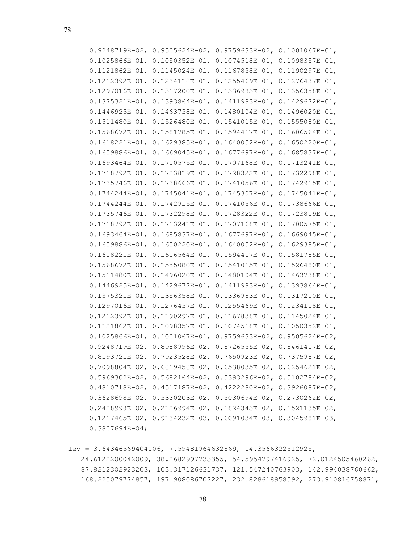| $0.9248719E-02$ ,   | $0.9505624E-02$ ,                                                       | $0.9759633E-02$     | $0.1001067E-01$ ,   |
|---------------------|-------------------------------------------------------------------------|---------------------|---------------------|
| $0.1025866E-01$ ,   | $0.1050352E-01$                                                         | $0.1074518E-01$ ,   | $0.1098357E-01$ ,   |
| $0.1121862E-01$ ,   | $0.1145024E-01$ ,                                                       | $0.1167838E - 01,$  | $0.1190297E-01$     |
| $0.1212392E-01$ ,   | $0.1234118E - 01,$                                                      | $0.1255469E - 01$ , | $0.1276437E - 01$ , |
| $0.1297016E-01$ ,   | $0.1317200E-01$ ,                                                       | $0.1336983E-01$ ,   | $0.1356358E - 01$   |
| $0.1375321E-01,$    | $0.1393864E-01,$                                                        | $0.1411983E-01$ ,   | $0.1429672E-01$ ,   |
| $0.1446925E-01$ ,   | $0.1463738E - 01,$                                                      | $0.1480104E-01,$    | $0.1496020E-01,$    |
| $0.1511480E-01$ ,   | $0.1526480E - 01$ ,                                                     | $0.1541015E-01,$    | $0.1555080E - 01$ , |
| $0.1568672E - 01$ , | $0.1581785E-01,$                                                        | $0.1594417E-01,$    | $0.1606564E-01,$    |
| $0.1618221E-01$ ,   | $0.1629385E-01$ ,                                                       | $0.1640052E-01$ ,   | $0.1650220E-01$ ,   |
| $0.1659886E - 01,$  | $0.1669045E-01,$                                                        | $0.1677697E-01,$    | $0.1685837E-01,$    |
| $0.1693464E - 01$ , | $0.1700575E-01$ ,                                                       | $0.1707168E - 01,$  | $0.1713241E-01,$    |
| $0.1718792E-01$ ,   | $0.1723819E-01$                                                         | $0.1728322E-01,$    | $0.1732298E-01$ ,   |
| $0.1735746E-01$ ,   | $0.1738666E - 01$ ,                                                     | $0.1741056E-01$ ,   | $0.1742915E-01,$    |
| $0.1744244E - 01,$  | $0.1745041E-01,$                                                        | $0.1745307E-01,$    | $0.1745041E-01,$    |
| $0.1744244E - 01,$  | $0.1742915E-01,$                                                        | $0.1741056E-01$ ,   | $0.1738666E - 01,$  |
| $0.1735746E - 01,$  | $0.1732298E - 01$ ,                                                     | $0.1728322E - 01,$  | $0.1723819E-01,$    |
| $0.1718792E-01$ ,   | $0.1713241E-01$ ,                                                       | 0.1707168E-01,      | $0.1700575E - 01$ , |
| $0.1693464E - 01$ , | $0.1685837E - 01,$                                                      | $0.1677697E - 01$ , | $0.1669045E-01$ ,   |
| $0.1659886E-01$ ,   | $0.1650220E-01$                                                         | $0.1640052E-01,$    | $0.1629385E-01$ ,   |
| $0.1618221E-01,$    | $0.1606564E-01,$                                                        | $0.1594417E-01,$    | $0.1581785E-01$ ,   |
| $0.1568672E-01$ ,   | $0.1555080E-01$                                                         | $0.1541015E-01,$    | $0.1526480E-01$ ,   |
| $0.1511480E-01,$    | $0.1496020E-01$                                                         | $0.1480104E-01,$    | $0.1463738E - 01,$  |
| $0.1446925E-01$ ,   | $0.1429672E-01$                                                         | $0.1411983E-01,$    | $0.1393864E-01,$    |
| $0.1375321E - 01$ , | $0.1356358E - 01,$                                                      | $0.1336983E-01$ ,   | $0.1317200E-01,$    |
| $0.1297016E-01$ ,   | $0.1276437E - 01,$                                                      | $0.1255469E-01$ ,   | $0.1234118E-01$ ,   |
| $0.1212392E-01$ ,   | $0.1190297E-01,$                                                        | $0.1167838E - 01$ , | $0.1145024E-01$ ,   |
| $0.1121862E-01,$    | $0.1098357E-01$ ,                                                       | $0.1074518E - 01$ , | $0.1050352E-01$ ,   |
| $0.1025866E-01$ ,   | $0.1001067E-01,$                                                        | $0.9759633E-02$ ,   | $0.9505624E-02$     |
| $0.9248719E-02,$    | $0.8988996E-02$                                                         | $0.8726535E-02$     | $0.8461417E-02$ ,   |
|                     | 0.8193721E-02, 0.7923528E-02, 0.7650923E-02, 0.7375987E-02,             |                     |                     |
|                     | $0.7098804E-02$ , $0.6819458E-02$ , $0.6538035E-02$ , $0.6254621E-02$ , |                     |                     |
|                     | $0.5969302E-02$ , $0.5682164E-02$ , $0.5393296E-02$ , $0.5102784E-02$ , |                     |                     |
|                     | $0.4810718E-02$ , $0.4517187E-02$ , $0.4222280E-02$ , $0.3926087E-02$ , |                     |                     |
|                     | $0.3628698E-02$ , $0.3330203E-02$ , $0.3030694E-02$ , $0.2730262E-02$ , |                     |                     |
|                     | $0.2428998E-02$ , $0.2126994E-02$ , $0.1824343E-02$ , $0.1521135E-02$ , |                     |                     |
|                     | $0.1217465E-02$ , $0.9134232E-03$ , $0.6091034E-03$ , $0.3045981E-03$ , |                     |                     |
| $0.3807694E - 04;$  |                                                                         |                     |                     |
|                     |                                                                         |                     |                     |

lev = 3.64346569404006, 7.59481964632869, 14.3566322512925, 24.6122200042009, 38.2682997733355, 54.5954797416925, 72.0124505460262, 87.8212302923203, 103.317126631737, 121.547240763903, 142.994038760662, 168.225079774857, 197.908086702227, 232.828618958592, 273.910816758871,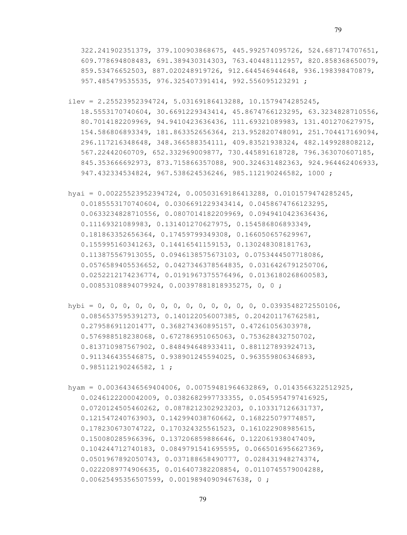- ilev = 2.25523952394724, 5.03169186413288, 10.1579474285245, 18.5553170740604, 30.6691229343414, 45.8674766123295, 63.3234828710556, 80.7014182209969, 94.9410423636436, 111.69321089983, 131.401270627975, 154.586806893349, 181.863352656364, 213.952820748091, 251.704417169094, 296.117216348648, 348.366588354111, 409.83521938324, 482.149928808212, 567.22442060709, 652.332969009877, 730.445891618728, 796.363070607185, 845.353666692973, 873.715866357088, 900.324631482363, 924.964462406933, 947.432334534824, 967.538624536246, 985.112190246582, 1000 ;
- hyai = 0.00225523952394724, 0.00503169186413288, 0.0101579474285245, 0.0185553170740604, 0.0306691229343414, 0.0458674766123295, 0.0633234828710556, 0.0807014182209969, 0.0949410423636436, 0.11169321089983, 0.131401270627975, 0.154586806893349, 0.181863352656364, 0.17459799349308, 0.166050657629967, 0.155995160341263, 0.14416541159153, 0.130248308181763, 0.113875567913055, 0.0946138575673103, 0.0753444507718086, 0.0576589405536652, 0.0427346378564835, 0.0316426791250706, 0.0252212174236774, 0.0191967375576496, 0.0136180268600583, 0.00853108894079924, 0.00397881818935275, 0, 0 ;
- hybi = 0, 0, 0, 0, 0, 0, 0, 0, 0, 0, 0, 0, 0, 0.0393548272550106, 0.0856537595391273, 0.140122056007385, 0.204201176762581, 0.279586911201477, 0.368274360895157, 0.47261056303978, 0.576988518238068, 0.672786951065063, 0.753628432750702, 0.813710987567902, 0.848494648933411, 0.881127893924713, 0.911346435546875, 0.938901245594025, 0.963559806346893, 0.985112190246582, 1 ;
- hyam = 0.00364346569404006, 0.00759481964632869, 0.0143566322512925, 0.0246122200042009, 0.0382682997733355, 0.0545954797416925, 0.0720124505460262, 0.0878212302923203, 0.103317126631737, 0.121547240763903, 0.142994038760662, 0.168225079774857, 0.178230673074722, 0.170324325561523, 0.161022908985615, 0.150080285966396, 0.137206859886646, 0.122061938047409, 0.104244712740183, 0.0849791541695595, 0.0665016956627369, 0.0501967892050743, 0.037188658490777, 0.028431948274374, 0.0222089774906635, 0.016407382208854, 0.0110745579004288, 0.00625495356507599, 0.00198940909467638, 0 ;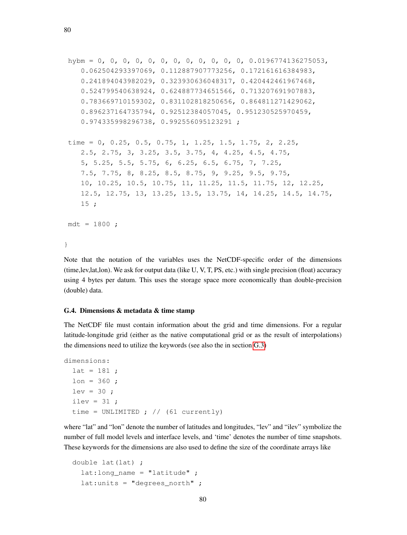```
hybm = 0, 0, 0, 0, 0, 0, 0, 0, 0, 0, 0, 0, 0.0196774136275053,
   0.062504293397069, 0.112887907773256, 0.172161616384983,
   0.241894043982029, 0.323930636048317, 0.420442461967468,
   0.524799540638924, 0.624887734651566, 0.713207691907883,
   0.783669710159302, 0.831102818250656, 0.864811271429062,
   0.896237164735794, 0.92512384057045, 0.951230525970459,
   0.974335998296738, 0.992556095123291 ;
time = 0, 0.25, 0.5, 0.75, 1, 1.25, 1.5, 1.75, 2, 2.25,
   2.5, 2.75, 3, 3.25, 3.5, 3.75, 4, 4.25, 4.5, 4.75,
   5, 5.25, 5.5, 5.75, 6, 6.25, 6.5, 6.75, 7, 7.25,
   7.5, 7.75, 8, 8.25, 8.5, 8.75, 9, 9.25, 9.5, 9.75,
   10, 10.25, 10.5, 10.75, 11, 11.25, 11.5, 11.75, 12, 12.25,
   12.5, 12.75, 13, 13.25, 13.5, 13.75, 14, 14.25, 14.5, 14.75,
   15 ;
mdt = 1800;
}
```
Note that the notation of the variables uses the NetCDF-specific order of the dimensions (time,lev,lat,lon). We ask for output data (like U, V, T, PS, etc.) with single precision (float) accuracy using 4 bytes per datum. This uses the storage space more economically than double-precision (double) data.

## G.4. Dimensions & metadata & time stamp

The NetCDF file must contain information about the grid and time dimensions. For a regular latitude-longitude grid (either as the native computational grid or as the result of interpolations) the dimensions need to utilize the keywords (see also the in section [G.3\)](#page-72-0)

```
dimensions:
 lat = 181;
 lon = 360 ;
 lev = 30;
 ilev = 31;
 time = UNLIMITED ; // (61 currently)
```
where "lat" and "lon" denote the number of latitudes and longitudes, "lev" and "ilev" symbolize the number of full model levels and interface levels, and 'time' denotes the number of time snapshots. These keywords for the dimensions are also used to define the size of the coordinate arrays like

```
double lat(lat) ;
 lat:long_name = "latitude";
  lat:units = "degrees__north";
```
80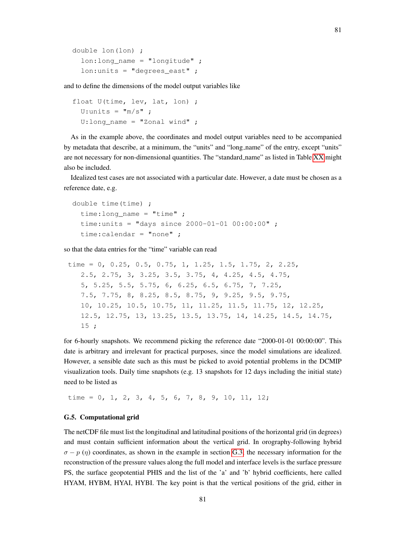```
double lon(lon) ;
  lon:long_name = "longitude" ;
  lon:units = "degrees east" ;
```
and to define the dimensions of the model output variables like

```
float U(time, lev, lat, lon) ;
  U:units = \mathbf{m/s}" ;
  U:long_name = "Zonal wind" ;
```
As in the example above, the coordinates and model output variables need to be accompanied by metadata that describe, at a minimum, the "units" and "long name" of the entry, except "units" are not necessary for non-dimensional quantities. The "standard name" as listed in Table [XX](#page-72-1) might also be included.

Idealized test cases are not associated with a particular date. However, a date must be chosen as a reference date, e.g.

```
double time(time) ;
  time:long_name = "time" ;
  time:units = "days since 2000-01-01 00:00:00" ;
  time:calendar = "none" ;
```
so that the data entries for the "time" variable can read

```
time = 0, 0.25, 0.5, 0.75, 1, 1.25, 1.5, 1.75, 2, 2.25,
  2.5, 2.75, 3, 3.25, 3.5, 3.75, 4, 4.25, 4.5, 4.75,
   5, 5.25, 5.5, 5.75, 6, 6.25, 6.5, 6.75, 7, 7.25,
  7.5, 7.75, 8, 8.25, 8.5, 8.75, 9, 9.25, 9.5, 9.75,
   10, 10.25, 10.5, 10.75, 11, 11.25, 11.5, 11.75, 12, 12.25,
   12.5, 12.75, 13, 13.25, 13.5, 13.75, 14, 14.25, 14.5, 14.75,
  15 ;
```
for 6-hourly snapshots. We recommend picking the reference date "2000-01-01 00:00:00". This date is arbitrary and irrelevant for practical purposes, since the model simulations are idealized. However, a sensible date such as this must be picked to avoid potential problems in the DCMIP visualization tools. Daily time snapshots (e.g. 13 snapshots for 12 days including the initial state) need to be listed as

time = 0, 1, 2, 3, 4, 5, 6, 7, 8, 9, 10, 11, 12;

## G.5. Computational grid

The netCDF file must list the longitudinal and latitudinal positions of the horizontal grid (in degrees) and must contain sufficient information about the vertical grid. In orography-following hybrid  $\sigma - p$  (η) coordinates, as shown in the example in section [G.3,](#page-72-0) the necessary information for the reconstruction of the pressure values along the full model and interface levels is the surface pressure PS, the surface geopotential PHIS and the list of the 'a' and 'b' hybrid coefficients, here called HYAM, HYBM, HYAI, HYBI. The key point is that the vertical positions of the grid, either in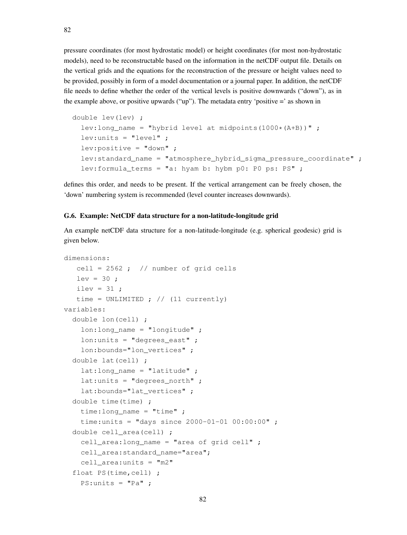pressure coordinates (for most hydrostatic model) or height coordinates (for most non-hydrostatic models), need to be reconstructable based on the information in the netCDF output file. Details on the vertical grids and the equations for the reconstruction of the pressure or height values need to be provided, possibly in form of a model documentation or a journal paper. In addition, the netCDF file needs to define whether the order of the vertical levels is positive downwards ("down"), as in the example above, or positive upwards ("up"). The metadata entry 'positive  $=$ ' as shown in

```
double lev(lev) ;
  lev:long_name = "hybrid level at midpoints(1000*(A+B))" ;
 lev:units = "level":
  lev:positive = "down" ;
  lev: standard name = "atmosphere hybrid sigma pressure coordinate" ;
  lev:formula_terms = "a: hyam b: hybm p0: P0 ps: PS" ;
```
defines this order, and needs to be present. If the vertical arrangement can be freely chosen, the 'down' numbering system is recommended (level counter increases downwards).

## G.6. Example: NetCDF data structure for a non-latitude-longitude grid

An example netCDF data structure for a non-latitude-longitude (e.g. spherical geodesic) grid is given below.

```
dimensions:
   cell = 2562; // number of grid cells
   lev = 30;
   ilev = 31 ;
   time = UNLIMITED ; // (11 currently)
variables:
  double lon(cell) ;
    lon: long name = "lonqitude" ;
    lon: units = "degrees east" ;
    lon:bounds="lon_vertices" ;
  double lat(cell) ;
    lat:long_name = "latitude";
    lat:units = "degrees__north";
    lat:bounds="lat_vertices" ;
  double time(time) ;
    time:long_name = "time" ;
    time:units = "days since 2000-01-01 00:00:00" ;
  double cell_area(cell) ;
    cell_area:long_name = "area of grid cell" ;
    cell_area:standard_name="area";
    cell_area:units = "m2"
  float PS(time, cell) ;
    PS:units = "Pa";
```